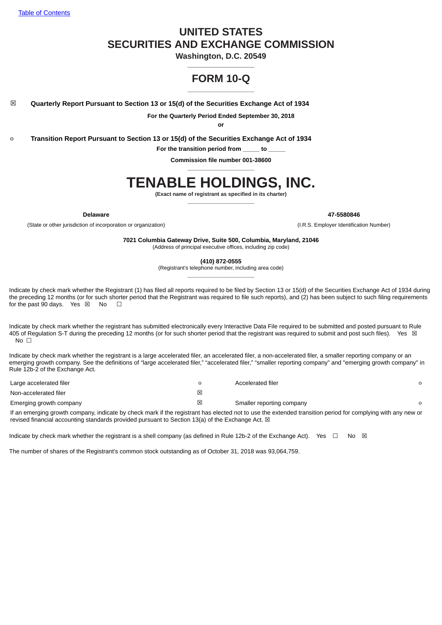# **UNITED STATES SECURITIES AND EXCHANGE COMMISSION**

**Washington, D.C. 20549 \_\_\_\_\_\_\_\_\_\_\_\_\_\_\_\_\_\_**

## **FORM 10-Q \_\_\_\_\_\_\_\_\_\_\_\_\_\_\_\_\_\_**

☒ **Quarterly Report Pursuant to Section 13 or 15(d) of the Securities Exchange Act of 1934**

**For the Quarterly Period Ended September 30, 2018**

**or**

o **Transition Report Pursuant to Section 13 or 15(d) of the Securities Exchange Act of 1934**

**For the transition period from \_\_\_\_\_ to \_\_\_\_\_**

**Commission file number 001-38600 \_\_\_\_\_\_\_\_\_\_\_\_\_\_\_\_\_\_**

# **TENABLE HOLDINGS, INC.**

**(Exact name of registrant as specified in its charter) \_\_\_\_\_\_\_\_\_\_\_\_\_\_\_\_\_\_**

(State or other jurisdiction of incorporation or organization) (I.R.S. Employer Identification Number)

**Delaware 47-5580846**

**7021 Columbia Gateway Drive, Suite 500, Columbia, Maryland, 21046** (Address of principal executive offices, including zip code)

**(410) 872-0555**

(Registrant's telephone number, including area code) **\_\_\_\_\_\_\_\_\_\_\_\_\_\_\_\_\_\_**

Indicate by check mark whether the Registrant (1) has filed all reports required to be filed by Section 13 or 15(d) of the Securities Exchange Act of 1934 during the preceding 12 months (or for such shorter period that the Registrant was required to file such reports), and (2) has been subject to such filing requirements for the past 90 days. Yes  $\boxtimes$  No  $\Box$ 

Indicate by check mark whether the registrant has submitted electronically every Interactive Data File required to be submitted and posted pursuant to Rule 405 of Regulation S-T during the preceding 12 months (or for such shorter period that the registrant was required to submit and post such files). Yes  $\boxtimes$  $No$   $\Box$ 

Indicate by check mark whether the registrant is a large accelerated filer, an accelerated filer, a non-accelerated filer, a smaller reporting company or an emerging growth company. See the definitions of "large accelerated filer," "accelerated filer," "smaller reporting company" and "emerging growth company" in Rule 12b-2 of the Exchange Act.

| Large accelerated filer                   | o | Accelerated filer         |  |
|-------------------------------------------|---|---------------------------|--|
| Non-accelerated filer                     | ⊠ |                           |  |
| Emerging growth company                   | 区 | Smaller reporting company |  |
| $\cdots$<br>$\overline{\phantom{a}}$<br>. |   | .<br>.                    |  |

If an emerging growth company, indicate by check mark if the registrant has elected not to use the extended transition period for complying with any new or revised financial accounting standards provided pursuant to Section 13(a) of the Exchange Act.  $\boxtimes$ 

Indicate by check mark whether the registrant is a shell company (as defined in Rule 12b-2 of the Exchange Act). Yes  $\Box$  No  $\boxtimes$ 

The number of shares of the Registrant's common stock outstanding as of October 31, 2018 was 93,064,759.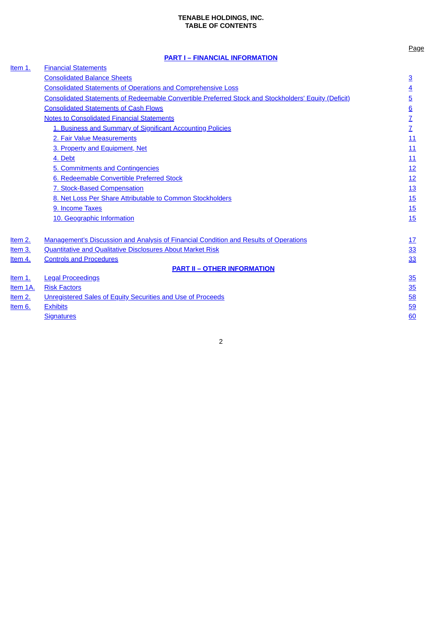## **TENABLE HOLDINGS, INC. TABLE OF CONTENTS**

## **PART I – FINANCIAL [INFORMATION](#page-2-0)**

<span id="page-1-0"></span>

| Item 1.   | <b>Financial Statements</b>                                                                          |                           |
|-----------|------------------------------------------------------------------------------------------------------|---------------------------|
|           | <b>Consolidated Balance Sheets</b>                                                                   | $\overline{3}$            |
|           | <b>Consolidated Statements of Operations and Comprehensive Loss</b>                                  | $\overline{4}$            |
|           | Consolidated Statements of Redeemable Convertible Preferred Stock and Stockholders' Equity (Deficit) | $\overline{5}$            |
|           | <b>Consolidated Statements of Cash Flows</b>                                                         | $\underline{6}$           |
|           | <b>Notes to Consolidated Financial Statements</b>                                                    | $\overline{1}$            |
|           | 1. Business and Summary of Significant Accounting Policies                                           | $\overline{1}$            |
|           | 2. Fair Value Measurements                                                                           | 11                        |
|           | 3. Property and Equipment, Net                                                                       | $\underline{\textbf{11}}$ |
|           | 4. Debt                                                                                              | $\underline{11}$          |
|           | 5. Commitments and Contingencies                                                                     | 12                        |
|           | 6. Redeemable Convertible Preferred Stock                                                            | 12                        |
|           | 7. Stock-Based Compensation                                                                          | 13                        |
|           | 8. Net Loss Per Share Attributable to Common Stockholders                                            | 15                        |
|           | 9. Income Taxes                                                                                      | 15                        |
|           | 10. Geographic Information                                                                           | 15                        |
|           |                                                                                                      |                           |
| Item $2.$ | <b>Management's Discussion and Analysis of Financial Condition and Results of Operations</b>         | 17                        |
| Item 3.   | <b>Quantitative and Qualitative Disclosures About Market Risk</b>                                    | 33                        |
| Item 4.   | <b>Controls and Procedures</b>                                                                       | 33                        |
|           | <b>PART II - OTHER INFORMATION</b>                                                                   |                           |
| Item 1.   | <b>Legal Proceedings</b>                                                                             | 35                        |
| Item 1A.  | <b>Risk Factors</b>                                                                                  | 35                        |
| Item 2.   | Unregistered Sales of Equity Securities and Use of Proceeds                                          | <u>58</u>                 |
| Item 6.   | <b>Exhibits</b>                                                                                      | 59                        |
|           | <b>Signatures</b>                                                                                    | 60                        |
|           |                                                                                                      |                           |

2

Page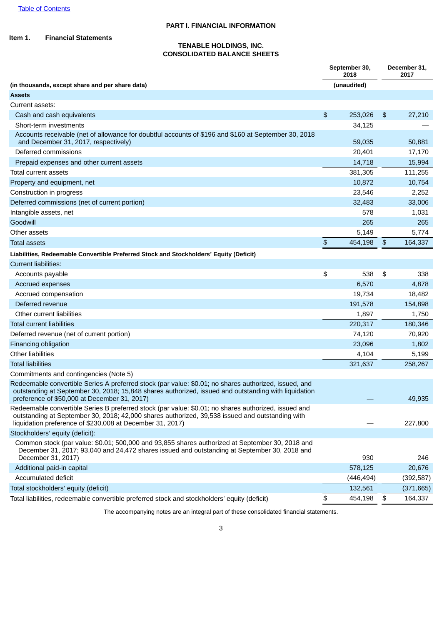## **PART I. FINANCIAL INFORMATION**

## <span id="page-2-1"></span><span id="page-2-0"></span>**Item 1. Financial Statements**

## **TENABLE HOLDINGS, INC. CONSOLIDATED BALANCE SHEETS**

|                                                                                                                                                                                                                                                                      | September 30,<br>2018 |               | December 31,<br>2017 |  |  |
|----------------------------------------------------------------------------------------------------------------------------------------------------------------------------------------------------------------------------------------------------------------------|-----------------------|---------------|----------------------|--|--|
| (in thousands, except share and per share data)                                                                                                                                                                                                                      | (unaudited)           |               |                      |  |  |
| <b>Assets</b>                                                                                                                                                                                                                                                        |                       |               |                      |  |  |
| Current assets:                                                                                                                                                                                                                                                      |                       |               |                      |  |  |
| Cash and cash equivalents                                                                                                                                                                                                                                            | \$<br>253,026         | \$            | 27,210               |  |  |
| Short-term investments                                                                                                                                                                                                                                               | 34,125                |               |                      |  |  |
| Accounts receivable (net of allowance for doubtful accounts of \$196 and \$160 at September 30, 2018<br>and December 31, 2017, respectively)                                                                                                                         | 59,035                |               | 50,881               |  |  |
| Deferred commissions                                                                                                                                                                                                                                                 | 20,401                |               | 17,170               |  |  |
| Prepaid expenses and other current assets                                                                                                                                                                                                                            | 14,718                |               | 15,994               |  |  |
| Total current assets                                                                                                                                                                                                                                                 | 381,305               |               | 111,255              |  |  |
| Property and equipment, net                                                                                                                                                                                                                                          | 10,872                |               | 10,754               |  |  |
| Construction in progress                                                                                                                                                                                                                                             | 23,546                |               | 2,252                |  |  |
| Deferred commissions (net of current portion)                                                                                                                                                                                                                        | 32,483                |               | 33,006               |  |  |
| Intangible assets, net                                                                                                                                                                                                                                               | 578                   |               | 1,031                |  |  |
| Goodwill                                                                                                                                                                                                                                                             | 265                   |               | 265                  |  |  |
| Other assets                                                                                                                                                                                                                                                         | 5,149                 |               | 5,774                |  |  |
| <b>Total assets</b>                                                                                                                                                                                                                                                  | \$<br>454,198         | $\frac{1}{2}$ | 164,337              |  |  |
| Liabilities, Redeemable Convertible Preferred Stock and Stockholders' Equity (Deficit)                                                                                                                                                                               |                       |               |                      |  |  |
| <b>Current liabilities:</b>                                                                                                                                                                                                                                          |                       |               |                      |  |  |
| Accounts payable                                                                                                                                                                                                                                                     | \$<br>538             | \$            | 338                  |  |  |
| Accrued expenses                                                                                                                                                                                                                                                     | 6,570                 |               | 4,878                |  |  |
| Accrued compensation                                                                                                                                                                                                                                                 | 19,734                |               | 18,482               |  |  |
| Deferred revenue                                                                                                                                                                                                                                                     | 191,578               |               | 154,898              |  |  |
| Other current liabilities                                                                                                                                                                                                                                            | 1,897                 |               | 1,750                |  |  |
| <b>Total current liabilities</b>                                                                                                                                                                                                                                     | 220,317               |               | 180,346              |  |  |
| Deferred revenue (net of current portion)                                                                                                                                                                                                                            | 74,120                |               | 70,920               |  |  |
| Financing obligation                                                                                                                                                                                                                                                 | 23,096                |               | 1,802                |  |  |
| <b>Other liabilities</b>                                                                                                                                                                                                                                             | 4,104                 |               | 5,199                |  |  |
| <b>Total liabilities</b>                                                                                                                                                                                                                                             | 321,637               |               | 258,267              |  |  |
| Commitments and contingencies (Note 5)                                                                                                                                                                                                                               |                       |               |                      |  |  |
| Redeemable convertible Series A preferred stock (par value: \$0.01; no shares authorized, issued, and<br>outstanding at September 30, 2018; 15,848 shares authorized, issued and outstanding with liquidation<br>preference of \$50,000 at December 31, 2017)        |                       |               | 49,935               |  |  |
| Redeemable convertible Series B preferred stock (par value: \$0.01; no shares authorized, issued and<br>outstanding at September 30, 2018; 42,000 shares authorized, 39,538 issued and outstanding with<br>liquidation preference of \$230,008 at December 31, 2017) |                       |               | 227,800              |  |  |
| Stockholders' equity (deficit):                                                                                                                                                                                                                                      |                       |               |                      |  |  |
| Common stock (par value: \$0.01; 500,000 and 93,855 shares authorized at September 30, 2018 and<br>December 31, 2017; 93,040 and 24,472 shares issued and outstanding at September 30, 2018 and<br>December 31, 2017)                                                | 930                   |               | 246                  |  |  |
| Additional paid-in capital                                                                                                                                                                                                                                           | 578,125               |               | 20,676               |  |  |
| Accumulated deficit                                                                                                                                                                                                                                                  | (446, 494)            |               | (392, 587)           |  |  |
| Total stockholders' equity (deficit)                                                                                                                                                                                                                                 | 132,561               |               | (371, 665)           |  |  |
|                                                                                                                                                                                                                                                                      | 454,198               |               | 164,337              |  |  |
| Total liabilities, redeemable convertible preferred stock and stockholders' equity (deficit)                                                                                                                                                                         | \$                    | \$            |                      |  |  |

The accompanying notes are an integral part of these consolidated financial statements.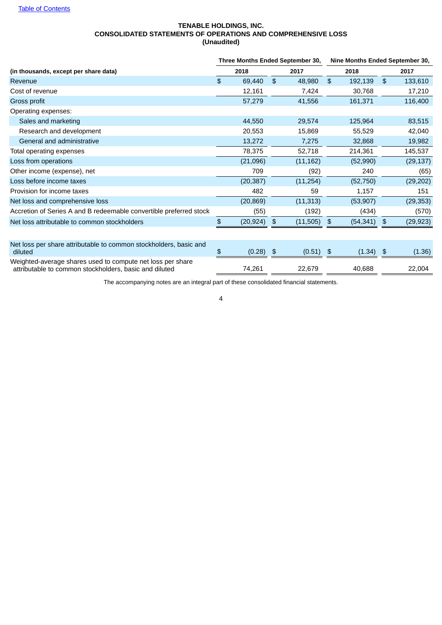## **TENABLE HOLDINGS, INC. CONSOLIDATED STATEMENTS OF OPERATIONS AND COMPREHENSIVE LOSS (Unaudited)**

<span id="page-3-0"></span>

|                                                                                                                      | Three Months Ended September 30, |           |      |             |      | Nine Months Ended September 30, |                |           |  |
|----------------------------------------------------------------------------------------------------------------------|----------------------------------|-----------|------|-------------|------|---------------------------------|----------------|-----------|--|
| (in thousands, except per share data)                                                                                |                                  | 2018      | 2017 |             | 2018 |                                 |                | 2017      |  |
| Revenue                                                                                                              | \$                               | 69,440    | \$   | 48,980      | \$   | 192,139                         | \$             | 133,610   |  |
| Cost of revenue                                                                                                      |                                  | 12,161    |      | 7,424       |      | 30,768                          |                | 17,210    |  |
| Gross profit                                                                                                         |                                  | 57,279    |      | 41,556      |      | 161,371                         |                | 116,400   |  |
| Operating expenses:                                                                                                  |                                  |           |      |             |      |                                 |                |           |  |
| Sales and marketing                                                                                                  |                                  | 44,550    |      | 29,574      |      | 125,964                         |                | 83,515    |  |
| Research and development                                                                                             |                                  | 20,553    |      | 15,869      |      | 55,529                          |                | 42,040    |  |
| General and administrative                                                                                           |                                  | 13,272    |      | 7,275       |      | 32,868                          |                | 19,982    |  |
| Total operating expenses                                                                                             |                                  | 78,375    |      | 52,718      |      | 214,361                         |                | 145,537   |  |
| Loss from operations                                                                                                 |                                  | (21,096)  |      | (11, 162)   |      | (52,990)                        |                | (29, 137) |  |
| Other income (expense), net                                                                                          |                                  | 709       |      | (92)        |      | 240                             |                | (65)      |  |
| Loss before income taxes                                                                                             |                                  | (20, 387) |      | (11, 254)   |      | (52, 750)                       |                | (29, 202) |  |
| Provision for income taxes                                                                                           |                                  | 482       |      | 59          |      | 1,157                           |                | 151       |  |
| Net loss and comprehensive loss                                                                                      |                                  | (20, 869) |      | (11, 313)   |      | (53,907)                        |                | (29, 353) |  |
| Accretion of Series A and B redeemable convertible preferred stock                                                   |                                  | (55)      |      | (192)       |      | (434)                           |                | (570)     |  |
| Net loss attributable to common stockholders                                                                         | \$                               | (20, 924) | \$   | (11, 505)   | \$   | (54, 341)                       | $\frac{3}{2}$  | (29, 923) |  |
|                                                                                                                      |                                  |           |      |             |      |                                 |                |           |  |
| Net loss per share attributable to common stockholders, basic and<br>diluted                                         | \$                               | (0.28)    | \$   | $(0.51)$ \$ |      | (1.34)                          | $\mathfrak{P}$ | (1.36)    |  |
| Weighted-average shares used to compute net loss per share<br>attributable to common stockholders, basic and diluted |                                  | 74,261    |      | 22,679      |      | 40.688                          |                | 22.004    |  |

The accompanying notes are an integral part of these consolidated financial statements.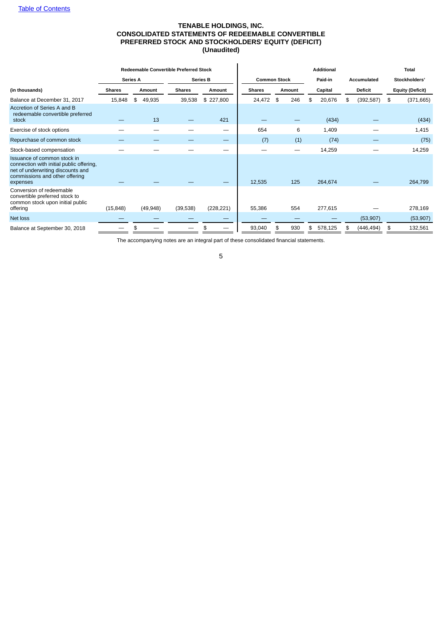## **TENABLE HOLDINGS, INC. CONSOLIDATED STATEMENTS OF REDEEMABLE CONVERTIBLE PREFERRED STOCK AND STOCKHOLDERS' EQUITY (DEFICIT) (Unaudited)**

<span id="page-4-0"></span>

|                                                                                                                                                            |               | <b>Redeemable Convertible Preferred Stock</b> |               |                 |                     |           | <b>Additional</b> |                    | <b>Total</b>            |  |
|------------------------------------------------------------------------------------------------------------------------------------------------------------|---------------|-----------------------------------------------|---------------|-----------------|---------------------|-----------|-------------------|--------------------|-------------------------|--|
|                                                                                                                                                            |               | <b>Series A</b>                               |               | <b>Series B</b> | <b>Common Stock</b> |           | Paid-in           | <b>Accumulated</b> | Stockholders'           |  |
| (in thousands)                                                                                                                                             | <b>Shares</b> | Amount                                        | <b>Shares</b> | Amount          | <b>Shares</b>       | Amount    | Capital           | <b>Deficit</b>     | <b>Equity (Deficit)</b> |  |
| Balance at December 31, 2017                                                                                                                               | 15,848        | 49,935<br>\$                                  | 39,538        | \$ 227,800      | 24,472              | \$<br>246 | 20,676<br>\$      | (392, 587)<br>\$   | (371, 665)<br>\$        |  |
| Accretion of Series A and B<br>redeemable convertible preferred<br>stock                                                                                   |               | 13                                            |               | 421             |                     |           | (434)             |                    | (434)                   |  |
| Exercise of stock options                                                                                                                                  |               |                                               |               | -               | 654                 | 6         | 1,409             |                    | 1,415                   |  |
| Repurchase of common stock                                                                                                                                 |               |                                               |               |                 | (7)                 | (1)       | (74)              |                    | (75)                    |  |
| Stock-based compensation                                                                                                                                   |               |                                               |               |                 |                     |           | 14,259            |                    | 14,259                  |  |
| Issuance of common stock in<br>connection with initial public offering,<br>net of underwriting discounts and<br>commissions and other offering<br>expenses |               |                                               |               |                 | 12,535              | 125       | 264,674           |                    | 264,799                 |  |
| Conversion of redeemable<br>convertible preferred stock to<br>common stock upon initial public<br>offering                                                 | (15, 848)     | (49, 948)                                     | (39,538)      | (228, 221)      | 55,386              | 554       | 277,615           |                    | 278,169                 |  |
| Net loss                                                                                                                                                   |               |                                               |               |                 |                     |           |                   | (53,907)           | (53,907)                |  |
| Balance at September 30, 2018                                                                                                                              |               |                                               |               |                 | 93,040              | 930<br>\$ | 578,125<br>\$     | (446, 494)         | 132,561<br>\$           |  |

The accompanying notes are an integral part of these consolidated financial statements.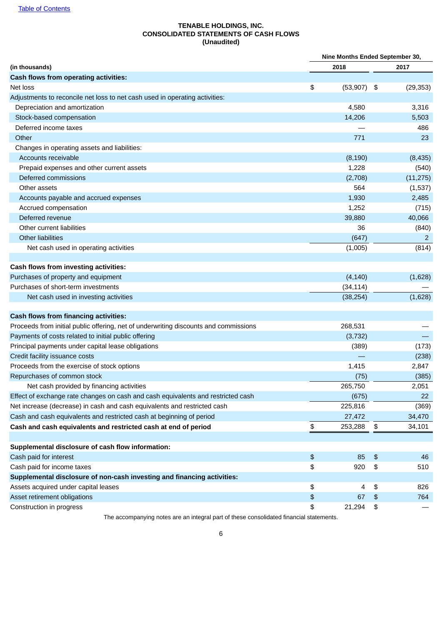## **TENABLE HOLDINGS, INC. CONSOLIDATED STATEMENTS OF CASH FLOWS (Unaudited)**

<span id="page-5-0"></span>

|                                                                                      |                      | Nine Months Ended September 30, |      |           |  |  |  |
|--------------------------------------------------------------------------------------|----------------------|---------------------------------|------|-----------|--|--|--|
| (in thousands)                                                                       |                      | 2018                            | 2017 |           |  |  |  |
| Cash flows from operating activities:                                                |                      |                                 |      |           |  |  |  |
| Net loss                                                                             | \$                   | (53, 907)                       | -\$  | (29, 353) |  |  |  |
| Adjustments to reconcile net loss to net cash used in operating activities:          |                      |                                 |      |           |  |  |  |
| Depreciation and amortization                                                        |                      | 4,580                           |      | 3,316     |  |  |  |
| Stock-based compensation                                                             |                      | 14,206                          |      | 5,503     |  |  |  |
| Deferred income taxes                                                                |                      |                                 |      | 486       |  |  |  |
| Other                                                                                |                      | 771                             |      | 23        |  |  |  |
| Changes in operating assets and liabilities:                                         |                      |                                 |      |           |  |  |  |
| Accounts receivable                                                                  |                      | (8, 190)                        |      | (8,435)   |  |  |  |
| Prepaid expenses and other current assets                                            |                      | 1,228                           |      | (540)     |  |  |  |
| Deferred commissions                                                                 |                      | (2,708)                         |      | (11, 275) |  |  |  |
| Other assets                                                                         |                      | 564                             |      | (1,537)   |  |  |  |
| Accounts payable and accrued expenses                                                |                      | 1,930                           |      | 2,485     |  |  |  |
| Accrued compensation                                                                 |                      | 1,252                           |      | (715)     |  |  |  |
| Deferred revenue                                                                     |                      | 39,880                          |      | 40,066    |  |  |  |
| Other current liabilities                                                            |                      | 36                              |      | (840)     |  |  |  |
| <b>Other liabilities</b>                                                             |                      | (647)                           |      | 2         |  |  |  |
| Net cash used in operating activities                                                |                      | (1,005)                         |      | (814)     |  |  |  |
|                                                                                      |                      |                                 |      |           |  |  |  |
| Cash flows from investing activities:                                                |                      |                                 |      |           |  |  |  |
| Purchases of property and equipment                                                  |                      | (4, 140)                        |      | (1,628)   |  |  |  |
| Purchases of short-term investments                                                  |                      | (34, 114)                       |      |           |  |  |  |
| Net cash used in investing activities                                                |                      | (38, 254)                       |      | (1,628)   |  |  |  |
| Cash flows from financing activities:                                                |                      |                                 |      |           |  |  |  |
| Proceeds from initial public offering, net of underwriting discounts and commissions |                      | 268,531                         |      |           |  |  |  |
| Payments of costs related to initial public offering                                 |                      | (3, 732)                        |      |           |  |  |  |
| Principal payments under capital lease obligations                                   |                      | (389)                           |      | (173)     |  |  |  |
| Credit facility issuance costs                                                       |                      |                                 |      | (238)     |  |  |  |
| Proceeds from the exercise of stock options                                          |                      | 1,415                           |      | 2,847     |  |  |  |
| Repurchases of common stock                                                          |                      | (75)                            |      | (385)     |  |  |  |
| Net cash provided by financing activities                                            |                      | 265,750                         |      | 2,051     |  |  |  |
| Effect of exchange rate changes on cash and cash equivalents and restricted cash     |                      | (675)                           |      | 22        |  |  |  |
| Net increase (decrease) in cash and cash equivalents and restricted cash             |                      | 225,816                         |      | (369)     |  |  |  |
| Cash and cash equivalents and restricted cash at beginning of period                 |                      | 27,472                          |      | 34,470    |  |  |  |
| Cash and cash equivalents and restricted cash at end of period                       | \$                   | 253,288                         | \$   | 34,101    |  |  |  |
|                                                                                      |                      |                                 |      |           |  |  |  |
| Supplemental disclosure of cash flow information:                                    |                      |                                 |      |           |  |  |  |
| Cash paid for interest                                                               | $\pmb{\mathfrak{s}}$ | 85                              | \$   | 46        |  |  |  |
| Cash paid for income taxes                                                           | \$                   | 920                             | \$   | 510       |  |  |  |
| Supplemental disclosure of non-cash investing and financing activities:              |                      |                                 |      |           |  |  |  |
| Assets acquired under capital leases                                                 | \$                   | 4                               | \$   | 826       |  |  |  |
| Asset retirement obligations                                                         | $\pmb{\$}$           | 67                              | \$   | 764       |  |  |  |
| Construction in progress                                                             | \$                   | 21,294                          | \$   |           |  |  |  |

The accompanying notes are an integral part of these consolidated financial statements.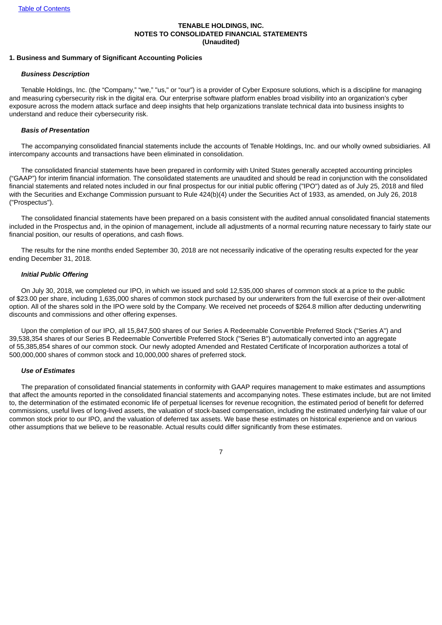#### **TENABLE HOLDINGS, INC. NOTES TO CONSOLIDATED FINANCIAL STATEMENTS (Unaudited)**

#### <span id="page-6-1"></span><span id="page-6-0"></span>**1. Business and Summary of Significant Accounting Policies**

#### *Business Description*

Tenable Holdings, Inc. (the "Company," "we," "us," or "our") is a provider of Cyber Exposure solutions, which is a discipline for managing and measuring cybersecurity risk in the digital era. Our enterprise software platform enables broad visibility into an organization's cyber exposure across the modern attack surface and deep insights that help organizations translate technical data into business insights to understand and reduce their cybersecurity risk.

#### *Basis of Presentation*

The accompanying consolidated financial statements include the accounts of Tenable Holdings, Inc. and our wholly owned subsidiaries. All intercompany accounts and transactions have been eliminated in consolidation.

The consolidated financial statements have been prepared in conformity with United States generally accepted accounting principles ("GAAP") for interim financial information. The consolidated statements are unaudited and should be read in conjunction with the consolidated financial statements and related notes included in our final prospectus for our initial public offering ("IPO") dated as of July 25, 2018 and filed with the Securities and Exchange Commission pursuant to Rule 424(b)(4) under the Securities Act of 1933, as amended, on July 26, 2018 ("Prospectus").

The consolidated financial statements have been prepared on a basis consistent with the audited annual consolidated financial statements included in the Prospectus and, in the opinion of management, include all adjustments of a normal recurring nature necessary to fairly state our financial position, our results of operations, and cash flows.

The results for the nine months ended September 30, 2018 are not necessarily indicative of the operating results expected for the year ending December 31, 2018.

#### *Initial Public Offering*

On July 30, 2018, we completed our IPO, in which we issued and sold 12,535,000 shares of common stock at a price to the public of \$23.00 per share, including 1,635,000 shares of common stock purchased by our underwriters from the full exercise of their over-allotment option. All of the shares sold in the IPO were sold by the Company. We received net proceeds of \$264.8 million after deducting underwriting discounts and commissions and other offering expenses.

Upon the completion of our IPO, all 15,847,500 shares of our Series A Redeemable Convertible Preferred Stock ("Series A") and 39,538,354 shares of our Series B Redeemable Convertible Preferred Stock ("Series B") automatically converted into an aggregate of 55,385,854 shares of our common stock. Our newly adopted Amended and Restated Certificate of Incorporation authorizes a total of 500,000,000 shares of common stock and 10,000,000 shares of preferred stock.

#### *Use of Estimates*

The preparation of consolidated financial statements in conformity with GAAP requires management to make estimates and assumptions that affect the amounts reported in the consolidated financial statements and accompanying notes. These estimates include, but are not limited to, the determination of the estimated economic life of perpetual licenses for revenue recognition, the estimated period of benefit for deferred commissions, useful lives of long-lived assets, the valuation of stock-based compensation, including the estimated underlying fair value of our common stock prior to our IPO, and the valuation of deferred tax assets. We base these estimates on historical experience and on various other assumptions that we believe to be reasonable. Actual results could differ significantly from these estimates.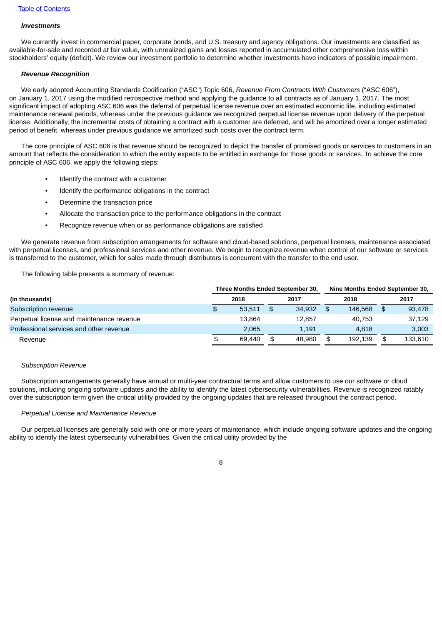#### *Investments*

We currently invest in commercial paper, corporate bonds, and U.S. treasury and agency obligations. Our investments are classified as available-for-sale and recorded at fair value, with unrealized gains and losses reported in accumulated other comprehensive loss within stockholders' equity (deficit). We review our investment portfolio to determine whether investments have indicators of possible impairment.

#### *Revenue Recognition*

We early adopted Accounting Standards Codification ("ASC") Topic 606, *Revenue From Contracts With Customers* ("ASC 606"), on January 1, 2017 using the modified retrospective method and applying the guidance to all contracts as of January 1, 2017. The most significant impact of adopting ASC 606 was the deferral of perpetual license revenue over an estimated economic life, including estimated maintenance renewal periods, whereas under the previous guidance we recognized perpetual license revenue upon delivery of the perpetual license. Additionally, the incremental costs of obtaining a contract with a customer are deferred, and will be amortized over a longer estimated period of benefit, whereas under previous guidance we amortized such costs over the contract term.

The core principle of ASC 606 is that revenue should be recognized to depict the transfer of promised goods or services to customers in an amount that reflects the consideration to which the entity expects to be entitled in exchange for those goods or services. To achieve the core principle of ASC 606, we apply the following steps:

- Identify the contract with a customer
- Identify the performance obligations in the contract
- Determine the transaction price
- Allocate the transaction price to the performance obligations in the contract
- Recognize revenue when or as performance obligations are satisfied

We generate revenue from subscription arrangements for software and cloud-based solutions, perpetual licenses, maintenance associated with perpetual licenses, and professional services and other revenue. We begin to recognize revenue when control of our software or services is transferred to the customer, which for sales made through distributors is concurrent with the transfer to the end user.

#### The following table presents a summary of revenue:

|                                           | Three Months Ended September 30, |        |    |        | Nine Months Ended September 30, |         |    |         |
|-------------------------------------------|----------------------------------|--------|----|--------|---------------------------------|---------|----|---------|
| (in thousands)                            |                                  | 2018   |    | 2017   |                                 | 2018    |    | 2017    |
| Subscription revenue                      | \$                               | 53.511 | \$ | 34.932 | \$                              | 146,568 | \$ | 93,478  |
| Perpetual license and maintenance revenue |                                  | 13.864 |    | 12.857 |                                 | 40.753  |    | 37.129  |
| Professional services and other revenue   |                                  | 2.065  |    | 1.191  |                                 | 4.818   |    | 3.003   |
| Revenue                                   | \$                               | 69.440 | \$ | 48.980 | \$                              | 192.139 | \$ | 133.610 |

#### *Subscription Revenue*

Subscription arrangements generally have annual or multi-year contractual terms and allow customers to use our software or cloud solutions, including ongoing software updates and the ability to identify the latest cybersecurity vulnerabilities. Revenue is recognized ratably over the subscription term given the critical utility provided by the ongoing updates that are released throughout the contract period.

#### *Perpetual License and Maintenance Revenue*

Our perpetual licenses are generally sold with one or more years of maintenance, which include ongoing software updates and the ongoing ability to identify the latest cybersecurity vulnerabilities. Given the critical utility provided by the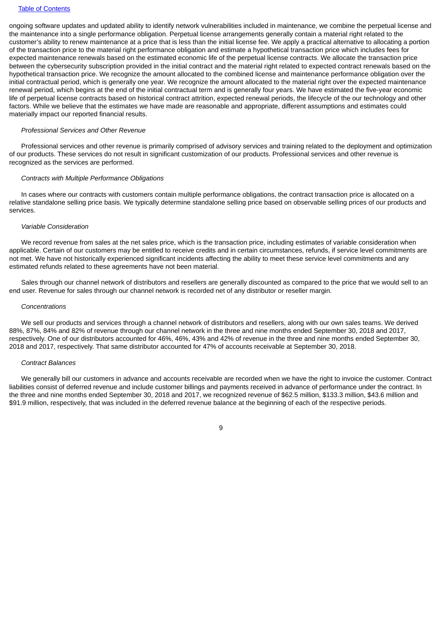ongoing software updates and updated ability to identify network vulnerabilities included in maintenance, we combine the perpetual license and the maintenance into a single performance obligation. Perpetual license arrangements generally contain a material right related to the customer's ability to renew maintenance at a price that is less than the initial license fee. We apply a practical alternative to allocating a portion of the transaction price to the material right performance obligation and estimate a hypothetical transaction price which includes fees for expected maintenance renewals based on the estimated economic life of the perpetual license contracts. We allocate the transaction price between the cybersecurity subscription provided in the initial contract and the material right related to expected contract renewals based on the hypothetical transaction price. We recognize the amount allocated to the combined license and maintenance performance obligation over the initial contractual period, which is generally one year. We recognize the amount allocated to the material right over the expected maintenance renewal period, which begins at the end of the initial contractual term and is generally four years. We have estimated the five-year economic life of perpetual license contracts based on historical contract attrition, expected renewal periods, the lifecycle of the our technology and other factors. While we believe that the estimates we have made are reasonable and appropriate, different assumptions and estimates could materially impact our reported financial results.

#### *Professional Services and Other Revenue*

Professional services and other revenue is primarily comprised of advisory services and training related to the deployment and optimization of our products. These services do not result in significant customization of our products. Professional services and other revenue is recognized as the services are performed.

#### *Contracts with Multiple Performance Obligations*

In cases where our contracts with customers contain multiple performance obligations, the contract transaction price is allocated on a relative standalone selling price basis. We typically determine standalone selling price based on observable selling prices of our products and services.

#### *Variable Consideration*

We record revenue from sales at the net sales price, which is the transaction price, including estimates of variable consideration when applicable. Certain of our customers may be entitled to receive credits and in certain circumstances, refunds, if service level commitments are not met. We have not historically experienced significant incidents affecting the ability to meet these service level commitments and any estimated refunds related to these agreements have not been material.

Sales through our channel network of distributors and resellers are generally discounted as compared to the price that we would sell to an end user. Revenue for sales through our channel network is recorded net of any distributor or reseller margin.

#### *Concentrations*

We sell our products and services through a channel network of distributors and resellers, along with our own sales teams. We derived 88%, 87%, 84% and 82% of revenue through our channel network in the three and nine months ended September 30, 2018 and 2017, respectively. One of our distributors accounted for 46%, 46%, 43% and 42% of revenue in the three and nine months ended September 30, 2018 and 2017, respectively. That same distributor accounted for 47% of accounts receivable at September 30, 2018.

#### *Contract Balances*

We generally bill our customers in advance and accounts receivable are recorded when we have the right to invoice the customer. Contract liabilities consist of deferred revenue and include customer billings and payments received in advance of performance under the contract. In the three and nine months ended September 30, 2018 and 2017, we recognized revenue of \$62.5 million, \$133.3 million, \$43.6 million and \$91.9 million, respectively, that was included in the deferred revenue balance at the beginning of each of the respective periods.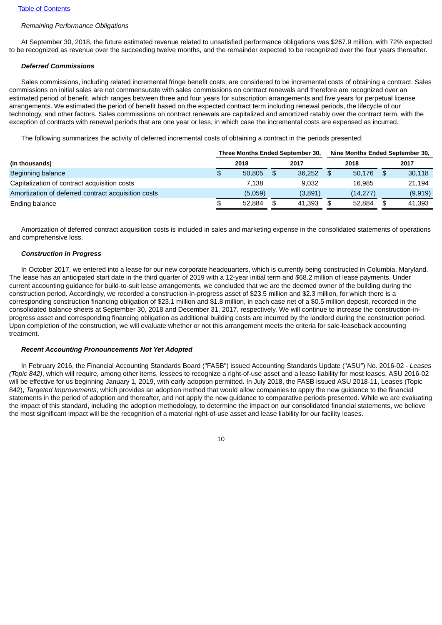## *Remaining Performance Obligations*

At September 30, 2018, the future estimated revenue related to unsatisfied performance obligations was \$267.9 million, with 72% expected to be recognized as revenue over the succeeding twelve months, and the remainder expected to be recognized over the four years thereafter.

#### *Deferred Commissions*

Sales commissions, including related incremental fringe benefit costs, are considered to be incremental costs of obtaining a contract. Sales commissions on initial sales are not commensurate with sales commissions on contract renewals and therefore are recognized over an estimated period of benefit, which ranges between three and four years for subscription arrangements and five years for perpetual license arrangements. We estimated the period of benefit based on the expected contract term including renewal periods, the lifecycle of our technology, and other factors. Sales commissions on contract renewals are capitalized and amortized ratably over the contract term, with the exception of contracts with renewal periods that are one year or less, in which case the incremental costs are expensed as incurred.

The following summarizes the activity of deferred incremental costs of obtaining a contract in the periods presented:

|                                                     | Three Months Ended September 30, |         |  |         | Nine Months Ended September 30, |           |      |         |
|-----------------------------------------------------|----------------------------------|---------|--|---------|---------------------------------|-----------|------|---------|
| (in thousands)                                      |                                  | 2018    |  | 2017    |                                 | 2018      |      | 2017    |
| Beginning balance                                   |                                  | 50.805  |  | 36.252  |                                 | 50.176    | - \$ | 30.118  |
| Capitalization of contract acquisition costs        |                                  | 7.138   |  | 9.032   |                                 | 16.985    |      | 21.194  |
| Amortization of deferred contract acquisition costs |                                  | (5.059) |  | (3,891) |                                 | (14, 277) |      | (9,919) |
| Ending balance                                      |                                  | 52.884  |  | 41.393  |                                 | 52.884    | \$   | 41.393  |

Amortization of deferred contract acquisition costs is included in sales and marketing expense in the consolidated statements of operations and comprehensive loss.

#### *Construction in Progress*

In October 2017, we entered into a lease for our new corporate headquarters, which is currently being constructed in Columbia, Maryland. The lease has an anticipated start date in the third quarter of 2019 with a 12-year initial term and \$68.2 million of lease payments. Under current accounting guidance for build-to-suit lease arrangements, we concluded that we are the deemed owner of the building during the construction period. Accordingly, we recorded a construction-in-progress asset of \$23.5 million and \$2.3 million, for which there is a corresponding construction financing obligation of \$23.1 million and \$1.8 million, in each case net of a \$0.5 million deposit, recorded in the consolidated balance sheets at September 30, 2018 and December 31, 2017, respectively. We will continue to increase the construction-inprogress asset and corresponding financing obligation as additional building costs are incurred by the landlord during the construction period. Upon completion of the construction, we will evaluate whether or not this arrangement meets the criteria for sale-leaseback accounting treatment.

#### *Recent Accounting Pronouncements Not Yet Adopted*

In February 2016, the Financial Accounting Standards Board ("FASB") issued Accounting Standards Update ("ASU") No. 2016-02 - *Leases (Topic 842)*, which will require, among other items, lessees to recognize a right-of-use asset and a lease liability for most leases. ASU 2016-02 will be effective for us beginning January 1, 2019, with early adoption permitted. In July 2018, the FASB issued ASU 2018-11, Leases (Topic 842), *Targeted Improvements*, which provides an adoption method that would allow companies to apply the new guidance to the financial statements in the period of adoption and thereafter, and not apply the new guidance to comparative periods presented. While we are evaluating the impact of this standard, including the adoption methodology, to determine the impact on our consolidated financial statements, we believe the most significant impact will be the recognition of a material right-of-use asset and lease liability for our facility leases.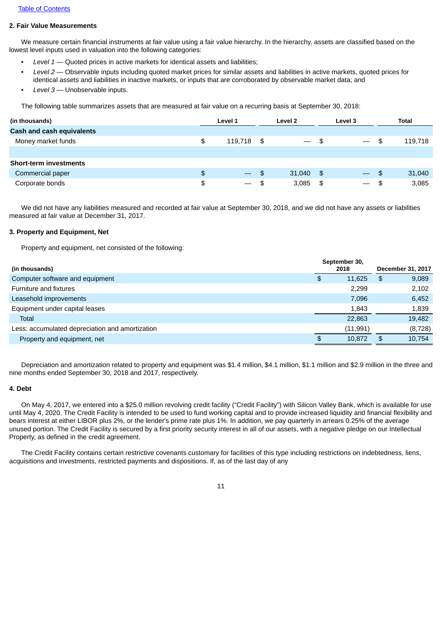## <span id="page-10-0"></span>**2. Fair Value Measurements**

We measure certain financial instruments at fair value using a fair value hierarchy. In the hierarchy, assets are classified based on the lowest level inputs used in valuation into the following categories:

- *Level 1* Quoted prices in active markets for identical assets and liabilities;
- *Level 2* Observable inputs including quoted market prices for similar assets and liabilities in active markets, quoted prices for identical assets and liabilities in inactive markets, or inputs that are corroborated by observable market data; and
- *Level 3* Unobservable inputs.

The following table summarizes assets that are measured at fair value on a recurring basis at September 30, 2018:

| (in thousands)                   | Level 1 |                          | Level 2 |             | Level 3 |                          |      | <b>Total</b> |  |  |
|----------------------------------|---------|--------------------------|---------|-------------|---------|--------------------------|------|--------------|--|--|
| <b>Cash and cash equivalents</b> |         |                          |         |             |         |                          |      |              |  |  |
| Money market funds               | \$      | 119.718                  | - \$    |             | - \$    | $\overline{\phantom{a}}$ | \$   | 119.718      |  |  |
|                                  |         |                          |         |             |         |                          |      |              |  |  |
| <b>Short-term investments</b>    |         |                          |         |             |         |                          |      |              |  |  |
| Commercial paper                 | \$      | $\overline{\phantom{a}}$ | - \$    | $31,040$ \$ |         | $\frac{1}{2}$            | - \$ | 31,040       |  |  |
| Corporate bonds                  | \$      | $\overline{\phantom{m}}$ | \$      | 3,085       | \$.     | $\overline{\phantom{m}}$ | - \$ | 3,085        |  |  |

We did not have any liabilities measured and recorded at fair value at September 30, 2018, and we did not have any assets or liabilities measured at fair value at December 31, 2017.

## <span id="page-10-1"></span>**3. Property and Equipment, Net**

Property and equipment, net consisted of the following:

|                                                 |     | September 30, |                   |
|-------------------------------------------------|-----|---------------|-------------------|
| (in thousands)                                  |     | 2018          | December 31, 2017 |
| Computer software and equipment                 | \$  | 11,625        | \$<br>9,089       |
| Furniture and fixtures                          |     | 2,299         | 2,102             |
| Leasehold improvements                          |     | 7,096         | 6,452             |
| Equipment under capital leases                  |     | 1,843         | 1,839             |
| <b>Total</b>                                    |     | 22,863        | 19,482            |
| Less: accumulated depreciation and amortization |     | (11.991)      | (8, 728)          |
| Property and equipment, net                     | \$. | 10.872        | \$<br>10.754      |
|                                                 |     |               |                   |

Depreciation and amortization related to property and equipment was \$1.4 million, \$4.1 million, \$1.1 million and \$2.9 million in the three and nine months ended September 30, 2018 and 2017, respectively.

## <span id="page-10-2"></span>**4. Debt**

On May 4, 2017, we entered into a \$25.0 million revolving credit facility ("Credit Facility") with Silicon Valley Bank, which is available for use until May 4, 2020. The Credit Facility is intended to be used to fund working capital and to provide increased liquidity and financial flexibility and bears interest at either LIBOR plus 2%, or the lender's prime rate plus 1%. In addition, we pay quarterly in arrears 0.25% of the average unused portion. The Credit Facility is secured by a first priority security interest in all of our assets, with a negative pledge on our Intellectual Property, as defined in the credit agreement.

The Credit Facility contains certain restrictive covenants customary for facilities of this type including restrictions on indebtedness, liens, acquisitions and investments, restricted payments and dispositions. If, as of the last day of any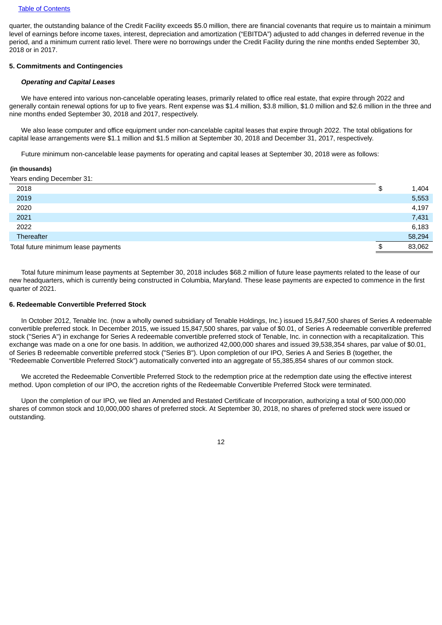quarter, the outstanding balance of the Credit Facility exceeds \$5.0 million, there are financial covenants that require us to maintain a minimum level of earnings before income taxes, interest, depreciation and amortization ("EBITDA") adjusted to add changes in deferred revenue in the period, and a minimum current ratio level. There were no borrowings under the Credit Facility during the nine months ended September 30, 2018 or in 2017.

#### <span id="page-11-0"></span>**5. Commitments and Contingencies**

#### *Operating and Capital Leases*

We have entered into various non-cancelable operating leases, primarily related to office real estate, that expire through 2022 and generally contain renewal options for up to five years. Rent expense was \$1.4 million, \$3.8 million, \$1.0 million and \$2.6 million in the three and nine months ended September 30, 2018 and 2017, respectively.

We also lease computer and office equipment under non-cancelable capital leases that expire through 2022. The total obligations for capital lease arrangements were \$1.1 million and \$1.5 million at September 30, 2018 and December 31, 2017, respectively.

Future minimum non-cancelable lease payments for operating and capital leases at September 30, 2018 were as follows:

#### **(in thousands)**

Years ending December 31:

| 2018                                | \$<br>1,404  |
|-------------------------------------|--------------|
| 2019                                | 5,553        |
| 2020                                | 4,197        |
| 2021                                | 7,431        |
| 2022                                | 6,183        |
| Thereafter                          | 58,294       |
| Total future minimum lease payments | \$<br>83,062 |

Total future minimum lease payments at September 30, 2018 includes \$68.2 million of future lease payments related to the lease of our new headquarters, which is currently being constructed in Columbia, Maryland. These lease payments are expected to commence in the first quarter of 2021.

#### <span id="page-11-1"></span>**6. Redeemable Convertible Preferred Stock**

In October 2012, Tenable Inc. (now a wholly owned subsidiary of Tenable Holdings, Inc.) issued 15,847,500 shares of Series A redeemable convertible preferred stock. In December 2015, we issued 15,847,500 shares, par value of \$0.01, of Series A redeemable convertible preferred stock ("Series A") in exchange for Series A redeemable convertible preferred stock of Tenable, Inc. in connection with a recapitalization. This exchange was made on a one for one basis. In addition, we authorized 42,000,000 shares and issued 39,538,354 shares, par value of \$0.01, of Series B redeemable convertible preferred stock ("Series B"). Upon completion of our IPO, Series A and Series B (together, the "Redeemable Convertible Preferred Stock") automatically converted into an aggregate of 55,385,854 shares of our common stock.

We accreted the Redeemable Convertible Preferred Stock to the redemption price at the redemption date using the effective interest method. Upon completion of our IPO, the accretion rights of the Redeemable Convertible Preferred Stock were terminated.

Upon the completion of our IPO, we filed an Amended and Restated Certificate of Incorporation, authorizing a total of 500,000,000 shares of common stock and 10,000,000 shares of preferred stock. At September 30, 2018, no shares of preferred stock were issued or outstanding.

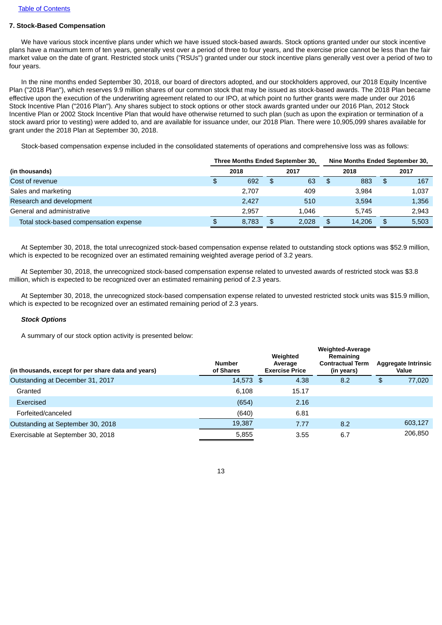## <span id="page-12-0"></span>**7. Stock-Based Compensation**

We have various stock incentive plans under which we have issued stock-based awards. Stock options granted under our stock incentive plans have a maximum term of ten years, generally vest over a period of three to four years, and the exercise price cannot be less than the fair market value on the date of grant. Restricted stock units ("RSUs") granted under our stock incentive plans generally vest over a period of two to four years.

In the nine months ended September 30, 2018, our board of directors adopted, and our stockholders approved, our 2018 Equity Incentive Plan ("2018 Plan"), which reserves 9.9 million shares of our common stock that may be issued as stock-based awards. The 2018 Plan became effective upon the execution of the underwriting agreement related to our IPO, at which point no further grants were made under our 2016 Stock Incentive Plan ("2016 Plan"). Any shares subject to stock options or other stock awards granted under our 2016 Plan, 2012 Stock Incentive Plan or 2002 Stock Incentive Plan that would have otherwise returned to such plan (such as upon the expiration or termination of a stock award prior to vesting) were added to, and are available for issuance under, our 2018 Plan. There were 10,905,099 shares available for grant under the 2018 Plan at September 30, 2018.

Stock-based compensation expense included in the consolidated statements of operations and comprehensive loss was as follows:

|                                        | Three Months Ended September 30, |       |    |       | Nine Months Ended September 30, |        |    |       |
|----------------------------------------|----------------------------------|-------|----|-------|---------------------------------|--------|----|-------|
| (in thousands)                         |                                  | 2018  |    | 2017  |                                 | 2018   |    | 2017  |
| Cost of revenue                        | \$                               | 692   | \$ | 63    | \$                              | 883    | \$ | 167   |
| Sales and marketing                    |                                  | 2.707 |    | 409   |                                 | 3.984  |    | 1,037 |
| Research and development               |                                  | 2.427 |    | 510   |                                 | 3.594  |    | 1,356 |
| General and administrative             |                                  | 2.957 |    | 1.046 |                                 | 5.745  |    | 2,943 |
| Total stock-based compensation expense | \$.                              | 8.783 | \$ | 2.028 | \$                              | 14.206 | \$ | 5.503 |

At September 30, 2018, the total unrecognized stock-based compensation expense related to outstanding stock options was \$52.9 million, which is expected to be recognized over an estimated remaining weighted average period of 3.2 years.

At September 30, 2018, the unrecognized stock-based compensation expense related to unvested awards of restricted stock was \$3.8 million, which is expected to be recognized over an estimated remaining period of 2.3 years.

At September 30, 2018, the unrecognized stock-based compensation expense related to unvested restricted stock units was \$15.9 million, which is expected to be recognized over an estimated remaining period of 2.3 years.

## *Stock Options*

A summary of our stock option activity is presented below:

| (in thousands, except for per share data and years) | <b>Number</b><br>of Shares | Weighted<br>Average<br><b>Exercise Price</b> |       | <b>Weighted-Average</b><br>Remaining<br><b>Contractual Term</b><br>(in years) | <b>Aggregate Intrinsic</b><br>Value |
|-----------------------------------------------------|----------------------------|----------------------------------------------|-------|-------------------------------------------------------------------------------|-------------------------------------|
| Outstanding at December 31, 2017                    | 14,573 \$                  |                                              | 4.38  | 8.2                                                                           | \$<br>77,020                        |
| Granted                                             | 6.108                      |                                              | 15.17 |                                                                               |                                     |
| Exercised                                           | (654)                      |                                              | 2.16  |                                                                               |                                     |
| Forfeited/canceled                                  | (640)                      |                                              | 6.81  |                                                                               |                                     |
| Outstanding at September 30, 2018                   | 19,387                     |                                              | 7.77  | 8.2                                                                           | 603,127                             |
| Exercisable at September 30, 2018                   | 5,855                      |                                              | 3.55  | 6.7                                                                           | 206,850                             |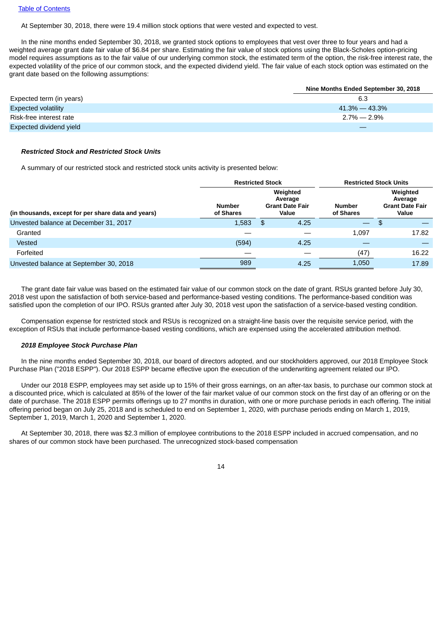At September 30, 2018, there were 19.4 million stock options that were vested and expected to vest.

In the nine months ended September 30, 2018, we granted stock options to employees that vest over three to four years and had a weighted average grant date fair value of \$6.84 per share. Estimating the fair value of stock options using the Black-Scholes option-pricing model requires assumptions as to the fair value of our underlying common stock, the estimated term of the option, the risk-free interest rate, the expected volatility of the price of our common stock, and the expected dividend yield. The fair value of each stock option was estimated on the grant date based on the following assumptions:

|                            | Nine Months Ended September 30, 2018 |
|----------------------------|--------------------------------------|
| Expected term (in years)   | 6.3                                  |
| <b>Expected volatility</b> | $41.3\% - 43.3\%$                    |
| Risk-free interest rate    | $2.7\% - 2.9\%$                      |
| Expected dividend yield    |                                      |

#### *Restricted Stock and Restricted Stock Units*

A summary of our restricted stock and restricted stock units activity is presented below:

|                                                     |                            | <b>Restricted Stock</b>                                |                            | <b>Restricted Stock Units</b>                          |
|-----------------------------------------------------|----------------------------|--------------------------------------------------------|----------------------------|--------------------------------------------------------|
| (in thousands, except for per share data and years) | <b>Number</b><br>of Shares | Weighted<br>Average<br><b>Grant Date Fair</b><br>Value | <b>Number</b><br>of Shares | Weighted<br>Average<br><b>Grant Date Fair</b><br>Value |
| Unvested balance at December 31, 2017               | 1,583                      | 4.25<br>\$                                             | $\overline{\phantom{0}}$   | \$                                                     |
| Granted                                             |                            |                                                        | 1.097                      | 17.82                                                  |
| Vested                                              | (594)                      | 4.25                                                   |                            |                                                        |
| Forfeited                                           |                            |                                                        | (47)                       | 16.22                                                  |
| Unvested balance at September 30, 2018              | 989                        | 4.25                                                   | 1,050                      | 17.89                                                  |

The grant date fair value was based on the estimated fair value of our common stock on the date of grant. RSUs granted before July 30, 2018 vest upon the satisfaction of both service-based and performance-based vesting conditions. The performance-based condition was satisfied upon the completion of our IPO. RSUs granted after July 30, 2018 vest upon the satisfaction of a service-based vesting condition.

Compensation expense for restricted stock and RSUs is recognized on a straight-line basis over the requisite service period, with the exception of RSUs that include performance-based vesting conditions, which are expensed using the accelerated attribution method.

#### *2018 Employee Stock Purchase Plan*

In the nine months ended September 30, 2018, our board of directors adopted, and our stockholders approved, our 2018 Employee Stock Purchase Plan ("2018 ESPP"). Our 2018 ESPP became effective upon the execution of the underwriting agreement related our IPO.

Under our 2018 ESPP, employees may set aside up to 15% of their gross earnings, on an after-tax basis, to purchase our common stock at a discounted price, which is calculated at 85% of the lower of the fair market value of our common stock on the first day of an offering or on the date of purchase. The 2018 ESPP permits offerings up to 27 months in duration, with one or more purchase periods in each offering. The initial offering period began on July 25, 2018 and is scheduled to end on September 1, 2020, with purchase periods ending on March 1, 2019, September 1, 2019, March 1, 2020 and September 1, 2020.

At September 30, 2018, there was \$2.3 million of employee contributions to the 2018 ESPP included in accrued compensation, and no shares of our common stock have been purchased. The unrecognized stock-based compensation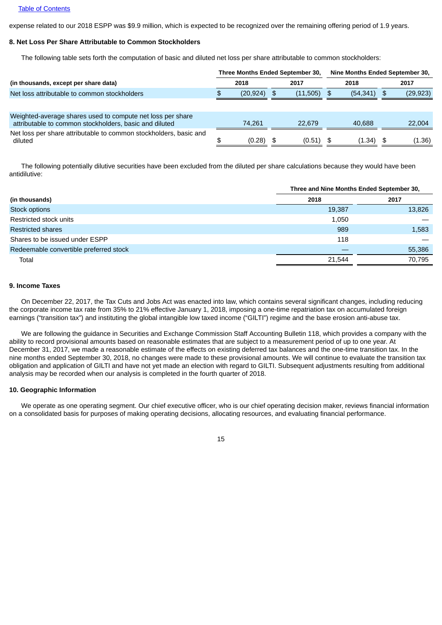expense related to our 2018 ESPP was \$9.9 million, which is expected to be recognized over the remaining offering period of 1.9 years.

#### <span id="page-14-0"></span>**8. Net Loss Per Share Attributable to Common Stockholders**

The following table sets forth the computation of basic and diluted net loss per share attributable to common stockholders:

|                                                                                                                      | Three Months Ended September 30, |           |      |          |      | Nine Months Ended September 30, |      |           |  |
|----------------------------------------------------------------------------------------------------------------------|----------------------------------|-----------|------|----------|------|---------------------------------|------|-----------|--|
| (in thousands, except per share data)                                                                                |                                  | 2018      |      | 2017     |      | 2018                            |      | 2017      |  |
| Net loss attributable to common stockholders                                                                         |                                  | (20, 924) | -\$  | (11,505) | - \$ | (54, 341)                       | \$   | (29, 923) |  |
|                                                                                                                      |                                  |           |      |          |      |                                 |      |           |  |
| Weighted-average shares used to compute net loss per share<br>attributable to common stockholders, basic and diluted |                                  | 74.261    |      | 22,679   |      | 40.688                          |      | 22,004    |  |
| Net loss per share attributable to common stockholders, basic and<br>diluted                                         |                                  | (0.28)    | - \$ | (0.51)   | - \$ | (1.34)                          | - 36 | (1.36)    |  |

The following potentially dilutive securities have been excluded from the diluted per share calculations because they would have been antidilutive:

|                                        |        | Three and Nine Months Ended September 30, |
|----------------------------------------|--------|-------------------------------------------|
| (in thousands)                         | 2018   | 2017                                      |
| <b>Stock options</b>                   | 19,387 | 13,826                                    |
| Restricted stock units                 | 1,050  |                                           |
| <b>Restricted shares</b>               | 989    | 1,583                                     |
| Shares to be issued under ESPP         | 118    |                                           |
| Redeemable convertible preferred stock |        | 55,386                                    |
| Total                                  | 21.544 | 70.795                                    |

#### <span id="page-14-1"></span>**9. Income Taxes**

On December 22, 2017, the Tax Cuts and Jobs Act was enacted into law, which contains several significant changes, including reducing the corporate income tax rate from 35% to 21% effective January 1, 2018, imposing a one-time repatriation tax on accumulated foreign earnings ("transition tax") and instituting the global intangible low taxed income ("GILTI") regime and the base erosion anti-abuse tax.

We are following the guidance in Securities and Exchange Commission Staff Accounting Bulletin 118, which provides a company with the ability to record provisional amounts based on reasonable estimates that are subject to a measurement period of up to one year. At December 31, 2017, we made a reasonable estimate of the effects on existing deferred tax balances and the one-time transition tax. In the nine months ended September 30, 2018, no changes were made to these provisional amounts. We will continue to evaluate the transition tax obligation and application of GILTI and have not yet made an election with regard to GILTI. Subsequent adjustments resulting from additional analysis may be recorded when our analysis is completed in the fourth quarter of 2018.

#### <span id="page-14-2"></span>**10. Geographic Information**

We operate as one operating segment. Our chief executive officer, who is our chief operating decision maker, reviews financial information on a consolidated basis for purposes of making operating decisions, allocating resources, and evaluating financial performance.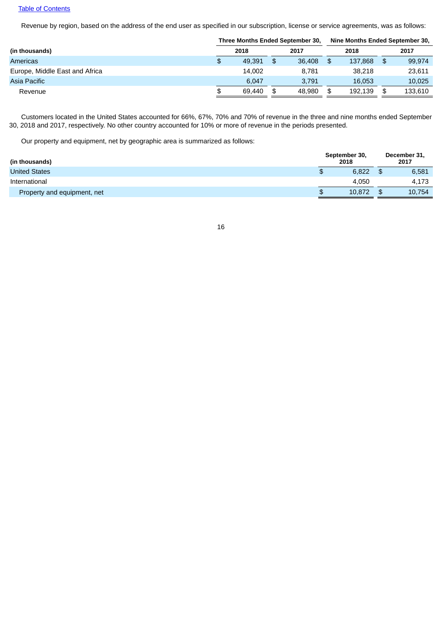Revenue by region, based on the address of the end user as specified in our subscription, license or service agreements, was as follows:

|                                | Three Months Ended September 30, |        |  |        |  | Nine Months Ended September 30, |    |         |  |
|--------------------------------|----------------------------------|--------|--|--------|--|---------------------------------|----|---------|--|
| (in thousands)                 |                                  | 2018   |  | 2017   |  | 2018                            |    | 2017    |  |
| Americas                       |                                  | 49.391 |  | 36,408 |  | 137.868                         | \$ | 99,974  |  |
| Europe, Middle East and Africa |                                  | 14.002 |  | 8.781  |  | 38.218                          |    | 23.611  |  |
| Asia Pacific                   |                                  | 6.047  |  | 3.791  |  | 16.053                          |    | 10,025  |  |
| Revenue                        |                                  | 69.440 |  | 48.980 |  | 192.139                         |    | 133.610 |  |

Customers located in the United States accounted for 66%, 67%, 70% and 70% of revenue in the three and nine months ended September 30, 2018 and 2017, respectively. No other country accounted for 10% or more of revenue in the periods presented.

Our property and equipment, net by geographic area is summarized as follows:

| (in thousands)              | September 30,<br>2018 |        |    | December 31,<br>2017 |  |  |
|-----------------------------|-----------------------|--------|----|----------------------|--|--|
| <b>United States</b>        |                       | 6.822  |    | 6,581                |  |  |
| International               |                       | 4.050  |    | 4.173                |  |  |
| Property and equipment, net |                       | 10.872 | \$ | 10,754               |  |  |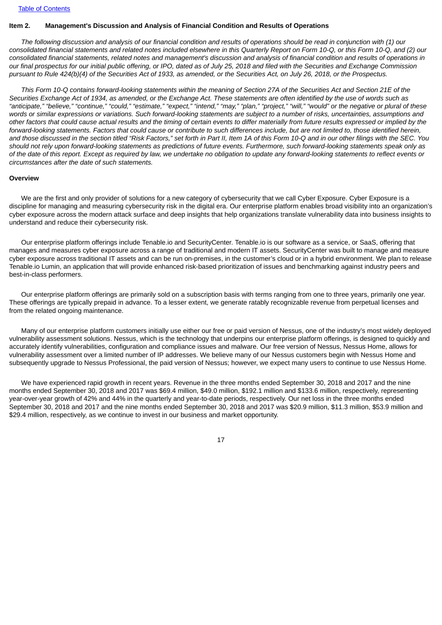#### <span id="page-16-0"></span>**Item 2. Management's Discussion and Analysis of Financial Condition and Results of Operations**

The following discussion and analysis of our financial condition and results of operations should be read in conjunction with (1) our consolidated financial statements and related notes included elsewhere in this Quarterly Report on Form 10-Q, or this Form 10-Q, and (2) our consolidated financial statements, related notes and management's discussion and analysis of financial condition and results of operations in our final prospectus for our initial public offering, or IPO, dated as of July 25, 2018 and filed with the Securities and Exchange Commission pursuant to Rule 424(b)(4) of the Securities Act of 1933, as amended, or the Securities Act, on July 26, 2018, or the Prospectus.

This Form 10-O contains forward-looking statements within the meaning of Section 27A of the Securities Act and Section 21E of the Securities Exchange Act of 1934, as amended, or the Exchange Act. These statements are often identified by the use of words such as "anticipate," "believe," "continue," "could," "estimate," "expect," "intend," "may," "plan," "project," "will," "would" or the negative or plural of these words or similar expressions or variations. Such forward-looking statements are subject to a number of risks, uncertainties, assumptions and other factors that could cause actual results and the timing of certain events to differ materially from future results expressed or implied by the forward-looking statements. Factors that could cause or contribute to such differences include, but are not limited to, those identified herein, and those discussed in the section titled "Risk Factors," set forth in Part II, Item 1A of this Form 10-Q and in our other filings with the SEC. You should not rely upon forward-looking statements as predictions of future events. Furthermore, such forward-looking statements speak only as of the date of this report. Except as required by law, we undertake no obligation to update any forward-looking statements to reflect events or *circumstances after the date of such statements.*

#### **Overview**

We are the first and only provider of solutions for a new category of cybersecurity that we call Cyber Exposure. Cyber Exposure is a discipline for managing and measuring cybersecurity risk in the digital era. Our enterprise platform enables broad visibility into an organization's cyber exposure across the modern attack surface and deep insights that help organizations translate vulnerability data into business insights to understand and reduce their cybersecurity risk.

Our enterprise platform offerings include Tenable.io and SecurityCenter. Tenable.io is our software as a service, or SaaS, offering that manages and measures cyber exposure across a range of traditional and modern IT assets. SecurityCenter was built to manage and measure cyber exposure across traditional IT assets and can be run on-premises, in the customer's cloud or in a hybrid environment. We plan to release Tenable.io Lumin, an application that will provide enhanced risk-based prioritization of issues and benchmarking against industry peers and best-in-class performers.

Our enterprise platform offerings are primarily sold on a subscription basis with terms ranging from one to three years, primarily one year. These offerings are typically prepaid in advance. To a lesser extent, we generate ratably recognizable revenue from perpetual licenses and from the related ongoing maintenance.

Many of our enterprise platform customers initially use either our free or paid version of Nessus, one of the industry's most widely deployed vulnerability assessment solutions. Nessus, which is the technology that underpins our enterprise platform offerings, is designed to quickly and accurately identify vulnerabilities, configuration and compliance issues and malware. Our free version of Nessus, Nessus Home, allows for vulnerability assessment over a limited number of IP addresses. We believe many of our Nessus customers begin with Nessus Home and subsequently upgrade to Nessus Professional, the paid version of Nessus; however, we expect many users to continue to use Nessus Home.

We have experienced rapid growth in recent years. Revenue in the three months ended September 30, 2018 and 2017 and the nine months ended September 30, 2018 and 2017 was \$69.4 million, \$49.0 million, \$192.1 million and \$133.6 million, respectively, representing year-over-year growth of 42% and 44% in the quarterly and year-to-date periods, respectively. Our net loss in the three months ended September 30, 2018 and 2017 and the nine months ended September 30, 2018 and 2017 was \$20.9 million, \$11.3 million, \$53.9 million and \$29.4 million, respectively, as we continue to invest in our business and market opportunity.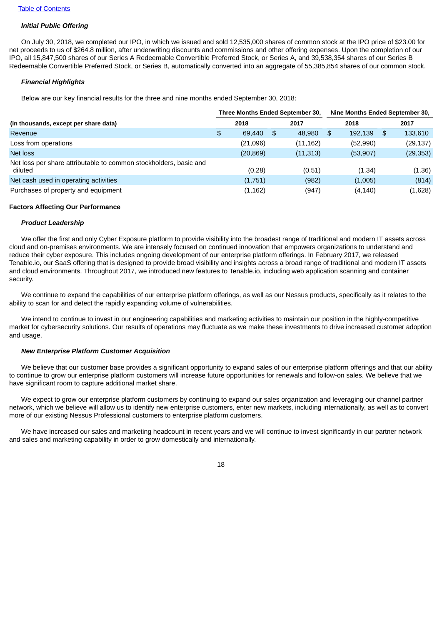#### *Initial Public Offering*

On July 30, 2018, we completed our IPO, in which we issued and sold 12,535,000 shares of common stock at the IPO price of \$23.00 for net proceeds to us of \$264.8 million, after underwriting discounts and commissions and other offering expenses. Upon the completion of our IPO, all 15,847,500 shares of our Series A Redeemable Convertible Preferred Stock, or Series A, and 39,538,354 shares of our Series B Redeemable Convertible Preferred Stock, or Series B, automatically converted into an aggregate of 55,385,854 shares of our common stock.

#### *Financial Highlights*

Below are our key financial results for the three and nine months ended September 30, 2018:

|                                                                              | Three Months Ended September 30, |           |      |           |      | Nine Months Ended September 30, |      |           |  |
|------------------------------------------------------------------------------|----------------------------------|-----------|------|-----------|------|---------------------------------|------|-----------|--|
| (in thousands, except per share data)                                        |                                  | 2018      | 2017 |           | 2018 |                                 | 2017 |           |  |
| Revenue                                                                      | \$.                              | 69.440    | -S   | 48,980    | \$.  | 192.139                         | \$.  | 133.610   |  |
| Loss from operations                                                         |                                  | (21,096)  |      | (11, 162) |      | (52,990)                        |      | (29, 137) |  |
| Net loss                                                                     |                                  | (20, 869) |      | (11, 313) |      | (53,907)                        |      | (29, 353) |  |
| Net loss per share attributable to common stockholders, basic and<br>diluted |                                  | (0.28)    |      | (0.51)    |      | (1.34)                          |      | (1.36)    |  |
| Net cash used in operating activities                                        |                                  | (1,751)   |      | (982)     |      | (1,005)                         |      | (814)     |  |
| Purchases of property and equipment                                          |                                  | (1, 162)  |      | (947)     |      | (4, 140)                        |      | (1,628)   |  |

#### **Factors Affecting Our Performance**

#### *Product Leadership*

We offer the first and only Cyber Exposure platform to provide visibility into the broadest range of traditional and modern IT assets across cloud and on-premises environments. We are intensely focused on continued innovation that empowers organizations to understand and reduce their cyber exposure. This includes ongoing development of our enterprise platform offerings. In February 2017, we released Tenable.io, our SaaS offering that is designed to provide broad visibility and insights across a broad range of traditional and modern IT assets and cloud environments. Throughout 2017, we introduced new features to Tenable.io, including web application scanning and container security.

We continue to expand the capabilities of our enterprise platform offerings, as well as our Nessus products, specifically as it relates to the ability to scan for and detect the rapidly expanding volume of vulnerabilities.

We intend to continue to invest in our engineering capabilities and marketing activities to maintain our position in the highly-competitive market for cybersecurity solutions. Our results of operations may fluctuate as we make these investments to drive increased customer adoption and usage.

#### *New Enterprise Platform Customer Acquisition*

We believe that our customer base provides a significant opportunity to expand sales of our enterprise platform offerings and that our ability to continue to grow our enterprise platform customers will increase future opportunities for renewals and follow-on sales. We believe that we have significant room to capture additional market share.

We expect to grow our enterprise platform customers by continuing to expand our sales organization and leveraging our channel partner network, which we believe will allow us to identify new enterprise customers, enter new markets, including internationally, as well as to convert more of our existing Nessus Professional customers to enterprise platform customers.

We have increased our sales and marketing headcount in recent years and we will continue to invest significantly in our partner network and sales and marketing capability in order to grow domestically and internationally.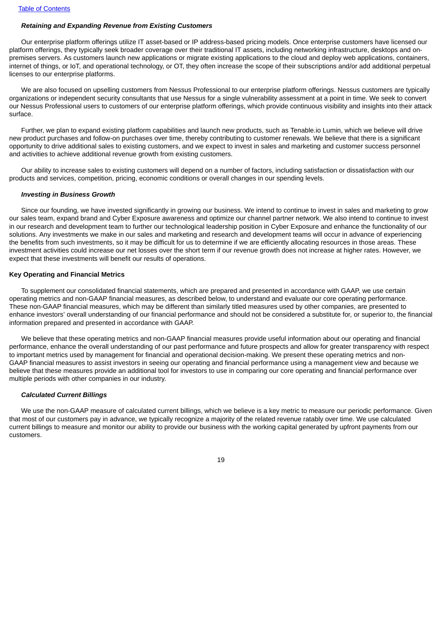## *Retaining and Expanding Revenue from Existing Customers*

Our enterprise platform offerings utilize IT asset-based or IP address-based pricing models. Once enterprise customers have licensed our platform offerings, they typically seek broader coverage over their traditional IT assets, including networking infrastructure, desktops and onpremises servers. As customers launch new applications or migrate existing applications to the cloud and deploy web applications, containers, internet of things, or IoT, and operational technology, or OT, they often increase the scope of their subscriptions and/or add additional perpetual licenses to our enterprise platforms.

We are also focused on upselling customers from Nessus Professional to our enterprise platform offerings. Nessus customers are typically organizations or independent security consultants that use Nessus for a single vulnerability assessment at a point in time. We seek to convert our Nessus Professional users to customers of our enterprise platform offerings, which provide continuous visibility and insights into their attack surface.

Further, we plan to expand existing platform capabilities and launch new products, such as Tenable.io Lumin, which we believe will drive new product purchases and follow-on purchases over time, thereby contributing to customer renewals. We believe that there is a significant opportunity to drive additional sales to existing customers, and we expect to invest in sales and marketing and customer success personnel and activities to achieve additional revenue growth from existing customers.

Our ability to increase sales to existing customers will depend on a number of factors, including satisfaction or dissatisfaction with our products and services, competition, pricing, economic conditions or overall changes in our spending levels.

## *Investing in Business Growth*

Since our founding, we have invested significantly in growing our business. We intend to continue to invest in sales and marketing to grow our sales team, expand brand and Cyber Exposure awareness and optimize our channel partner network. We also intend to continue to invest in our research and development team to further our technological leadership position in Cyber Exposure and enhance the functionality of our solutions. Any investments we make in our sales and marketing and research and development teams will occur in advance of experiencing the benefits from such investments, so it may be difficult for us to determine if we are efficiently allocating resources in those areas. These investment activities could increase our net losses over the short term if our revenue growth does not increase at higher rates. However, we expect that these investments will benefit our results of operations.

## **Key Operating and Financial Metrics**

To supplement our consolidated financial statements, which are prepared and presented in accordance with GAAP, we use certain operating metrics and non-GAAP financial measures, as described below, to understand and evaluate our core operating performance. These non-GAAP financial measures, which may be different than similarly titled measures used by other companies, are presented to enhance investors' overall understanding of our financial performance and should not be considered a substitute for, or superior to, the financial information prepared and presented in accordance with GAAP.

We believe that these operating metrics and non-GAAP financial measures provide useful information about our operating and financial performance, enhance the overall understanding of our past performance and future prospects and allow for greater transparency with respect to important metrics used by management for financial and operational decision-making. We present these operating metrics and non-GAAP financial measures to assist investors in seeing our operating and financial performance using a management view and because we believe that these measures provide an additional tool for investors to use in comparing our core operating and financial performance over multiple periods with other companies in our industry.

## *Calculated Current Billings*

We use the non-GAAP measure of calculated current billings, which we believe is a key metric to measure our periodic performance. Given that most of our customers pay in advance, we typically recognize a majority of the related revenue ratably over time. We use calculated current billings to measure and monitor our ability to provide our business with the working capital generated by upfront payments from our customers.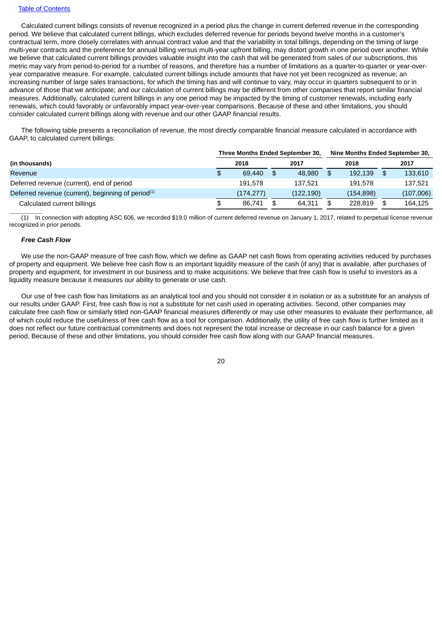Calculated current billings consists of revenue recognized in a period plus the change in current deferred revenue in the corresponding period. We believe that calculated current billings, which excludes deferred revenue for periods beyond twelve months in a customer's contractual term, more closely correlates with annual contract value and that the variability in total billings, depending on the timing of large multi-year contracts and the preference for annual billing versus multi-year upfront billing, may distort growth in one period over another. While we believe that calculated current billings provides valuable insight into the cash that will be generated from sales of our subscriptions, this metric may vary from period-to-period for a number of reasons, and therefore has a number of limitations as a quarter-to-quarter or year-overyear comparative measure. For example, calculated current billings include amounts that have not yet been recognized as revenue; an increasing number of large sales transactions, for which the timing has and will continue to vary, may occur in quarters subsequent to or in advance of those that we anticipate; and our calculation of current billings may be different from other companies that report similar financial measures. Additionally, calculated current billings in any one period may be impacted by the timing of customer renewals, including early renewals, which could favorably or unfavorably impact year-over-year comparisons. Because of these and other limitations, you should consider calculated current billings along with revenue and our other GAAP financial results.

The following table presents a reconciliation of revenue, the most directly comparable financial measure calculated in accordance with GAAP, to calculated current billings:

|                                                                | Three Months Ended September 30, |           |  |           |  | Nine Months Ended September 30, |    |           |  |
|----------------------------------------------------------------|----------------------------------|-----------|--|-----------|--|---------------------------------|----|-----------|--|
| (in thousands)                                                 |                                  | 2018      |  | 2017      |  | 2018                            |    | 2017      |  |
| Revenue                                                        |                                  | 69.440    |  | 48.980    |  | 192.139                         | \$ | 133,610   |  |
| Deferred revenue (current), end of period                      |                                  | 191.578   |  | 137.521   |  | 191.578                         |    | 137.521   |  |
| Deferred revenue (current), beginning of period <sup>(1)</sup> |                                  | (174.277) |  | (122.190) |  | (154.898)                       |    | (107,006) |  |
| Calculated current billings                                    |                                  | 86,741    |  | 64.311    |  | 228,819                         |    | 164,125   |  |

 $(1)$  In connection with adopting ASC 606, we recorded \$19.0 million of current deferred revenue on January 1, 2017, related to perpetual license revenue recognized in prior periods.

## *Free Cash Flow*

 $\mathcal{L}=\mathcal{L}^{\mathcal{L}}$ 

We use the non-GAAP measure of free cash flow, which we define as GAAP net cash flows from operating activities reduced by purchases of property and equipment. We believe free cash flow is an important liquidity measure of the cash (if any) that is available, after purchases of property and equipment, for investment in our business and to make acquisitions. We believe that free cash flow is useful to investors as a liquidity measure because it measures our ability to generate or use cash.

Our use of free cash flow has limitations as an analytical tool and you should not consider it in isolation or as a substitute for an analysis of our results under GAAP. First, free cash flow is not a substitute for net cash used in operating activities. Second, other companies may calculate free cash flow or similarly titled non-GAAP financial measures differently or may use other measures to evaluate their performance, all of which could reduce the usefulness of free cash flow as a tool for comparison. Additionally, the utility of free cash flow is further limited as it does not reflect our future contractual commitments and does not represent the total increase or decrease in our cash balance for a given period. Because of these and other limitations, you should consider free cash flow along with our GAAP financial measures.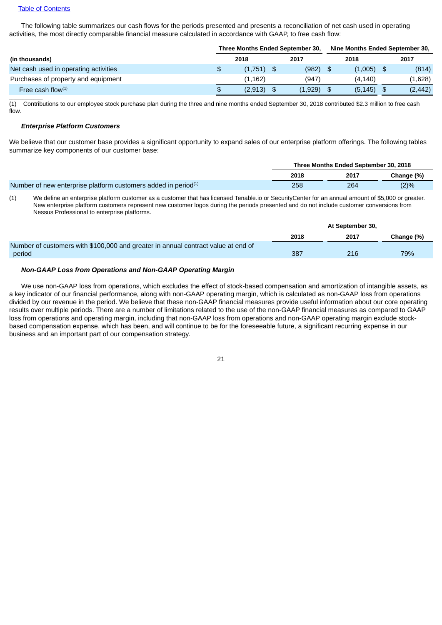The following table summarizes our cash flows for the periods presented and presents a reconciliation of net cash used in operating activities, the most directly comparable financial measure calculated in accordance with GAAP, to free cash flow:

|                                       | Three Months Ended September 30, |              |  |         |  | Nine Months Ended September 30, |  |          |  |
|---------------------------------------|----------------------------------|--------------|--|---------|--|---------------------------------|--|----------|--|
| (in thousands)                        |                                  | 2018         |  | 2017    |  | 2018                            |  | 2017     |  |
| Net cash used in operating activities |                                  | $(1,751)$ \$ |  | (982)   |  | (1,005)                         |  | (814)    |  |
| Purchases of property and equipment   |                                  | (1,162)      |  | (947)   |  | (4, 140)                        |  | (1,628)  |  |
| Free cash flow $(1)$                  |                                  | $(2,913)$ \$ |  | (1,929) |  | (5, 145)                        |  | (2, 442) |  |

(1) Contributions to our employee stock purchase plan during the three and nine months ended September 30, 2018 contributed \$2.3 million to free cash flow.

#### *Enterprise Platform Customers*

We believe that our customer base provides a significant opportunity to expand sales of our enterprise platform offerings. The following tables summarize key components of our customer base:

|                                                                            |      | Three Months Ended September 30, 2018 |                   |
|----------------------------------------------------------------------------|------|---------------------------------------|-------------------|
|                                                                            | 2018 | 2017                                  | <b>Change (%)</b> |
| Number of new enterprise platform customers added in period <sup>(1)</sup> | 258  | 264                                   | (2)%              |

 $\overline{(1)}$  We define an enterprise platform customer as a customer that has licensed Tenable.io or SecurityCenter for an annual amount of \$5,000 or greater. New enterprise platform customers represent new customer logos during the periods presented and do not include customer conversions from Nessus Professional to enterprise platforms.

|                                                                                   | At September 30. |      |            |  |  |  |
|-----------------------------------------------------------------------------------|------------------|------|------------|--|--|--|
|                                                                                   | 2018             | 2017 | Change (%) |  |  |  |
| Number of customers with \$100,000 and greater in annual contract value at end of |                  |      |            |  |  |  |
| period                                                                            | 387              | 216  | 79%        |  |  |  |

#### *Non-GAAP Loss from Operations and Non-GAAP Operating Margin*

We use non-GAAP loss from operations, which excludes the effect of stock-based compensation and amortization of intangible assets, as a key indicator of our financial performance, along with non-GAAP operating margin, which is calculated as non-GAAP loss from operations divided by our revenue in the period. We believe that these non-GAAP financial measures provide useful information about our core operating results over multiple periods. There are a number of limitations related to the use of the non-GAAP financial measures as compared to GAAP loss from operations and operating margin, including that non-GAAP loss from operations and non-GAAP operating margin exclude stockbased compensation expense, which has been, and will continue to be for the foreseeable future, a significant recurring expense in our business and an important part of our compensation strategy.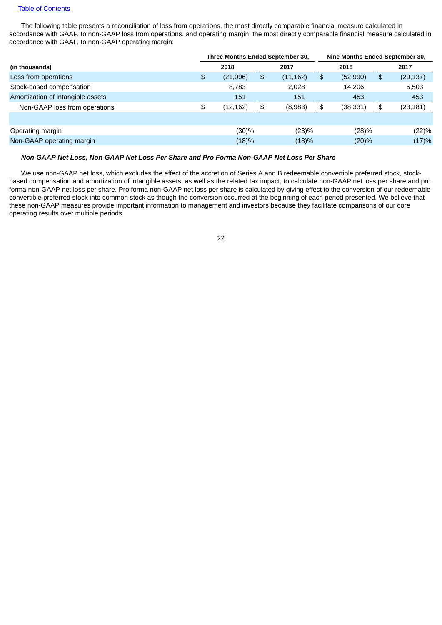The following table presents a reconciliation of loss from operations, the most directly comparable financial measure calculated in accordance with GAAP, to non-GAAP loss from operations, and operating margin, the most directly comparable financial measure calculated in accordance with GAAP, to non-GAAP operating margin:

| 2018<br>2018<br>2017 |           |    | 2017           |                                           |          |    |                                                   |  |
|----------------------|-----------|----|----------------|-------------------------------------------|----------|----|---------------------------------------------------|--|
| \$                   | (21,096)  | \$ | (11, 162)      | \$                                        | (52,990) | \$ | (29, 137)                                         |  |
|                      | 8.783     |    | 2.028          |                                           | 14.206   |    | 5,503                                             |  |
|                      | 151       |    | 151            |                                           | 453      |    | 453                                               |  |
|                      | (12, 162) | \$ | (8,983)        | \$                                        | (38,331) | \$ | (23, 181)                                         |  |
|                      |           |    |                |                                           |          |    |                                                   |  |
|                      |           |    | (23)%          |                                           |          |    | (22)%                                             |  |
|                      |           |    |                |                                           |          |    | (17)%                                             |  |
|                      |           |    | (30)%<br>(18)% | Three Months Ended September 30,<br>(18)% |          |    | Nine Months Ended September 30,<br>(28)%<br>(20)% |  |

#### *Non-GAAP Net Loss, Non-GAAP Net Loss Per Share and Pro Forma Non-GAAP Net Loss Per Share*

We use non-GAAP net loss, which excludes the effect of the accretion of Series A and B redeemable convertible preferred stock, stockbased compensation and amortization of intangible assets, as well as the related tax impact, to calculate non-GAAP net loss per share and pro forma non-GAAP net loss per share. Pro forma non-GAAP net loss per share is calculated by giving effect to the conversion of our redeemable convertible preferred stock into common stock as though the conversion occurred at the beginning of each period presented. We believe that these non-GAAP measures provide important information to management and investors because they facilitate comparisons of our core operating results over multiple periods.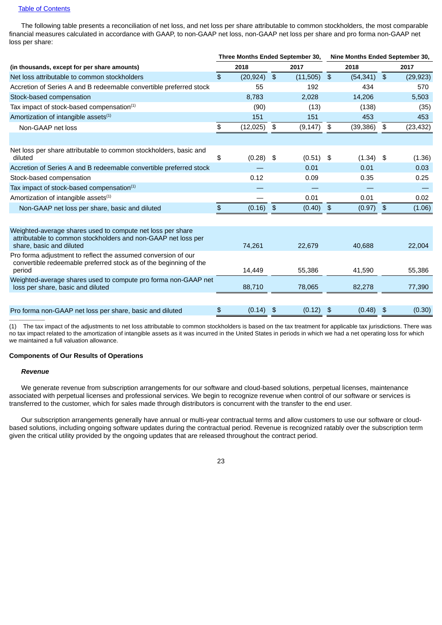The following table presents a reconciliation of net loss, and net loss per share attributable to common stockholders, the most comparable financial measures calculated in accordance with GAAP, to non-GAAP net loss, non-GAAP net loss per share and pro forma non-GAAP net loss per share:

|                                                                                                                                                         |                |           |               | Three Months Ended September 30, | Nine Months Ended September 30, |           |               |           |
|---------------------------------------------------------------------------------------------------------------------------------------------------------|----------------|-----------|---------------|----------------------------------|---------------------------------|-----------|---------------|-----------|
| (in thousands, except for per share amounts)                                                                                                            |                | 2018      |               | 2017                             |                                 | 2018      |               | 2017      |
| Net loss attributable to common stockholders                                                                                                            | $\mathfrak{P}$ | (20, 924) | $\frac{1}{2}$ | (11,505)                         | \$                              | (54, 341) | $\frac{1}{2}$ | (29, 923) |
| Accretion of Series A and B redeemable convertible preferred stock                                                                                      |                | 55        |               | 192                              |                                 | 434       |               | 570       |
| Stock-based compensation                                                                                                                                |                | 8,783     |               | 2,028                            |                                 | 14,206    |               | 5,503     |
| Tax impact of stock-based compensation <sup>(1)</sup>                                                                                                   |                | (90)      |               | (13)                             |                                 | (138)     |               | (35)      |
| Amortization of intangible assets <sup>(1)</sup>                                                                                                        |                | 151       |               | 151                              |                                 | 453       |               | 453       |
| Non-GAAP net loss                                                                                                                                       | \$             | (12, 025) | \$            | (9, 147)                         | \$                              | (39, 386) | \$            | (23, 432) |
|                                                                                                                                                         |                |           |               |                                  |                                 |           |               |           |
| Net loss per share attributable to common stockholders, basic and<br>diluted                                                                            | \$             | (0.28)    | - \$          | (0.51)                           | \$                              | (1.34)    | \$            | (1.36)    |
| Accretion of Series A and B redeemable convertible preferred stock                                                                                      |                |           |               | 0.01                             |                                 | 0.01      |               | 0.03      |
| Stock-based compensation                                                                                                                                |                | 0.12      |               | 0.09                             |                                 | 0.35      |               | 0.25      |
| Tax impact of stock-based compensation <sup>(1)</sup>                                                                                                   |                |           |               |                                  |                                 |           |               |           |
| Amortization of intangible assets <sup>(1)</sup>                                                                                                        |                |           |               | 0.01                             |                                 | 0.01      |               | 0.02      |
| Non-GAAP net loss per share, basic and diluted                                                                                                          | \$             | (0.16)    | \$            | (0.40)                           | $\frac{1}{2}$                   | (0.97)    | $\frac{1}{2}$ | (1.06)    |
|                                                                                                                                                         |                |           |               |                                  |                                 |           |               |           |
| Weighted-average shares used to compute net loss per share<br>attributable to common stockholders and non-GAAP net loss per<br>share, basic and diluted |                | 74,261    |               | 22,679                           |                                 | 40,688    |               | 22,004    |
| Pro forma adjustment to reflect the assumed conversion of our<br>convertible redeemable preferred stock as of the beginning of the<br>period            |                | 14,449    |               | 55,386                           |                                 | 41.590    |               | 55,386    |
| Weighted-average shares used to compute pro forma non-GAAP net<br>loss per share, basic and diluted                                                     |                | 88,710    |               | 78,065                           |                                 | 82,278    |               | 77,390    |
|                                                                                                                                                         |                |           |               |                                  |                                 |           |               |           |
| Pro forma non-GAAP net loss per share, basic and diluted                                                                                                | \$             | (0.14)    | \$            | (0.12)                           | \$                              | (0.48)    | \$            | (0.30)    |

(1) The tax impact of the adjustments to net loss attributable to common stockholders is based on the tax treatment for applicable tax jurisdictions. There was no tax impact related to the amortization of intangible assets as it was incurred in the United States in periods in which we had a net operating loss for which we maintained a full valuation allowance.

#### **Components of Our Results of Operations**

#### *Revenue*

We generate revenue from subscription arrangements for our software and cloud-based solutions, perpetual licenses, maintenance associated with perpetual licenses and professional services. We begin to recognize revenue when control of our software or services is transferred to the customer, which for sales made through distributors is concurrent with the transfer to the end user.

Our subscription arrangements generally have annual or multi-year contractual terms and allow customers to use our software or cloudbased solutions, including ongoing software updates during the contractual period. Revenue is recognized ratably over the subscription term given the critical utility provided by the ongoing updates that are released throughout the contract period.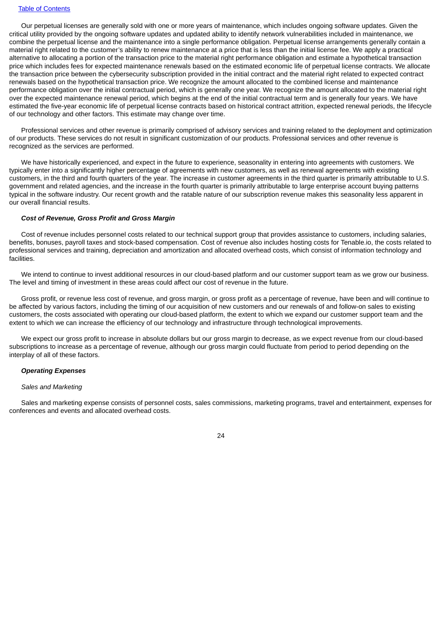Our perpetual licenses are generally sold with one or more years of maintenance, which includes ongoing software updates. Given the critical utility provided by the ongoing software updates and updated ability to identify network vulnerabilities included in maintenance, we combine the perpetual license and the maintenance into a single performance obligation. Perpetual license arrangements generally contain a material right related to the customer's ability to renew maintenance at a price that is less than the initial license fee. We apply a practical alternative to allocating a portion of the transaction price to the material right performance obligation and estimate a hypothetical transaction price which includes fees for expected maintenance renewals based on the estimated economic life of perpetual license contracts. We allocate the transaction price between the cybersecurity subscription provided in the initial contract and the material right related to expected contract renewals based on the hypothetical transaction price. We recognize the amount allocated to the combined license and maintenance performance obligation over the initial contractual period, which is generally one year. We recognize the amount allocated to the material right over the expected maintenance renewal period, which begins at the end of the initial contractual term and is generally four years. We have estimated the five-year economic life of perpetual license contracts based on historical contract attrition, expected renewal periods, the lifecycle of our technology and other factors. This estimate may change over time.

Professional services and other revenue is primarily comprised of advisory services and training related to the deployment and optimization of our products. These services do not result in significant customization of our products. Professional services and other revenue is recognized as the services are performed.

We have historically experienced, and expect in the future to experience, seasonality in entering into agreements with customers. We typically enter into a significantly higher percentage of agreements with new customers, as well as renewal agreements with existing customers, in the third and fourth quarters of the year. The increase in customer agreements in the third quarter is primarily attributable to U.S. government and related agencies, and the increase in the fourth quarter is primarily attributable to large enterprise account buying patterns typical in the software industry. Our recent growth and the ratable nature of our subscription revenue makes this seasonality less apparent in our overall financial results.

#### *Cost of Revenue, Gross Profit and Gross Margin*

Cost of revenue includes personnel costs related to our technical support group that provides assistance to customers, including salaries, benefits, bonuses, payroll taxes and stock-based compensation. Cost of revenue also includes hosting costs for Tenable.io, the costs related to professional services and training, depreciation and amortization and allocated overhead costs, which consist of information technology and facilities.

We intend to continue to invest additional resources in our cloud-based platform and our customer support team as we grow our business. The level and timing of investment in these areas could affect our cost of revenue in the future.

Gross profit, or revenue less cost of revenue, and gross margin, or gross profit as a percentage of revenue, have been and will continue to be affected by various factors, including the timing of our acquisition of new customers and our renewals of and follow-on sales to existing customers, the costs associated with operating our cloud-based platform, the extent to which we expand our customer support team and the extent to which we can increase the efficiency of our technology and infrastructure through technological improvements.

We expect our gross profit to increase in absolute dollars but our gross margin to decrease, as we expect revenue from our cloud-based subscriptions to increase as a percentage of revenue, although our gross margin could fluctuate from period to period depending on the interplay of all of these factors.

#### *Operating Expenses*

#### *Sales and Marketing*

Sales and marketing expense consists of personnel costs, sales commissions, marketing programs, travel and entertainment, expenses for conferences and events and allocated overhead costs.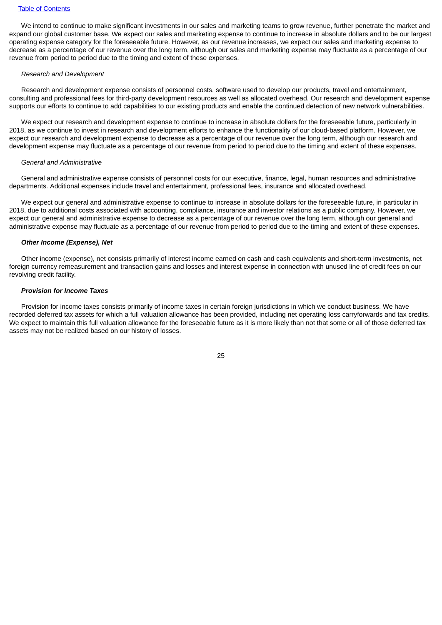We intend to continue to make significant investments in our sales and marketing teams to grow revenue, further penetrate the market and expand our global customer base. We expect our sales and marketing expense to continue to increase in absolute dollars and to be our largest operating expense category for the foreseeable future. However, as our revenue increases, we expect our sales and marketing expense to decrease as a percentage of our revenue over the long term, although our sales and marketing expense may fluctuate as a percentage of our revenue from period to period due to the timing and extent of these expenses.

#### *Research and Development*

Research and development expense consists of personnel costs, software used to develop our products, travel and entertainment, consulting and professional fees for third-party development resources as well as allocated overhead. Our research and development expense supports our efforts to continue to add capabilities to our existing products and enable the continued detection of new network vulnerabilities.

We expect our research and development expense to continue to increase in absolute dollars for the foreseeable future, particularly in 2018, as we continue to invest in research and development efforts to enhance the functionality of our cloud-based platform. However, we expect our research and development expense to decrease as a percentage of our revenue over the long term, although our research and development expense may fluctuate as a percentage of our revenue from period to period due to the timing and extent of these expenses.

#### *General and Administrative*

General and administrative expense consists of personnel costs for our executive, finance, legal, human resources and administrative departments. Additional expenses include travel and entertainment, professional fees, insurance and allocated overhead.

We expect our general and administrative expense to continue to increase in absolute dollars for the foreseeable future, in particular in 2018, due to additional costs associated with accounting, compliance, insurance and investor relations as a public company. However, we expect our general and administrative expense to decrease as a percentage of our revenue over the long term, although our general and administrative expense may fluctuate as a percentage of our revenue from period to period due to the timing and extent of these expenses.

#### *Other Income (Expense), Net*

Other income (expense), net consists primarily of interest income earned on cash and cash equivalents and short-term investments, net foreign currency remeasurement and transaction gains and losses and interest expense in connection with unused line of credit fees on our revolving credit facility.

### *Provision for Income Taxes*

Provision for income taxes consists primarily of income taxes in certain foreign jurisdictions in which we conduct business. We have recorded deferred tax assets for which a full valuation allowance has been provided, including net operating loss carryforwards and tax credits. We expect to maintain this full valuation allowance for the foreseeable future as it is more likely than not that some or all of those deferred tax assets may not be realized based on our history of losses.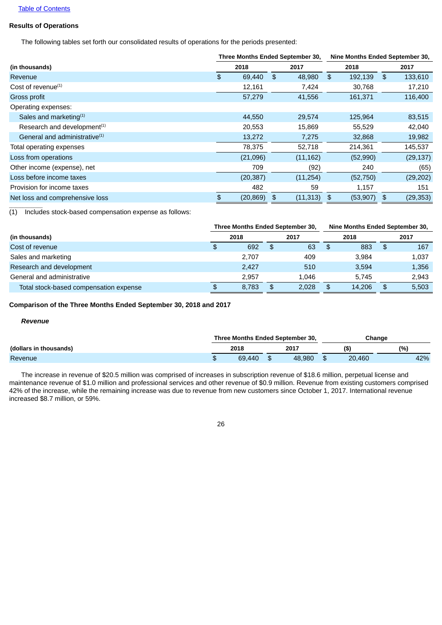## **Results of Operations**

The following tables set forth our consolidated results of operations for the periods presented:

|                                           | Three Months Ended September 30, |      |           | Nine Months Ended September 30, |           |    |           |
|-------------------------------------------|----------------------------------|------|-----------|---------------------------------|-----------|----|-----------|
| (in thousands)                            | 2018                             | 2017 |           | 2018                            |           |    | 2017      |
| Revenue                                   | \$<br>69,440                     | \$   | 48,980    | \$                              | 192,139   | \$ | 133,610   |
| Cost of revenue <sup>(1)</sup>            | 12,161                           |      | 7,424     |                                 | 30,768    |    | 17,210    |
| Gross profit                              | 57,279                           |      | 41,556    |                                 | 161,371   |    | 116,400   |
| Operating expenses:                       |                                  |      |           |                                 |           |    |           |
| Sales and marketing $(1)$                 | 44,550                           |      | 29,574    |                                 | 125,964   |    | 83,515    |
| Research and development <sup>(1)</sup>   | 20,553                           |      | 15,869    |                                 | 55,529    |    | 42,040    |
| General and administrative <sup>(1)</sup> | 13,272                           |      | 7,275     |                                 | 32,868    |    | 19,982    |
| Total operating expenses                  | 78,375                           |      | 52,718    |                                 | 214,361   |    | 145,537   |
| Loss from operations                      | (21,096)                         |      | (11, 162) |                                 | (52,990)  |    | (29, 137) |
| Other income (expense), net               | 709                              |      | (92)      |                                 | 240       |    | (65)      |
| Loss before income taxes                  | (20, 387)                        |      | (11,254)  |                                 | (52, 750) |    | (29, 202) |
| Provision for income taxes                | 482                              |      | 59        |                                 | 1,157     |    | 151       |
| Net loss and comprehensive loss           | \$<br>(20, 869)                  | \$   | (11, 313) | \$                              | (53,907)  | \$ | (29, 353) |

 $\mathcal{L}_\text{max}$  $(1)$  Includes stock-based compensation expense as follows:

|                                        | Three Months Ended September 30, |       |    |       |    | Nine Months Ended September 30, |    |       |  |
|----------------------------------------|----------------------------------|-------|----|-------|----|---------------------------------|----|-------|--|
| (in thousands)                         |                                  | 2018  |    | 2017  |    | 2018                            |    | 2017  |  |
| Cost of revenue                        | \$                               | 692   | \$ | 63    | \$ | 883                             | \$ | 167   |  |
| Sales and marketing                    |                                  | 2.707 |    | 409   |    | 3.984                           |    | 1.037 |  |
| Research and development               |                                  | 2.427 |    | 510   |    | 3.594                           |    | 1,356 |  |
| General and administrative             |                                  | 2.957 |    | 1.046 |    | 5.745                           |    | 2.943 |  |
| Total stock-based compensation expense | \$                               | 8.783 | \$ | 2.028 | \$ | 14.206                          | \$ | 5.503 |  |

## **Comparison of the Three Months Ended September 30, 2018 and 2017**

#### *Revenue*

|                        |        | Three Months Ended September 30, | Change |     |  |
|------------------------|--------|----------------------------------|--------|-----|--|
| (dollars in thousands) | 2018   | 2017                             |        | (%) |  |
| Revenue                | 69.440 | 48.980                           | 20,460 | 42% |  |

The increase in revenue of \$20.5 million was comprised of increases in subscription revenue of \$18.6 million, perpetual license and maintenance revenue of \$1.0 million and professional services and other revenue of \$0.9 million. Revenue from existing customers comprised 42% of the increase, while the remaining increase was due to revenue from new customers since October 1, 2017. International revenue increased \$8.7 million, or 59%.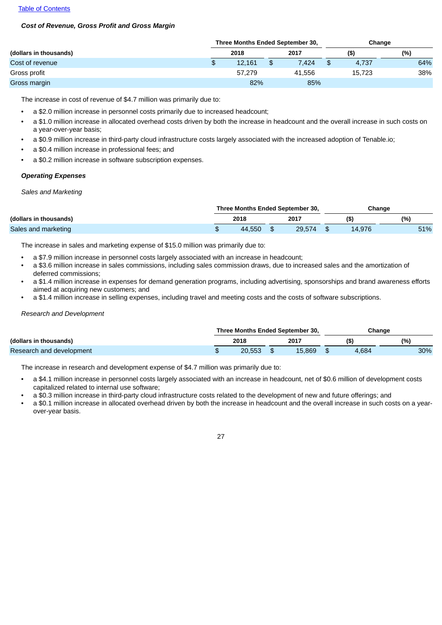## *Cost of Revenue, Gross Profit and Gross Margin*

| (dollars in thousands) | Three Months Ended September 30, |   | Change |             |     |
|------------------------|----------------------------------|---|--------|-------------|-----|
|                        | 2018                             |   | 2017   | (\$)        | (%) |
| Cost of revenue        | \$<br>12,161                     | £ | 7.424  | \$<br>4.737 | 64% |
| Gross profit           | 57.279                           |   | 41.556 | 15.723      | 38% |
| Gross margin           | 82%                              |   | 85%    |             |     |

The increase in cost of revenue of \$4.7 million was primarily due to:

- a \$2.0 million increase in personnel costs primarily due to increased headcount;
- a \$1.0 million increase in allocated overhead costs driven by both the increase in headcount and the overall increase in such costs on a year-over-year basis;
- a \$0.9 million increase in third-party cloud infrastructure costs largely associated with the increased adoption of Tenable.io;
- a \$0.4 million increase in professional fees; and
- a \$0.2 million increase in software subscription expenses.

## *Operating Expenses*

*Sales and Marketing*

|                        | Three Months Ended September 30, |  | $\cap$ hange |     |     |
|------------------------|----------------------------------|--|--------------|-----|-----|
| (dollars in thousands) | 2018                             |  | $201^-$      | (5) | (%) |
| Sales and marketing    | 44.550                           |  | 29.574       |     | 51% |

The increase in sales and marketing expense of \$15.0 million was primarily due to:

- a \$7.9 million increase in personnel costs largely associated with an increase in headcount;
- a \$3.6 million increase in sales commissions, including sales commission draws, due to increased sales and the amortization of deferred commissions;
- a \$1.4 million increase in expenses for demand generation programs, including advertising, sponsorships and brand awareness efforts aimed at acquiring new customers; and
- a \$1.4 million increase in selling expenses, including travel and meeting costs and the costs of software subscriptions.

#### *Research and Development*

|                          |        | Three Months Ended September 30, | Change |     |  |
|--------------------------|--------|----------------------------------|--------|-----|--|
| (dollars in thousands)   | 2018   | 201.                             |        | (%) |  |
| Research and development | 20.553 | 15.869                           | 4.684  | 30% |  |

The increase in research and development expense of \$4.7 million was primarily due to:

- a \$4.1 million increase in personnel costs largely associated with an increase in headcount, net of \$0.6 million of development costs capitalized related to internal use software;
- a \$0.3 million increase in third-party cloud infrastructure costs related to the development of new and future offerings; and
- a \$0.1 million increase in allocated overhead driven by both the increase in headcount and the overall increase in such costs on a yearover-year basis.

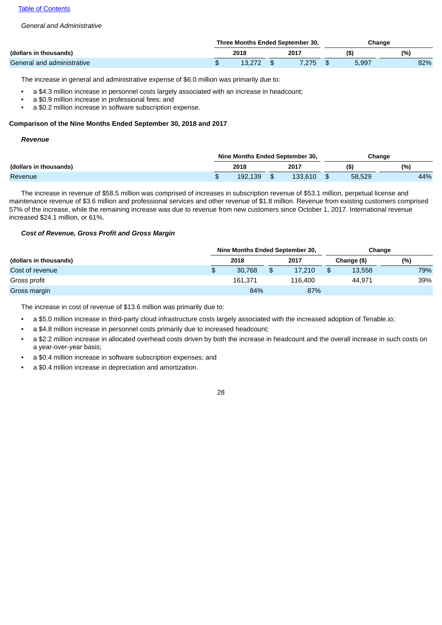#### *General and Administrative*

|                            |   |        | Three Months Ended September 30, | Change |     |  |
|----------------------------|---|--------|----------------------------------|--------|-----|--|
| (dollars in thousands)     |   | 2018   | 201                              | (\$)   | (%) |  |
| General and administrative | w | 13.272 | 7.275                            | 5,997  | 82% |  |

The increase in general and administrative expense of \$6.0 million was primarily due to:

- a \$4.3 million increase in personnel costs largely associated with an increase in headcount;
- a \$0.9 million increase in professional fees; and
- a \$0.2 million increase in software subscription expense.

#### **Comparison of the Nine Months Ended September 30, 2018 and 2017**

#### *Revenue*

| (dollars in thousands) |      | Nine Months Ended September 30. |  |      | Change |        |     |
|------------------------|------|---------------------------------|--|------|--------|--------|-----|
|                        |      | 2018                            |  | 2017 |        | 15)    | (%) |
| Revenue                | - 12 | 130                             |  | 133  | D.     | 58.529 | 44% |

The increase in revenue of \$58.5 million was comprised of increases in subscription revenue of \$53.1 million, perpetual license and maintenance revenue of \$3.6 million and professional services and other revenue of \$1.8 million. Revenue from existing customers comprised 57% of the increase, while the remaining increase was due to revenue from new customers since October 1, 2017. International revenue increased \$24.1 million, or 61%.

## *Cost of Revenue, Gross Profit and Gross Margin*

|                        |  | Nine Months Ended September 30, |    |         | Change |             |     |  |
|------------------------|--|---------------------------------|----|---------|--------|-------------|-----|--|
| (dollars in thousands) |  | 2018                            |    | 2017    |        | Change (\$) | (%) |  |
| Cost of revenue        |  | 30.768                          | \$ | 17.210  | \$     | 13.558      | 79% |  |
| Gross profit           |  | 161.371                         |    | 116,400 |        | 44.971      | 39% |  |
| Gross margin           |  | 84%                             |    | 87%     |        |             |     |  |

The increase in cost of revenue of \$13.6 million was primarily due to:

- a \$5.0 million increase in third-party cloud infrastructure costs largely associated with the increased adoption of Tenable.io;
- a \$4.8 million increase in personnel costs primarily due to increased headcount;
- a \$2.2 million increase in allocated overhead costs driven by both the increase in headcount and the overall increase in such costs on a year-over-year basis;
- a \$0.4 million increase in software subscription expenses; and
- a \$0.4 million increase in depreciation and amortization.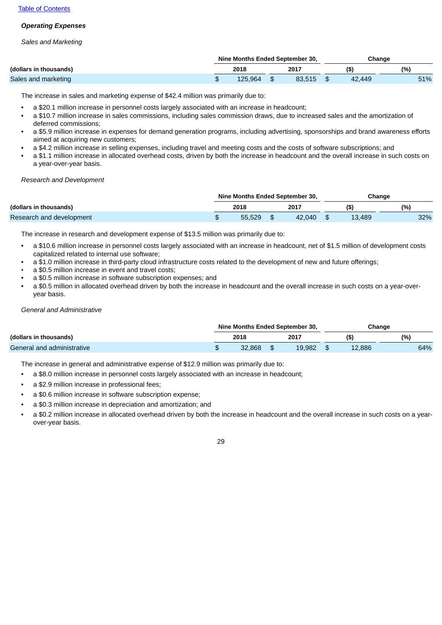## *Operating Expenses*

*Sales and Marketing*

|                        | Nine Months Ended September 30, |        | Change |     |  |
|------------------------|---------------------------------|--------|--------|-----|--|
| (dollars in thousands) | 2018                            | 2017   |        | (%) |  |
| Sales and marketing    | 125.964                         | 83.515 | 42.449 | 51% |  |

The increase in sales and marketing expense of \$42.4 million was primarily due to:

- a \$20.1 million increase in personnel costs largely associated with an increase in headcount;
- a \$10.7 million increase in sales commissions, including sales commission draws, due to increased sales and the amortization of deferred commissions;
- a \$5.9 million increase in expenses for demand generation programs, including advertising, sponsorships and brand awareness efforts aimed at acquiring new customers;
- a \$4.2 million increase in selling expenses, including travel and meeting costs and the costs of software subscriptions; and
- a \$1.1 million increase in allocated overhead costs, driven by both the increase in headcount and the overall increase in such costs on a year-over-year basis.

#### *Research and Development*

|                          |  | Nine Months Ended September 30. |  |        |  | Change |     |  |
|--------------------------|--|---------------------------------|--|--------|--|--------|-----|--|
| (dollars in thousands)   |  | 2018                            |  | 2017   |  |        | (%) |  |
| Research and development |  | 55.529                          |  | 42.040 |  | 13.489 | 32% |  |

The increase in research and development expense of \$13.5 million was primarily due to:

- a \$10.6 million increase in personnel costs largely associated with an increase in headcount, net of \$1.5 million of development costs capitalized related to internal use software;
- a \$1.0 million increase in third-party cloud infrastructure costs related to the development of new and future offerings;
- a \$0.5 million increase in event and travel costs:
- a \$0.5 million increase in software subscription expenses; and
- a \$0.5 million in allocated overhead driven by both the increase in headcount and the overall increase in such costs on a year-overyear basis.

#### *General and Administrative*

|                            | Nine Months Ended September 30, |        |  | Change |  |        |     |
|----------------------------|---------------------------------|--------|--|--------|--|--------|-----|
| (dollars in thousands)     |                                 | 2018   |  | 201.   |  | (\$)   | (%) |
| General and administrative |                                 | 32.868 |  | 19.982 |  | 12,886 | 64% |

The increase in general and administrative expense of \$12.9 million was primarily due to:

- a \$8.0 million increase in personnel costs largely associated with an increase in headcount;
- a \$2.9 million increase in professional fees;
- a \$0.6 million increase in software subscription expense;
- a \$0.3 million increase in depreciation and amortization; and
- a \$0.2 million increase in allocated overhead driven by both the increase in headcount and the overall increase in such costs on a yearover-year basis.

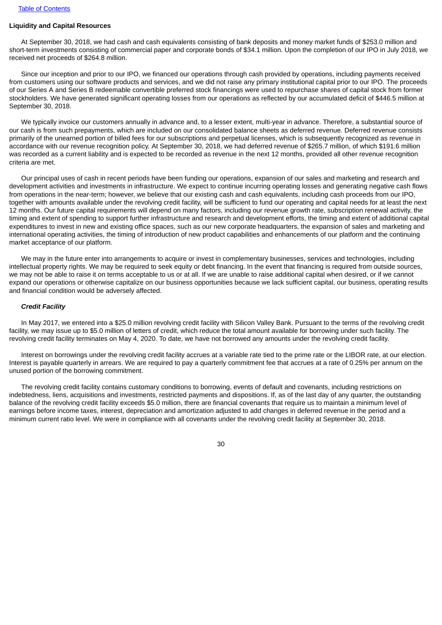#### **Liquidity and Capital Resources**

At September 30, 2018, we had cash and cash equivalents consisting of bank deposits and money market funds of \$253.0 million and short-term investments consisting of commercial paper and corporate bonds of \$34.1 million. Upon the completion of our IPO in July 2018, we received net proceeds of \$264.8 million.

Since our inception and prior to our IPO, we financed our operations through cash provided by operations, including payments received from customers using our software products and services, and we did not raise any primary institutional capital prior to our IPO. The proceeds of our Series A and Series B redeemable convertible preferred stock financings were used to repurchase shares of capital stock from former stockholders. We have generated significant operating losses from our operations as reflected by our accumulated deficit of \$446.5 million at September 30, 2018.

We typically invoice our customers annually in advance and, to a lesser extent, multi-year in advance. Therefore, a substantial source of our cash is from such prepayments, which are included on our consolidated balance sheets as deferred revenue. Deferred revenue consists primarily of the unearned portion of billed fees for our subscriptions and perpetual licenses, which is subsequently recognized as revenue in accordance with our revenue recognition policy. At September 30, 2018, we had deferred revenue of \$265.7 million, of which \$191.6 million was recorded as a current liability and is expected to be recorded as revenue in the next 12 months, provided all other revenue recognition criteria are met.

Our principal uses of cash in recent periods have been funding our operations, expansion of our sales and marketing and research and development activities and investments in infrastructure. We expect to continue incurring operating losses and generating negative cash flows from operations in the near-term; however, we believe that our existing cash and cash equivalents, including cash proceeds from our IPO, together with amounts available under the revolving credit facility, will be sufficient to fund our operating and capital needs for at least the next 12 months. Our future capital requirements will depend on many factors, including our revenue growth rate, subscription renewal activity, the timing and extent of spending to support further infrastructure and research and development efforts, the timing and extent of additional capital expenditures to invest in new and existing office spaces, such as our new corporate headquarters, the expansion of sales and marketing and international operating activities, the timing of introduction of new product capabilities and enhancements of our platform and the continuing market acceptance of our platform.

We may in the future enter into arrangements to acquire or invest in complementary businesses, services and technologies, including intellectual property rights. We may be required to seek equity or debt financing. In the event that financing is required from outside sources, we may not be able to raise it on terms acceptable to us or at all. If we are unable to raise additional capital when desired, or if we cannot expand our operations or otherwise capitalize on our business opportunities because we lack sufficient capital, our business, operating results and financial condition would be adversely affected.

#### *Credit Facility*

In May 2017, we entered into a \$25.0 million revolving credit facility with Silicon Valley Bank. Pursuant to the terms of the revolving credit facility, we may issue up to \$5.0 million of letters of credit, which reduce the total amount available for borrowing under such facility. The revolving credit facility terminates on May 4, 2020. To date, we have not borrowed any amounts under the revolving credit facility.

Interest on borrowings under the revolving credit facility accrues at a variable rate tied to the prime rate or the LIBOR rate, at our election. Interest is payable quarterly in arrears. We are required to pay a quarterly commitment fee that accrues at a rate of 0.25% per annum on the unused portion of the borrowing commitment.

The revolving credit facility contains customary conditions to borrowing, events of default and covenants, including restrictions on indebtedness, liens, acquisitions and investments, restricted payments and dispositions. If, as of the last day of any quarter, the outstanding balance of the revolving credit facility exceeds \$5.0 million, there are financial covenants that require us to maintain a minimum level of earnings before income taxes, interest, depreciation and amortization adjusted to add changes in deferred revenue in the period and a minimum current ratio level. We were in compliance with all covenants under the revolving credit facility at September 30, 2018.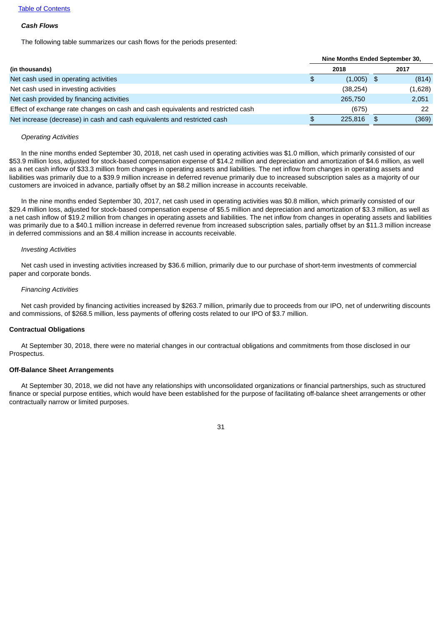#### *Cash Flows*

The following table summarizes our cash flows for the periods presented:

|                                                                                  | Nine Months Ended September 30, |              |  |         |
|----------------------------------------------------------------------------------|---------------------------------|--------------|--|---------|
| (in thousands)                                                                   |                                 | 2018         |  | 2017    |
| Net cash used in operating activities                                            | \$                              | $(1,005)$ \$ |  | (814)   |
| Net cash used in investing activities                                            |                                 | (38, 254)    |  | (1,628) |
| Net cash provided by financing activities                                        |                                 | 265,750      |  | 2,051   |
| Effect of exchange rate changes on cash and cash equivalents and restricted cash |                                 | (675)        |  | 22      |
| Net increase (decrease) in cash and cash equivalents and restricted cash         |                                 | 225,816      |  | (369)   |

#### *Operating Activities*

In the nine months ended September 30, 2018, net cash used in operating activities was \$1.0 million, which primarily consisted of our \$53.9 million loss, adjusted for stock-based compensation expense of \$14.2 million and depreciation and amortization of \$4.6 million, as well as a net cash inflow of \$33.3 million from changes in operating assets and liabilities. The net inflow from changes in operating assets and liabilities was primarily due to a \$39.9 million increase in deferred revenue primarily due to increased subscription sales as a majority of our customers are invoiced in advance, partially offset by an \$8.2 million increase in accounts receivable.

In the nine months ended September 30, 2017, net cash used in operating activities was \$0.8 million, which primarily consisted of our \$29.4 million loss, adjusted for stock-based compensation expense of \$5.5 million and depreciation and amortization of \$3.3 million, as well as a net cash inflow of \$19.2 million from changes in operating assets and liabilities. The net inflow from changes in operating assets and liabilities was primarily due to a \$40.1 million increase in deferred revenue from increased subscription sales, partially offset by an \$11.3 million increase in deferred commissions and an \$8.4 million increase in accounts receivable.

#### *Investing Activities*

Net cash used in investing activities increased by \$36.6 million, primarily due to our purchase of short-term investments of commercial paper and corporate bonds.

#### *Financing Activities*

Net cash provided by financing activities increased by \$263.7 million, primarily due to proceeds from our IPO, net of underwriting discounts and commissions, of \$268.5 million, less payments of offering costs related to our IPO of \$3.7 million.

#### **Contractual Obligations**

At September 30, 2018, there were no material changes in our contractual obligations and commitments from those disclosed in our Prospectus.

#### **Off-Balance Sheet Arrangements**

At September 30, 2018, we did not have any relationships with unconsolidated organizations or financial partnerships, such as structured finance or special purpose entities, which would have been established for the purpose of facilitating off-balance sheet arrangements or other contractually narrow or limited purposes.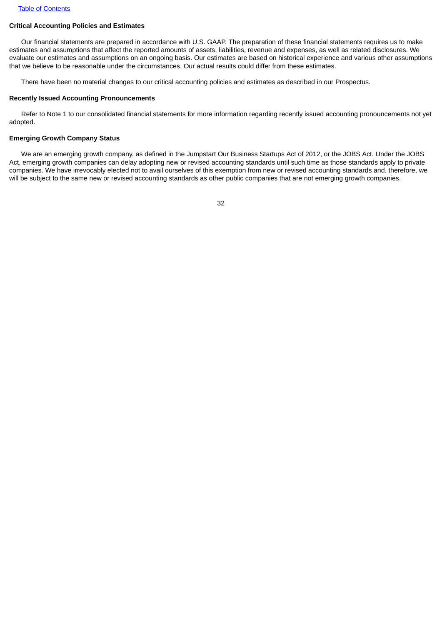## **Critical Accounting Policies and Estimates**

Our financial statements are prepared in accordance with U.S. GAAP. The preparation of these financial statements requires us to make estimates and assumptions that affect the reported amounts of assets, liabilities, revenue and expenses, as well as related disclosures. We evaluate our estimates and assumptions on an ongoing basis. Our estimates are based on historical experience and various other assumptions that we believe to be reasonable under the circumstances. Our actual results could differ from these estimates.

There have been no material changes to our critical accounting policies and estimates as described in our Prospectus.

#### **Recently Issued Accounting Pronouncements**

Refer to Note 1 to our consolidated financial statements for more information regarding recently issued accounting pronouncements not yet adopted.

#### **Emerging Growth Company Status**

We are an emerging growth company, as defined in the Jumpstart Our Business Startups Act of 2012, or the JOBS Act. Under the JOBS Act, emerging growth companies can delay adopting new or revised accounting standards until such time as those standards apply to private companies. We have irrevocably elected not to avail ourselves of this exemption from new or revised accounting standards and, therefore, we will be subject to the same new or revised accounting standards as other public companies that are not emerging growth companies.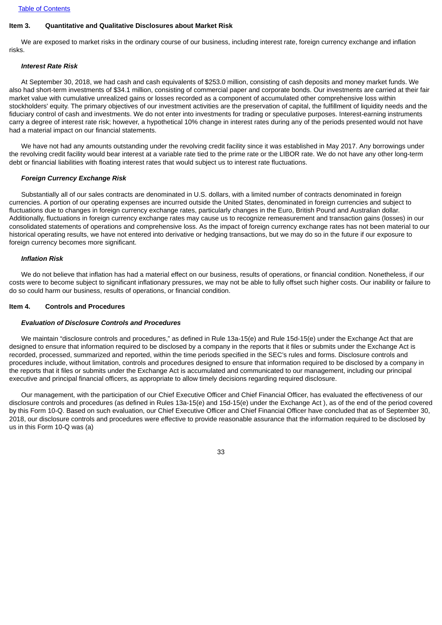#### <span id="page-32-0"></span>**Item 3. Quantitative and Qualitative Disclosures about Market Risk**

We are exposed to market risks in the ordinary course of our business, including interest rate, foreign currency exchange and inflation risks.

#### *Interest Rate Risk*

At September 30, 2018, we had cash and cash equivalents of \$253.0 million, consisting of cash deposits and money market funds. We also had short-term investments of \$34.1 million, consisting of commercial paper and corporate bonds. Our investments are carried at their fair market value with cumulative unrealized gains or losses recorded as a component of accumulated other comprehensive loss within stockholders' equity. The primary objectives of our investment activities are the preservation of capital, the fulfillment of liquidity needs and the fiduciary control of cash and investments. We do not enter into investments for trading or speculative purposes. Interest-earning instruments carry a degree of interest rate risk; however, a hypothetical 10% change in interest rates during any of the periods presented would not have had a material impact on our financial statements.

We have not had any amounts outstanding under the revolving credit facility since it was established in May 2017. Any borrowings under the revolving credit facility would bear interest at a variable rate tied to the prime rate or the LIBOR rate. We do not have any other long-term debt or financial liabilities with floating interest rates that would subject us to interest rate fluctuations.

#### *Foreign Currency Exchange Risk*

Substantially all of our sales contracts are denominated in U.S. dollars, with a limited number of contracts denominated in foreign currencies. A portion of our operating expenses are incurred outside the United States, denominated in foreign currencies and subject to fluctuations due to changes in foreign currency exchange rates, particularly changes in the Euro, British Pound and Australian dollar. Additionally, fluctuations in foreign currency exchange rates may cause us to recognize remeasurement and transaction gains (losses) in our consolidated statements of operations and comprehensive loss. As the impact of foreign currency exchange rates has not been material to our historical operating results, we have not entered into derivative or hedging transactions, but we may do so in the future if our exposure to foreign currency becomes more significant.

#### *Inflation Risk*

We do not believe that inflation has had a material effect on our business, results of operations, or financial condition. Nonetheless, if our costs were to become subject to significant inflationary pressures, we may not be able to fully offset such higher costs. Our inability or failure to do so could harm our business, results of operations, or financial condition.

#### <span id="page-32-1"></span>**Item 4. Controls and Procedures**

#### *Evaluation of Disclosure Controls and Procedures*

We maintain "disclosure controls and procedures," as defined in Rule 13a-15(e) and Rule 15d-15(e) under the Exchange Act that are designed to ensure that information required to be disclosed by a company in the reports that it files or submits under the Exchange Act is recorded, processed, summarized and reported, within the time periods specified in the SEC's rules and forms. Disclosure controls and procedures include, without limitation, controls and procedures designed to ensure that information required to be disclosed by a company in the reports that it files or submits under the Exchange Act is accumulated and communicated to our management, including our principal executive and principal financial officers, as appropriate to allow timely decisions regarding required disclosure.

Our management, with the participation of our Chief Executive Officer and Chief Financial Officer, has evaluated the effectiveness of our disclosure controls and procedures (as defined in Rules 13a-15(e) and 15d-15(e) under the Exchange Act ), as of the end of the period covered by this Form 10-Q. Based on such evaluation, our Chief Executive Officer and Chief Financial Officer have concluded that as of September 30, 2018, our disclosure controls and procedures were effective to provide reasonable assurance that the information required to be disclosed by us in this Form 10-Q was (a)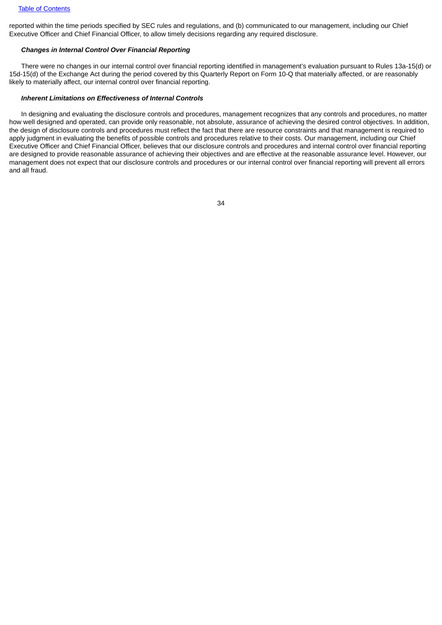reported within the time periods specified by SEC rules and regulations, and (b) communicated to our management, including our Chief Executive Officer and Chief Financial Officer, to allow timely decisions regarding any required disclosure.

#### *Changes in Internal Control Over Financial Reporting*

There were no changes in our internal control over financial reporting identified in management's evaluation pursuant to Rules 13a-15(d) or 15d-15(d) of the Exchange Act during the period covered by this Quarterly Report on Form 10-Q that materially affected, or are reasonably likely to materially affect, our internal control over financial reporting.

#### *Inherent Limitations on Effectiveness of Internal Controls*

In designing and evaluating the disclosure controls and procedures, management recognizes that any controls and procedures, no matter how well designed and operated, can provide only reasonable, not absolute, assurance of achieving the desired control objectives. In addition, the design of disclosure controls and procedures must reflect the fact that there are resource constraints and that management is required to apply judgment in evaluating the benefits of possible controls and procedures relative to their costs. Our management, including our Chief Executive Officer and Chief Financial Officer, believes that our disclosure controls and procedures and internal control over financial reporting are designed to provide reasonable assurance of achieving their objectives and are effective at the reasonable assurance level. However, our management does not expect that our disclosure controls and procedures or our internal control over financial reporting will prevent all errors and all fraud.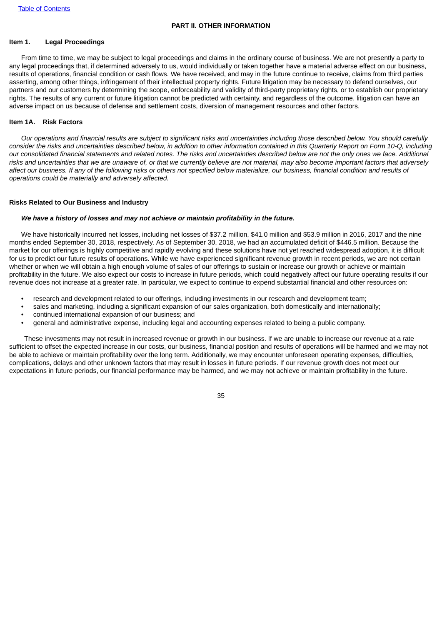#### **PART II. OTHER INFORMATION**

#### <span id="page-34-1"></span><span id="page-34-0"></span>**Item 1. Legal Proceedings**

From time to time, we may be subject to legal proceedings and claims in the ordinary course of business. We are not presently a party to any legal proceedings that, if determined adversely to us, would individually or taken together have a material adverse effect on our business, results of operations, financial condition or cash flows. We have received, and may in the future continue to receive, claims from third parties asserting, among other things, infringement of their intellectual property rights. Future litigation may be necessary to defend ourselves, our partners and our customers by determining the scope, enforceability and validity of third-party proprietary rights, or to establish our proprietary rights. The results of any current or future litigation cannot be predicted with certainty, and regardless of the outcome, litigation can have an adverse impact on us because of defense and settlement costs, diversion of management resources and other factors.

#### <span id="page-34-2"></span>**Item 1A. Risk Factors**

Our operations and financial results are subject to significant risks and uncertainties including those described below. You should carefully consider the risks and uncertainties described below, in addition to other information contained in this Ouarterly Report on Form 10-O, including our consolidated financial statements and related notes. The risks and uncertainties described below are not the only ones we face. Additional risks and uncertainties that we are unaware of, or that we currently believe are not material, may also become important factors that adversely affect our business. If any of the following risks or others not specified below materialize, our business, financial condition and results of *operations could be materially and adversely affected.*

#### **Risks Related to Our Business and Industry**

#### *We have a history of losses and may not achieve or maintain profitability in the future.*

We have historically incurred net losses, including net losses of \$37.2 million, \$41.0 million and \$53.9 million in 2016, 2017 and the nine months ended September 30, 2018, respectively. As of September 30, 2018, we had an accumulated deficit of \$446.5 million. Because the market for our offerings is highly competitive and rapidly evolving and these solutions have not yet reached widespread adoption, it is difficult for us to predict our future results of operations. While we have experienced significant revenue growth in recent periods, we are not certain whether or when we will obtain a high enough volume of sales of our offerings to sustain or increase our growth or achieve or maintain profitability in the future. We also expect our costs to increase in future periods, which could negatively affect our future operating results if our revenue does not increase at a greater rate. In particular, we expect to continue to expend substantial financial and other resources on:

- research and development related to our offerings, including investments in our research and development team;
	- sales and marketing, including a significant expansion of our sales organization, both domestically and internationally;
- continued international expansion of our business; and
- general and administrative expense, including legal and accounting expenses related to being a public company.

These investments may not result in increased revenue or growth in our business. If we are unable to increase our revenue at a rate sufficient to offset the expected increase in our costs, our business, financial position and results of operations will be harmed and we may not be able to achieve or maintain profitability over the long term. Additionally, we may encounter unforeseen operating expenses, difficulties, complications, delays and other unknown factors that may result in losses in future periods. If our revenue growth does not meet our expectations in future periods, our financial performance may be harmed, and we may not achieve or maintain profitability in the future.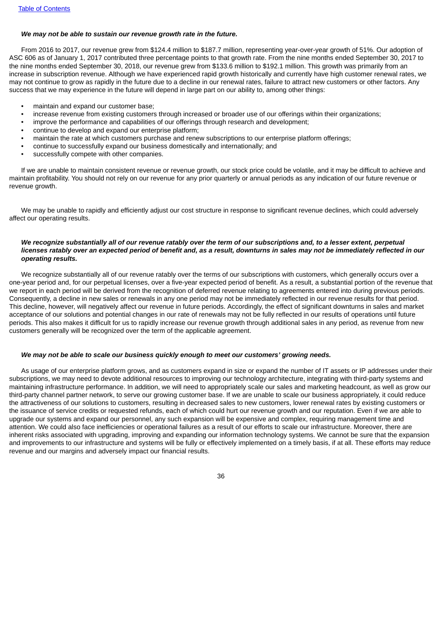#### *We may not be able to sustain our revenue growth rate in the future.*

From 2016 to 2017, our revenue grew from \$124.4 million to \$187.7 million, representing year-over-year growth of 51%. Our adoption of ASC 606 as of January 1, 2017 contributed three percentage points to that growth rate. From the nine months ended September 30, 2017 to the nine months ended September 30, 2018, our revenue grew from \$133.6 million to \$192.1 million. This growth was primarily from an increase in subscription revenue. Although we have experienced rapid growth historically and currently have high customer renewal rates, we may not continue to grow as rapidly in the future due to a decline in our renewal rates, failure to attract new customers or other factors. Any success that we may experience in the future will depend in large part on our ability to, among other things:

- maintain and expand our customer base;
- increase revenue from existing customers through increased or broader use of our offerings within their organizations;
- improve the performance and capabilities of our offerings through research and development;
- continue to develop and expand our enterprise platform;
- maintain the rate at which customers purchase and renew subscriptions to our enterprise platform offerings;
- continue to successfully expand our business domestically and internationally; and
- successfully compete with other companies.

If we are unable to maintain consistent revenue or revenue growth, our stock price could be volatile, and it may be difficult to achieve and maintain profitability. You should not rely on our revenue for any prior quarterly or annual periods as any indication of our future revenue or revenue growth.

We may be unable to rapidly and efficiently adjust our cost structure in response to significant revenue declines, which could adversely affect our operating results.

### We recognize substantially all of our revenue ratably over the term of our subscriptions and, to a lesser extent, perpetual licenses ratably over an expected period of benefit and, as a result, downturns in sales may not be immediately reflected in our *operating results.*

We recognize substantially all of our revenue ratably over the terms of our subscriptions with customers, which generally occurs over a one-year period and, for our perpetual licenses, over a five-year expected period of benefit. As a result, a substantial portion of the revenue that we report in each period will be derived from the recognition of deferred revenue relating to agreements entered into during previous periods. Consequently, a decline in new sales or renewals in any one period may not be immediately reflected in our revenue results for that period. This decline, however, will negatively affect our revenue in future periods. Accordingly, the effect of significant downturns in sales and market acceptance of our solutions and potential changes in our rate of renewals may not be fully reflected in our results of operations until future periods. This also makes it difficult for us to rapidly increase our revenue growth through additional sales in any period, as revenue from new customers generally will be recognized over the term of the applicable agreement.

#### *We may not be able to scale our business quickly enough to meet our customers' growing needs.*

As usage of our enterprise platform grows, and as customers expand in size or expand the number of IT assets or IP addresses under their subscriptions, we may need to devote additional resources to improving our technology architecture, integrating with third-party systems and maintaining infrastructure performance. In addition, we will need to appropriately scale our sales and marketing headcount, as well as grow our third-party channel partner network, to serve our growing customer base. If we are unable to scale our business appropriately, it could reduce the attractiveness of our solutions to customers, resulting in decreased sales to new customers, lower renewal rates by existing customers or the issuance of service credits or requested refunds, each of which could hurt our revenue growth and our reputation. Even if we are able to upgrade our systems and expand our personnel, any such expansion will be expensive and complex, requiring management time and attention. We could also face inefficiencies or operational failures as a result of our efforts to scale our infrastructure. Moreover, there are inherent risks associated with upgrading, improving and expanding our information technology systems. We cannot be sure that the expansion and improvements to our infrastructure and systems will be fully or effectively implemented on a timely basis, if at all. These efforts may reduce revenue and our margins and adversely impact our financial results.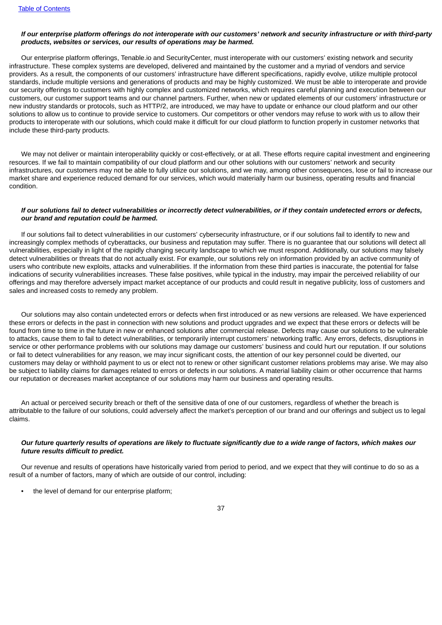## If our enterprise platform offerings do not interoperate with our customers' network and security infrastructure or with third-party *products, websites or services, our results of operations may be harmed.*

Our enterprise platform offerings, Tenable.io and SecurityCenter, must interoperate with our customers' existing network and security infrastructure. These complex systems are developed, delivered and maintained by the customer and a myriad of vendors and service providers. As a result, the components of our customers' infrastructure have different specifications, rapidly evolve, utilize multiple protocol standards, include multiple versions and generations of products and may be highly customized. We must be able to interoperate and provide our security offerings to customers with highly complex and customized networks, which requires careful planning and execution between our customers, our customer support teams and our channel partners. Further, when new or updated elements of our customers' infrastructure or new industry standards or protocols, such as HTTP/2, are introduced, we may have to update or enhance our cloud platform and our other solutions to allow us to continue to provide service to customers. Our competitors or other vendors may refuse to work with us to allow their products to interoperate with our solutions, which could make it difficult for our cloud platform to function properly in customer networks that include these third-party products.

We may not deliver or maintain interoperability quickly or cost-effectively, or at all. These efforts require capital investment and engineering resources. If we fail to maintain compatibility of our cloud platform and our other solutions with our customers' network and security infrastructures, our customers may not be able to fully utilize our solutions, and we may, among other consequences, lose or fail to increase our market share and experience reduced demand for our services, which would materially harm our business, operating results and financial condition.

#### If our solutions fail to detect vulnerabilities or incorrectly detect vulnerabilities, or if they contain undetected errors or defects, *our brand and reputation could be harmed.*

If our solutions fail to detect vulnerabilities in our customers' cybersecurity infrastructure, or if our solutions fail to identify to new and increasingly complex methods of cyberattacks, our business and reputation may suffer. There is no guarantee that our solutions will detect all vulnerabilities, especially in light of the rapidly changing security landscape to which we must respond. Additionally, our solutions may falsely detect vulnerabilities or threats that do not actually exist. For example, our solutions rely on information provided by an active community of users who contribute new exploits, attacks and vulnerabilities. If the information from these third parties is inaccurate, the potential for false indications of security vulnerabilities increases. These false positives, while typical in the industry, may impair the perceived reliability of our offerings and may therefore adversely impact market acceptance of our products and could result in negative publicity, loss of customers and sales and increased costs to remedy any problem.

Our solutions may also contain undetected errors or defects when first introduced or as new versions are released. We have experienced these errors or defects in the past in connection with new solutions and product upgrades and we expect that these errors or defects will be found from time to time in the future in new or enhanced solutions after commercial release. Defects may cause our solutions to be vulnerable to attacks, cause them to fail to detect vulnerabilities, or temporarily interrupt customers' networking traffic. Any errors, defects, disruptions in service or other performance problems with our solutions may damage our customers' business and could hurt our reputation. If our solutions or fail to detect vulnerabilities for any reason, we may incur significant costs, the attention of our key personnel could be diverted, our customers may delay or withhold payment to us or elect not to renew or other significant customer relations problems may arise. We may also be subject to liability claims for damages related to errors or defects in our solutions. A material liability claim or other occurrence that harms our reputation or decreases market acceptance of our solutions may harm our business and operating results.

An actual or perceived security breach or theft of the sensitive data of one of our customers, regardless of whether the breach is attributable to the failure of our solutions, could adversely affect the market's perception of our brand and our offerings and subject us to legal claims.

#### Our future quarterly results of operations are likely to fluctuate significantly due to a wide range of factors, which makes our *future results difficult to predict.*

Our revenue and results of operations have historically varied from period to period, and we expect that they will continue to do so as a result of a number of factors, many of which are outside of our control, including:

the level of demand for our enterprise platform;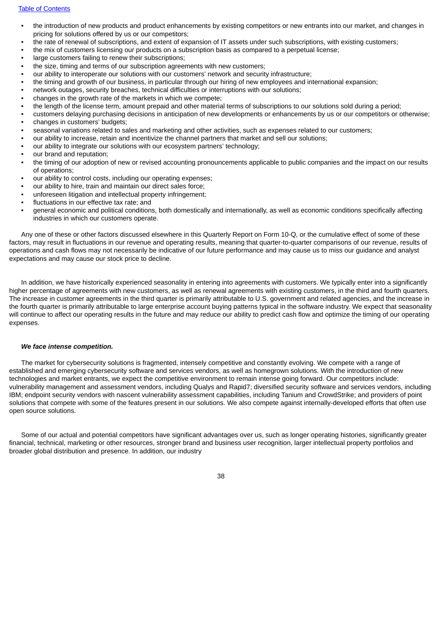- the introduction of new products and product enhancements by existing competitors or new entrants into our market, and changes in pricing for solutions offered by us or our competitors;
- the rate of renewal of subscriptions, and extent of expansion of IT assets under such subscriptions, with existing customers;
- the mix of customers licensing our products on a subscription basis as compared to a perpetual license;
- large customers failing to renew their subscriptions;
- the size, timing and terms of our subscription agreements with new customers;
- our ability to interoperate our solutions with our customers' network and security infrastructure;
- the timing and growth of our business, in particular through our hiring of new employees and international expansion;
- network outages, security breaches, technical difficulties or interruptions with our solutions;
- changes in the growth rate of the markets in which we compete;
- the length of the license term, amount prepaid and other material terms of subscriptions to our solutions sold during a period;
- customers delaying purchasing decisions in anticipation of new developments or enhancements by us or our competitors or otherwise; • changes in customers' budgets;
- seasonal variations related to sales and marketing and other activities, such as expenses related to our customers;
- our ability to increase, retain and incentivize the channel partners that market and sell our solutions;
- our ability to integrate our solutions with our ecosystem partners' technology;
- our brand and reputation;
- the timing of our adoption of new or revised accounting pronouncements applicable to public companies and the impact on our results of operations;
- our ability to control costs, including our operating expenses;
- our ability to hire, train and maintain our direct sales force;
- unforeseen litigation and intellectual property infringement:
- fluctuations in our effective tax rate; and
- general economic and political conditions, both domestically and internationally, as well as economic conditions specifically affecting industries in which our customers operate.

Any one of these or other factors discussed elsewhere in this Quarterly Report on Form 10-Q, or the cumulative effect of some of these factors, may result in fluctuations in our revenue and operating results, meaning that quarter-to-quarter comparisons of our revenue, results of operations and cash flows may not necessarily be indicative of our future performance and may cause us to miss our guidance and analyst expectations and may cause our stock price to decline.

In addition, we have historically experienced seasonality in entering into agreements with customers. We typically enter into a significantly higher percentage of agreements with new customers, as well as renewal agreements with existing customers, in the third and fourth quarters. The increase in customer agreements in the third quarter is primarily attributable to U.S. government and related agencies, and the increase in the fourth quarter is primarily attributable to large enterprise account buying patterns typical in the software industry. We expect that seasonality will continue to affect our operating results in the future and may reduce our ability to predict cash flow and optimize the timing of our operating expenses.

#### *We face intense competition.*

The market for cybersecurity solutions is fragmented, intensely competitive and constantly evolving. We compete with a range of established and emerging cybersecurity software and services vendors, as well as homegrown solutions. With the introduction of new technologies and market entrants, we expect the competitive environment to remain intense going forward. Our competitors include: vulnerability management and assessment vendors, including Qualys and Rapid7; diversified security software and services vendors, including IBM; endpoint security vendors with nascent vulnerability assessment capabilities, including Tanium and CrowdStrike; and providers of point solutions that compete with some of the features present in our solutions. We also compete against internally-developed efforts that often use open source solutions.

Some of our actual and potential competitors have significant advantages over us, such as longer operating histories, significantly greater financial, technical, marketing or other resources, stronger brand and business user recognition, larger intellectual property portfolios and broader global distribution and presence. In addition, our industry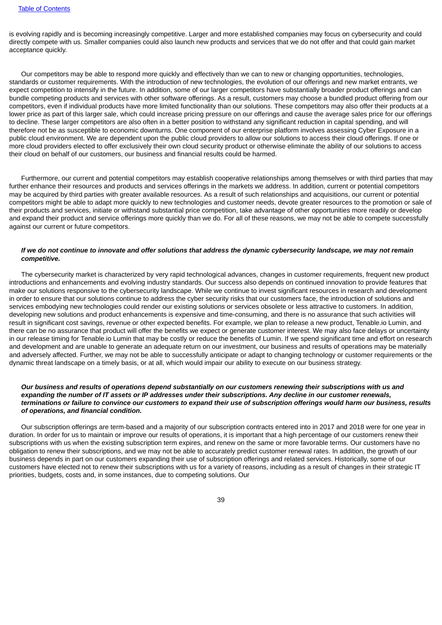is evolving rapidly and is becoming increasingly competitive. Larger and more established companies may focus on cybersecurity and could directly compete with us. Smaller companies could also launch new products and services that we do not offer and that could gain market acceptance quickly.

Our competitors may be able to respond more quickly and effectively than we can to new or changing opportunities, technologies, standards or customer requirements. With the introduction of new technologies, the evolution of our offerings and new market entrants, we expect competition to intensify in the future. In addition, some of our larger competitors have substantially broader product offerings and can bundle competing products and services with other software offerings. As a result, customers may choose a bundled product offering from our competitors, even if individual products have more limited functionality than our solutions. These competitors may also offer their products at a lower price as part of this larger sale, which could increase pricing pressure on our offerings and cause the average sales price for our offerings to decline. These larger competitors are also often in a better position to withstand any significant reduction in capital spending, and will therefore not be as susceptible to economic downturns. One component of our enterprise platform involves assessing Cyber Exposure in a public cloud environment. We are dependent upon the public cloud providers to allow our solutions to access their cloud offerings. If one or more cloud providers elected to offer exclusively their own cloud security product or otherwise eliminate the ability of our solutions to access their cloud on behalf of our customers, our business and financial results could be harmed.

Furthermore, our current and potential competitors may establish cooperative relationships among themselves or with third parties that may further enhance their resources and products and services offerings in the markets we address. In addition, current or potential competitors may be acquired by third parties with greater available resources. As a result of such relationships and acquisitions, our current or potential competitors might be able to adapt more quickly to new technologies and customer needs, devote greater resources to the promotion or sale of their products and services, initiate or withstand substantial price competition, take advantage of other opportunities more readily or develop and expand their product and service offerings more quickly than we do. For all of these reasons, we may not be able to compete successfully against our current or future competitors.

#### If we do not continue to innovate and offer solutions that address the dynamic cybersecurity landscape, we may not remain *competitive.*

The cybersecurity market is characterized by very rapid technological advances, changes in customer requirements, frequent new product introductions and enhancements and evolving industry standards. Our success also depends on continued innovation to provide features that make our solutions responsive to the cybersecurity landscape. While we continue to invest significant resources in research and development in order to ensure that our solutions continue to address the cyber security risks that our customers face, the introduction of solutions and services embodying new technologies could render our existing solutions or services obsolete or less attractive to customers. In addition, developing new solutions and product enhancements is expensive and time-consuming, and there is no assurance that such activities will result in significant cost savings, revenue or other expected benefits. For example, we plan to release a new product, Tenable.io Lumin, and there can be no assurance that product will offer the benefits we expect or generate customer interest. We may also face delays or uncertainty in our release timing for Tenable.io Lumin that may be costly or reduce the benefits of Lumin. If we spend significant time and effort on research and development and are unable to generate an adequate return on our investment, our business and results of operations may be materially and adversely affected. Further, we may not be able to successfully anticipate or adapt to changing technology or customer requirements or the dynamic threat landscape on a timely basis, or at all, which would impair our ability to execute on our business strategy.

#### Our business and results of operations depend substantially on our customers renewing their subscriptions with us and expanding the number of IT assets or IP addresses under their subscriptions. Any decline in our customer renewals, terminations or failure to convince our customers to expand their use of subscription offerings would harm our business, results *of operations, and financial condition.*

Our subscription offerings are term-based and a majority of our subscription contracts entered into in 2017 and 2018 were for one year in duration. In order for us to maintain or improve our results of operations, it is important that a high percentage of our customers renew their subscriptions with us when the existing subscription term expires, and renew on the same or more favorable terms. Our customers have no obligation to renew their subscriptions, and we may not be able to accurately predict customer renewal rates. In addition, the growth of our business depends in part on our customers expanding their use of subscription offerings and related services. Historically, some of our customers have elected not to renew their subscriptions with us for a variety of reasons, including as a result of changes in their strategic IT priorities, budgets, costs and, in some instances, due to competing solutions. Our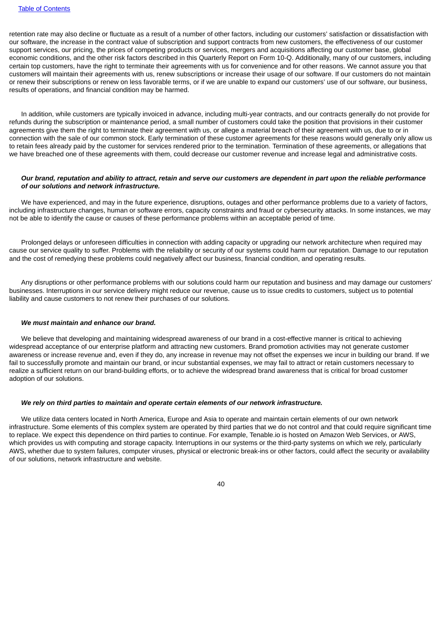retention rate may also decline or fluctuate as a result of a number of other factors, including our customers' satisfaction or dissatisfaction with our software, the increase in the contract value of subscription and support contracts from new customers, the effectiveness of our customer support services, our pricing, the prices of competing products or services, mergers and acquisitions affecting our customer base, global economic conditions, and the other risk factors described in this Quarterly Report on Form 10-Q. Additionally, many of our customers, including certain top customers, have the right to terminate their agreements with us for convenience and for other reasons. We cannot assure you that customers will maintain their agreements with us, renew subscriptions or increase their usage of our software. If our customers do not maintain or renew their subscriptions or renew on less favorable terms, or if we are unable to expand our customers' use of our software, our business, results of operations, and financial condition may be harmed.

In addition, while customers are typically invoiced in advance, including multi-year contracts, and our contracts generally do not provide for refunds during the subscription or maintenance period, a small number of customers could take the position that provisions in their customer agreements give them the right to terminate their agreement with us, or allege a material breach of their agreement with us, due to or in connection with the sale of our common stock. Early termination of these customer agreements for these reasons would generally only allow us to retain fees already paid by the customer for services rendered prior to the termination. Termination of these agreements, or allegations that we have breached one of these agreements with them, could decrease our customer revenue and increase legal and administrative costs.

#### Our brand, reputation and ability to attract, retain and serve our customers are dependent in part upon the reliable performance *of our solutions and network infrastructure.*

We have experienced, and may in the future experience, disruptions, outages and other performance problems due to a variety of factors, including infrastructure changes, human or software errors, capacity constraints and fraud or cybersecurity attacks. In some instances, we may not be able to identify the cause or causes of these performance problems within an acceptable period of time.

Prolonged delays or unforeseen difficulties in connection with adding capacity or upgrading our network architecture when required may cause our service quality to suffer. Problems with the reliability or security of our systems could harm our reputation. Damage to our reputation and the cost of remedying these problems could negatively affect our business, financial condition, and operating results.

Any disruptions or other performance problems with our solutions could harm our reputation and business and may damage our customers' businesses. Interruptions in our service delivery might reduce our revenue, cause us to issue credits to customers, subject us to potential liability and cause customers to not renew their purchases of our solutions.

#### *We must maintain and enhance our brand.*

We believe that developing and maintaining widespread awareness of our brand in a cost-effective manner is critical to achieving widespread acceptance of our enterprise platform and attracting new customers. Brand promotion activities may not generate customer awareness or increase revenue and, even if they do, any increase in revenue may not offset the expenses we incur in building our brand. If we fail to successfully promote and maintain our brand, or incur substantial expenses, we may fail to attract or retain customers necessary to realize a sufficient return on our brand-building efforts, or to achieve the widespread brand awareness that is critical for broad customer adoption of our solutions.

#### *We rely on third parties to maintain and operate certain elements of our network infrastructure.*

We utilize data centers located in North America, Europe and Asia to operate and maintain certain elements of our own network infrastructure. Some elements of this complex system are operated by third parties that we do not control and that could require significant time to replace. We expect this dependence on third parties to continue. For example, Tenable.io is hosted on Amazon Web Services, or AWS, which provides us with computing and storage capacity. Interruptions in our systems or the third-party systems on which we rely, particularly AWS, whether due to system failures, computer viruses, physical or electronic break-ins or other factors, could affect the security or availability of our solutions, network infrastructure and website.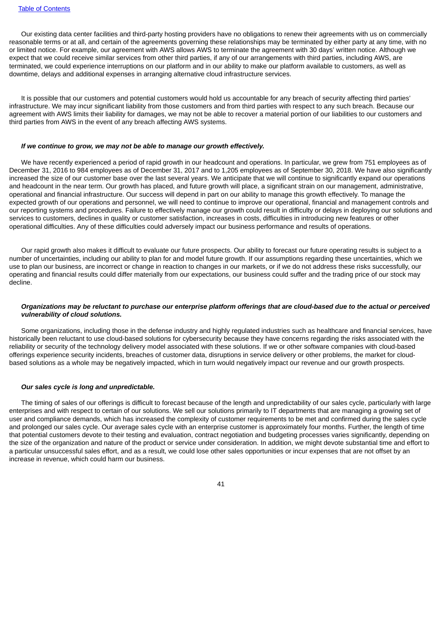Our existing data center facilities and third-party hosting providers have no obligations to renew their agreements with us on commercially reasonable terms or at all, and certain of the agreements governing these relationships may be terminated by either party at any time, with no or limited notice. For example, our agreement with AWS allows AWS to terminate the agreement with 30 days' written notice. Although we expect that we could receive similar services from other third parties, if any of our arrangements with third parties, including AWS, are terminated, we could experience interruptions on our platform and in our ability to make our platform available to customers, as well as downtime, delays and additional expenses in arranging alternative cloud infrastructure services.

It is possible that our customers and potential customers would hold us accountable for any breach of security affecting third parties' infrastructure. We may incur significant liability from those customers and from third parties with respect to any such breach. Because our agreement with AWS limits their liability for damages, we may not be able to recover a material portion of our liabilities to our customers and third parties from AWS in the event of any breach affecting AWS systems.

#### *If we continue to grow, we may not be able to manage our growth effectively.*

We have recently experienced a period of rapid growth in our headcount and operations. In particular, we grew from 751 employees as of December 31, 2016 to 984 employees as of December 31, 2017 and to 1,205 employees as of September 30, 2018. We have also significantly increased the size of our customer base over the last several years. We anticipate that we will continue to significantly expand our operations and headcount in the near term. Our growth has placed, and future growth will place, a significant strain on our management, administrative, operational and financial infrastructure. Our success will depend in part on our ability to manage this growth effectively. To manage the expected growth of our operations and personnel, we will need to continue to improve our operational, financial and management controls and our reporting systems and procedures. Failure to effectively manage our growth could result in difficulty or delays in deploying our solutions and services to customers, declines in quality or customer satisfaction, increases in costs, difficulties in introducing new features or other operational difficulties. Any of these difficulties could adversely impact our business performance and results of operations.

Our rapid growth also makes it difficult to evaluate our future prospects. Our ability to forecast our future operating results is subject to a number of uncertainties, including our ability to plan for and model future growth. If our assumptions regarding these uncertainties, which we use to plan our business, are incorrect or change in reaction to changes in our markets, or if we do not address these risks successfully, our operating and financial results could differ materially from our expectations, our business could suffer and the trading price of our stock may decline.

#### Organizations may be reluctant to purchase our enterprise platform offerings that are cloud-based due to the actual or perceived *vulnerability of cloud solutions.*

Some organizations, including those in the defense industry and highly regulated industries such as healthcare and financial services, have historically been reluctant to use cloud-based solutions for cybersecurity because they have concerns regarding the risks associated with the reliability or security of the technology delivery model associated with these solutions. If we or other software companies with cloud-based offerings experience security incidents, breaches of customer data, disruptions in service delivery or other problems, the market for cloudbased solutions as a whole may be negatively impacted, which in turn would negatively impact our revenue and our growth prospects.

#### *Our sales cycle is long and unpredictable.*

The timing of sales of our offerings is difficult to forecast because of the length and unpredictability of our sales cycle, particularly with large enterprises and with respect to certain of our solutions. We sell our solutions primarily to IT departments that are managing a growing set of user and compliance demands, which has increased the complexity of customer requirements to be met and confirmed during the sales cycle and prolonged our sales cycle. Our average sales cycle with an enterprise customer is approximately four months. Further, the length of time that potential customers devote to their testing and evaluation, contract negotiation and budgeting processes varies significantly, depending on the size of the organization and nature of the product or service under consideration. In addition, we might devote substantial time and effort to a particular unsuccessful sales effort, and as a result, we could lose other sales opportunities or incur expenses that are not offset by an increase in revenue, which could harm our business.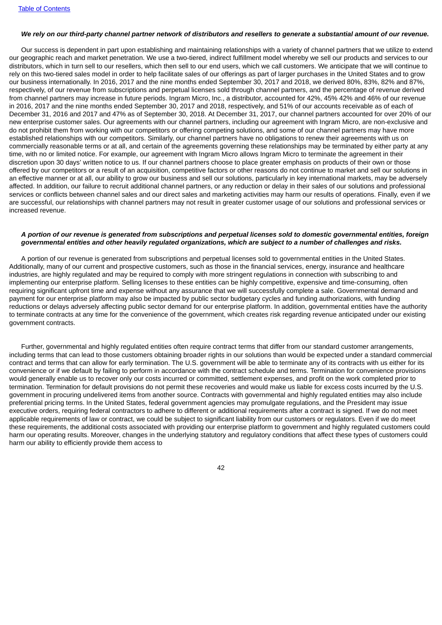#### We rely on our third-party channel partner network of distributors and resellers to generate a substantial amount of our revenue.

Our success is dependent in part upon establishing and maintaining relationships with a variety of channel partners that we utilize to extend our geographic reach and market penetration. We use a two-tiered, indirect fulfillment model whereby we sell our products and services to our distributors, which in turn sell to our resellers, which then sell to our end users, which we call customers. We anticipate that we will continue to rely on this two-tiered sales model in order to help facilitate sales of our offerings as part of larger purchases in the United States and to grow our business internationally. In 2016, 2017 and the nine months ended September 30, 2017 and 2018, we derived 80%, 83%, 82% and 87%, respectively, of our revenue from subscriptions and perpetual licenses sold through channel partners, and the percentage of revenue derived from channel partners may increase in future periods. Ingram Micro, Inc., a distributor, accounted for 42%, 45% 42% and 46% of our revenue in 2016, 2017 and the nine months ended September 30, 2017 and 2018, respectively, and 51% of our accounts receivable as of each of December 31, 2016 and 2017 and 47% as of September 30, 2018. At December 31, 2017, our channel partners accounted for over 20% of our new enterprise customer sales. Our agreements with our channel partners, including our agreement with Ingram Micro, are non-exclusive and do not prohibit them from working with our competitors or offering competing solutions, and some of our channel partners may have more established relationships with our competitors. Similarly, our channel partners have no obligations to renew their agreements with us on commercially reasonable terms or at all, and certain of the agreements governing these relationships may be terminated by either party at any time, with no or limited notice. For example, our agreement with Ingram Micro allows Ingram Micro to terminate the agreement in their discretion upon 30 days' written notice to us. If our channel partners choose to place greater emphasis on products of their own or those offered by our competitors or a result of an acquisition, competitive factors or other reasons do not continue to market and sell our solutions in an effective manner or at all, our ability to grow our business and sell our solutions, particularly in key international markets, may be adversely affected. In addition, our failure to recruit additional channel partners, or any reduction or delay in their sales of our solutions and professional services or conflicts between channel sales and our direct sales and marketing activities may harm our results of operations. Finally, even if we are successful, our relationships with channel partners may not result in greater customer usage of our solutions and professional services or increased revenue.

#### A portion of our revenue is generated from subscriptions and perpetual licenses sold to domestic governmental entities, foreign governmental entities and other heavily regulated organizations, which are subject to a number of challenges and risks.

A portion of our revenue is generated from subscriptions and perpetual licenses sold to governmental entities in the United States. Additionally, many of our current and prospective customers, such as those in the financial services, energy, insurance and healthcare industries, are highly regulated and may be required to comply with more stringent regulations in connection with subscribing to and implementing our enterprise platform. Selling licenses to these entities can be highly competitive, expensive and time-consuming, often requiring significant upfront time and expense without any assurance that we will successfully complete a sale. Governmental demand and payment for our enterprise platform may also be impacted by public sector budgetary cycles and funding authorizations, with funding reductions or delays adversely affecting public sector demand for our enterprise platform. In addition, governmental entities have the authority to terminate contracts at any time for the convenience of the government, which creates risk regarding revenue anticipated under our existing government contracts.

Further, governmental and highly regulated entities often require contract terms that differ from our standard customer arrangements, including terms that can lead to those customers obtaining broader rights in our solutions than would be expected under a standard commercial contract and terms that can allow for early termination. The U.S. government will be able to terminate any of its contracts with us either for its convenience or if we default by failing to perform in accordance with the contract schedule and terms. Termination for convenience provisions would generally enable us to recover only our costs incurred or committed, settlement expenses, and profit on the work completed prior to termination. Termination for default provisions do not permit these recoveries and would make us liable for excess costs incurred by the U.S. government in procuring undelivered items from another source. Contracts with governmental and highly regulated entities may also include preferential pricing terms. In the United States, federal government agencies may promulgate regulations, and the President may issue executive orders, requiring federal contractors to adhere to different or additional requirements after a contract is signed. If we do not meet applicable requirements of law or contract, we could be subject to significant liability from our customers or regulators. Even if we do meet these requirements, the additional costs associated with providing our enterprise platform to government and highly regulated customers could harm our operating results. Moreover, changes in the underlying statutory and regulatory conditions that affect these types of customers could harm our ability to efficiently provide them access to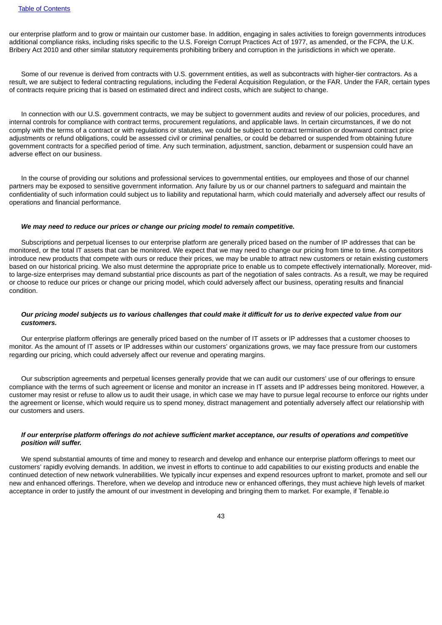our enterprise platform and to grow or maintain our customer base. In addition, engaging in sales activities to foreign governments introduces additional compliance risks, including risks specific to the U.S. Foreign Corrupt Practices Act of 1977, as amended, or the FCPA, the U.K. Bribery Act 2010 and other similar statutory requirements prohibiting bribery and corruption in the jurisdictions in which we operate.

Some of our revenue is derived from contracts with U.S. government entities, as well as subcontracts with higher-tier contractors. As a result, we are subject to federal contracting regulations, including the Federal Acquisition Regulation, or the FAR. Under the FAR, certain types of contracts require pricing that is based on estimated direct and indirect costs, which are subject to change.

In connection with our U.S. government contracts, we may be subject to government audits and review of our policies, procedures, and internal controls for compliance with contract terms, procurement regulations, and applicable laws. In certain circumstances, if we do not comply with the terms of a contract or with regulations or statutes, we could be subject to contract termination or downward contract price adjustments or refund obligations, could be assessed civil or criminal penalties, or could be debarred or suspended from obtaining future government contracts for a specified period of time. Any such termination, adjustment, sanction, debarment or suspension could have an adverse effect on our business.

In the course of providing our solutions and professional services to governmental entities, our employees and those of our channel partners may be exposed to sensitive government information. Any failure by us or our channel partners to safeguard and maintain the confidentiality of such information could subject us to liability and reputational harm, which could materially and adversely affect our results of operations and financial performance.

#### *We may need to reduce our prices or change our pricing model to remain competitive.*

Subscriptions and perpetual licenses to our enterprise platform are generally priced based on the number of IP addresses that can be monitored, or the total IT assets that can be monitored. We expect that we may need to change our pricing from time to time. As competitors introduce new products that compete with ours or reduce their prices, we may be unable to attract new customers or retain existing customers based on our historical pricing. We also must determine the appropriate price to enable us to compete effectively internationally. Moreover, midto large-size enterprises may demand substantial price discounts as part of the negotiation of sales contracts. As a result, we may be required or choose to reduce our prices or change our pricing model, which could adversely affect our business, operating results and financial condition.

#### Our pricing model subjects us to various challenges that could make it difficult for us to derive expected value from our *customers.*

Our enterprise platform offerings are generally priced based on the number of IT assets or IP addresses that a customer chooses to monitor. As the amount of IT assets or IP addresses within our customers' organizations grows, we may face pressure from our customers regarding our pricing, which could adversely affect our revenue and operating margins.

Our subscription agreements and perpetual licenses generally provide that we can audit our customers' use of our offerings to ensure compliance with the terms of such agreement or license and monitor an increase in IT assets and IP addresses being monitored. However, a customer may resist or refuse to allow us to audit their usage, in which case we may have to pursue legal recourse to enforce our rights under the agreement or license, which would require us to spend money, distract management and potentially adversely affect our relationship with our customers and users.

#### If our enterprise platform offerings do not achieve sufficient market acceptance, our results of operations and competitive *position will suffer.*

We spend substantial amounts of time and money to research and develop and enhance our enterprise platform offerings to meet our customers' rapidly evolving demands. In addition, we invest in efforts to continue to add capabilities to our existing products and enable the continued detection of new network vulnerabilities. We typically incur expenses and expend resources upfront to market, promote and sell our new and enhanced offerings. Therefore, when we develop and introduce new or enhanced offerings, they must achieve high levels of market acceptance in order to justify the amount of our investment in developing and bringing them to market. For example, if Tenable.io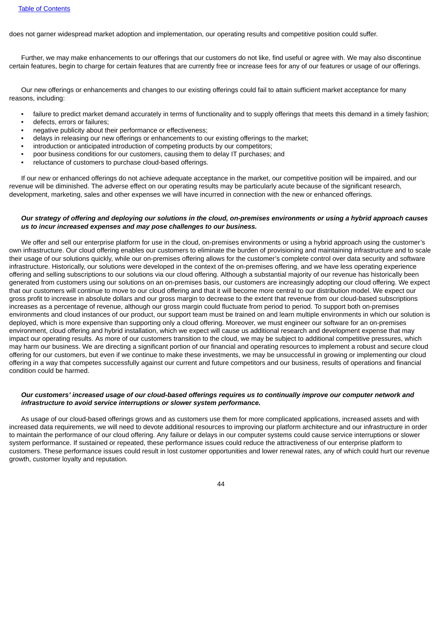does not garner widespread market adoption and implementation, our operating results and competitive position could suffer.

Further, we may make enhancements to our offerings that our customers do not like, find useful or agree with. We may also discontinue certain features, begin to charge for certain features that are currently free or increase fees for any of our features or usage of our offerings.

Our new offerings or enhancements and changes to our existing offerings could fail to attain sufficient market acceptance for many reasons, including:

- failure to predict market demand accurately in terms of functionality and to supply offerings that meets this demand in a timely fashion:
- defects, errors or failures;
- negative publicity about their performance or effectiveness;
- delays in releasing our new offerings or enhancements to our existing offerings to the market;
- introduction or anticipated introduction of competing products by our competitors;
- poor business conditions for our customers, causing them to delay IT purchases; and
- reluctance of customers to purchase cloud-based offerings.

If our new or enhanced offerings do not achieve adequate acceptance in the market, our competitive position will be impaired, and our revenue will be diminished. The adverse effect on our operating results may be particularly acute because of the significant research, development, marketing, sales and other expenses we will have incurred in connection with the new or enhanced offerings.

#### Our strategy of offering and deploying our solutions in the cloud, on-premises environments or using a hybrid approach causes *us to incur increased expenses and may pose challenges to our business.*

We offer and sell our enterprise platform for use in the cloud, on-premises environments or using a hybrid approach using the customer's own infrastructure. Our cloud offering enables our customers to eliminate the burden of provisioning and maintaining infrastructure and to scale their usage of our solutions quickly, while our on-premises offering allows for the customer's complete control over data security and software infrastructure. Historically, our solutions were developed in the context of the on-premises offering, and we have less operating experience offering and selling subscriptions to our solutions via our cloud offering. Although a substantial majority of our revenue has historically been generated from customers using our solutions on an on-premises basis, our customers are increasingly adopting our cloud offering. We expect that our customers will continue to move to our cloud offering and that it will become more central to our distribution model. We expect our gross profit to increase in absolute dollars and our gross margin to decrease to the extent that revenue from our cloud-based subscriptions increases as a percentage of revenue, although our gross margin could fluctuate from period to period. To support both on-premises environments and cloud instances of our product, our support team must be trained on and learn multiple environments in which our solution is deployed, which is more expensive than supporting only a cloud offering. Moreover, we must engineer our software for an on-premises environment, cloud offering and hybrid installation, which we expect will cause us additional research and development expense that may impact our operating results. As more of our customers transition to the cloud, we may be subject to additional competitive pressures, which may harm our business. We are directing a significant portion of our financial and operating resources to implement a robust and secure cloud offering for our customers, but even if we continue to make these investments, we may be unsuccessful in growing or implementing our cloud offering in a way that competes successfully against our current and future competitors and our business, results of operations and financial condition could be harmed.

#### Our customers' increased usage of our cloud-based offerings requires us to continually improve our computer network and *infrastructure to avoid service interruptions or slower system performance.*

As usage of our cloud-based offerings grows and as customers use them for more complicated applications, increased assets and with increased data requirements, we will need to devote additional resources to improving our platform architecture and our infrastructure in order to maintain the performance of our cloud offering. Any failure or delays in our computer systems could cause service interruptions or slower system performance. If sustained or repeated, these performance issues could reduce the attractiveness of our enterprise platform to customers. These performance issues could result in lost customer opportunities and lower renewal rates, any of which could hurt our revenue growth, customer loyalty and reputation.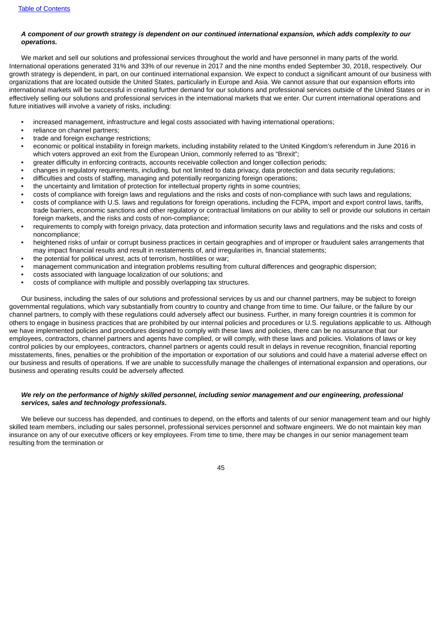## A component of our growth strategy is dependent on our continued international expansion, which adds complexity to our *operations.*

We market and sell our solutions and professional services throughout the world and have personnel in many parts of the world. International operations generated 31% and 33% of our revenue in 2017 and the nine months ended September 30, 2018, respectively. Our growth strategy is dependent, in part, on our continued international expansion. We expect to conduct a significant amount of our business with organizations that are located outside the United States, particularly in Europe and Asia. We cannot assure that our expansion efforts into international markets will be successful in creating further demand for our solutions and professional services outside of the United States or in effectively selling our solutions and professional services in the international markets that we enter. Our current international operations and future initiatives will involve a variety of risks, including:

- increased management, infrastructure and legal costs associated with having international operations;
- reliance on channel partners;
- trade and foreign exchange restrictions:
- economic or political instability in foreign markets, including instability related to the United Kingdom's referendum in June 2016 in which voters approved an exit from the European Union, commonly referred to as "Brexit";
- greater difficulty in enforcing contracts, accounts receivable collection and longer collection periods;
- changes in regulatory requirements, including, but not limited to data privacy, data protection and data security regulations;
- difficulties and costs of staffing, managing and potentially reorganizing foreign operations;
- the uncertainty and limitation of protection for intellectual property rights in some countries;
- costs of compliance with foreign laws and regulations and the risks and costs of non-compliance with such laws and regulations;
- costs of compliance with U.S. laws and regulations for foreign operations, including the FCPA, import and export control laws, tariffs, trade barriers, economic sanctions and other regulatory or contractual limitations on our ability to sell or provide our solutions in certain foreign markets, and the risks and costs of non-compliance;
- requirements to comply with foreign privacy, data protection and information security laws and regulations and the risks and costs of noncompliance;
- heightened risks of unfair or corrupt business practices in certain geographies and of improper or fraudulent sales arrangements that may impact financial results and result in restatements of, and irregularities in, financial statements;
- the potential for political unrest, acts of terrorism, hostilities or war;
- management communication and integration problems resulting from cultural differences and geographic dispersion;
- costs associated with language localization of our solutions; and
- costs of compliance with multiple and possibly overlapping tax structures.

Our business, including the sales of our solutions and professional services by us and our channel partners, may be subject to foreign governmental regulations, which vary substantially from country to country and change from time to time. Our failure, or the failure by our channel partners, to comply with these regulations could adversely affect our business. Further, in many foreign countries it is common for others to engage in business practices that are prohibited by our internal policies and procedures or U.S. regulations applicable to us. Although we have implemented policies and procedures designed to comply with these laws and policies, there can be no assurance that our employees, contractors, channel partners and agents have complied, or will comply, with these laws and policies. Violations of laws or key control policies by our employees, contractors, channel partners or agents could result in delays in revenue recognition, financial reporting misstatements, fines, penalties or the prohibition of the importation or exportation of our solutions and could have a material adverse effect on our business and results of operations. If we are unable to successfully manage the challenges of international expansion and operations, our business and operating results could be adversely affected.

## We rely on the performance of highly skilled personnel, including senior management and our engineering, professional *services, sales and technology professionals.*

We believe our success has depended, and continues to depend, on the efforts and talents of our senior management team and our highly skilled team members, including our sales personnel, professional services personnel and software engineers. We do not maintain key man insurance on any of our executive officers or key employees. From time to time, there may be changes in our senior management team resulting from the termination or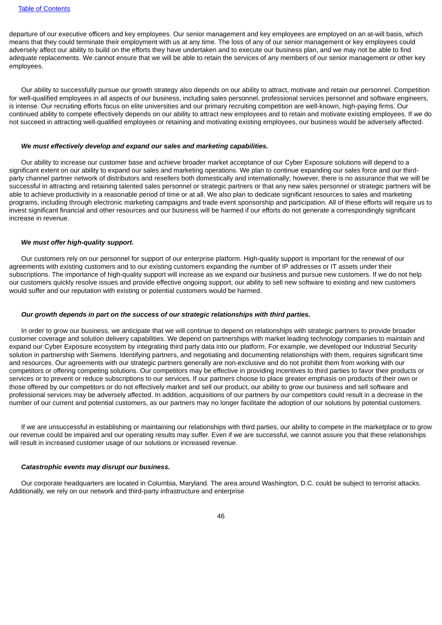departure of our executive officers and key employees. Our senior management and key employees are employed on an at-will basis, which means that they could terminate their employment with us at any time. The loss of any of our senior management or key employees could adversely affect our ability to build on the efforts they have undertaken and to execute our business plan, and we may not be able to find adequate replacements. We cannot ensure that we will be able to retain the services of any members of our senior management or other key employees.

Our ability to successfully pursue our growth strategy also depends on our ability to attract, motivate and retain our personnel. Competition for well-qualified employees in all aspects of our business, including sales personnel, professional services personnel and software engineers, is intense. Our recruiting efforts focus on elite universities and our primary recruiting competition are well-known, high-paying firms. Our continued ability to compete effectively depends on our ability to attract new employees and to retain and motivate existing employees. If we do not succeed in attracting well-qualified employees or retaining and motivating existing employees, our business would be adversely affected.

#### *We must effectively develop and expand our sales and marketing capabilities.*

Our ability to increase our customer base and achieve broader market acceptance of our Cyber Exposure solutions will depend to a significant extent on our ability to expand our sales and marketing operations. We plan to continue expanding our sales force and our thirdparty channel partner network of distributors and resellers both domestically and internationally; however, there is no assurance that we will be successful in attracting and retaining talented sales personnel or strategic partners or that any new sales personnel or strategic partners will be able to achieve productivity in a reasonable period of time or at all. We also plan to dedicate significant resources to sales and marketing programs, including through electronic marketing campaigns and trade event sponsorship and participation. All of these efforts will require us to invest significant financial and other resources and our business will be harmed if our efforts do not generate a correspondingly significant increase in revenue.

#### *We must offer high-quality support.*

Our customers rely on our personnel for support of our enterprise platform. High-quality support is important for the renewal of our agreements with existing customers and to our existing customers expanding the number of IP addresses or IT assets under their subscriptions. The importance of high-quality support will increase as we expand our business and pursue new customers. If we do not help our customers quickly resolve issues and provide effective ongoing support, our ability to sell new software to existing and new customers would suffer and our reputation with existing or potential customers would be harmed.

#### *Our growth depends in part on the success of our strategic relationships with third parties.*

In order to grow our business, we anticipate that we will continue to depend on relationships with strategic partners to provide broader customer coverage and solution delivery capabilities. We depend on partnerships with market leading technology companies to maintain and expand our Cyber Exposure ecosystem by integrating third party data into our platform. For example, we developed our Industrial Security solution in partnership with Siemens. Identifying partners, and negotiating and documenting relationships with them, requires significant time and resources. Our agreements with our strategic partners generally are non-exclusive and do not prohibit them from working with our competitors or offering competing solutions. Our competitors may be effective in providing incentives to third parties to favor their products or services or to prevent or reduce subscriptions to our services. If our partners choose to place greater emphasis on products of their own or those offered by our competitors or do not effectively market and sell our product, our ability to grow our business and sell software and professional services may be adversely affected. In addition, acquisitions of our partners by our competitors could result in a decrease in the number of our current and potential customers, as our partners may no longer facilitate the adoption of our solutions by potential customers.

If we are unsuccessful in establishing or maintaining our relationships with third parties, our ability to compete in the marketplace or to grow our revenue could be impaired and our operating results may suffer. Even if we are successful, we cannot assure you that these relationships will result in increased customer usage of our solutions or increased revenue.

#### *Catastrophic events may disrupt our business.*

Our corporate headquarters are located in Columbia, Maryland. The area around Washington, D.C. could be subject to terrorist attacks. Additionally, we rely on our network and third-party infrastructure and enterprise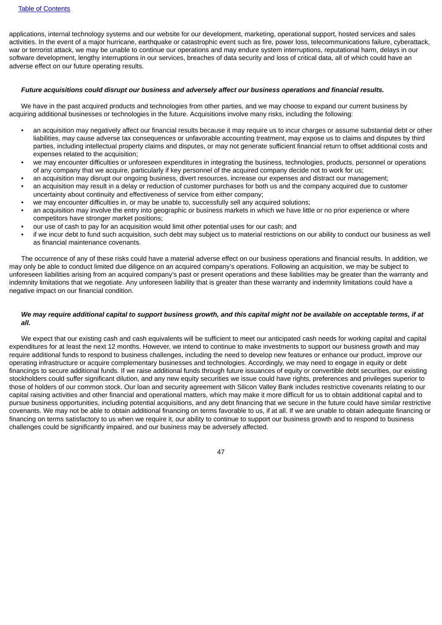applications, internal technology systems and our website for our development, marketing, operational support, hosted services and sales activities. In the event of a major hurricane, earthquake or catastrophic event such as fire, power loss, telecommunications failure, cyberattack, war or terrorist attack, we may be unable to continue our operations and may endure system interruptions, reputational harm, delays in our software development, lengthy interruptions in our services, breaches of data security and loss of critical data, all of which could have an adverse effect on our future operating results.

#### *Future acquisitions could disrupt our business and adversely affect our business operations and financial results.*

We have in the past acquired products and technologies from other parties, and we may choose to expand our current business by acquiring additional businesses or technologies in the future. Acquisitions involve many risks, including the following:

- an acquisition may negatively affect our financial results because it may require us to incur charges or assume substantial debt or other liabilities, may cause adverse tax consequences or unfavorable accounting treatment, may expose us to claims and disputes by third parties, including intellectual property claims and disputes, or may not generate sufficient financial return to offset additional costs and expenses related to the acquisition:
- we may encounter difficulties or unforeseen expenditures in integrating the business, technologies, products, personnel or operations of any company that we acquire, particularly if key personnel of the acquired company decide not to work for us;
	- an acquisition may disrupt our ongoing business, divert resources, increase our expenses and distract our management;
- an acquisition may result in a delay or reduction of customer purchases for both us and the company acquired due to customer uncertainty about continuity and effectiveness of service from either company;
- we may encounter difficulties in, or may be unable to, successfully sell any acquired solutions;
- an acquisition may involve the entry into geographic or business markets in which we have little or no prior experience or where competitors have stronger market positions;
- our use of cash to pay for an acquisition would limit other potential uses for our cash; and
- if we incur debt to fund such acquisition, such debt may subject us to material restrictions on our ability to conduct our business as well as financial maintenance covenants.

The occurrence of any of these risks could have a material adverse effect on our business operations and financial results. In addition, we may only be able to conduct limited due diligence on an acquired company's operations. Following an acquisition, we may be subject to unforeseen liabilities arising from an acquired company's past or present operations and these liabilities may be greater than the warranty and indemnity limitations that we negotiate. Any unforeseen liability that is greater than these warranty and indemnity limitations could have a negative impact on our financial condition.

#### We may require additional capital to support business growth, and this capital might not be available on acceptable terms, if at *all.*

We expect that our existing cash and cash equivalents will be sufficient to meet our anticipated cash needs for working capital and capital expenditures for at least the next 12 months. However, we intend to continue to make investments to support our business growth and may require additional funds to respond to business challenges, including the need to develop new features or enhance our product, improve our operating infrastructure or acquire complementary businesses and technologies. Accordingly, we may need to engage in equity or debt financings to secure additional funds. If we raise additional funds through future issuances of equity or convertible debt securities, our existing stockholders could suffer significant dilution, and any new equity securities we issue could have rights, preferences and privileges superior to those of holders of our common stock. Our loan and security agreement with Silicon Valley Bank includes restrictive covenants relating to our capital raising activities and other financial and operational matters, which may make it more difficult for us to obtain additional capital and to pursue business opportunities, including potential acquisitions, and any debt financing that we secure in the future could have similar restrictive covenants. We may not be able to obtain additional financing on terms favorable to us, if at all. If we are unable to obtain adequate financing or financing on terms satisfactory to us when we require it, our ability to continue to support our business growth and to respond to business challenges could be significantly impaired, and our business may be adversely affected.

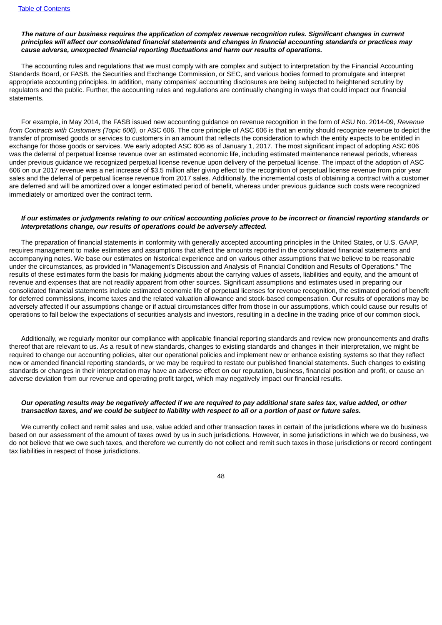#### The nature of our business requires the application of complex revenue recognition rules. Significant changes in current principles will affect our consolidated financial statements and changes in financial accounting standards or practices may *cause adverse, unexpected financial reporting fluctuations and harm our results of operations.*

The accounting rules and regulations that we must comply with are complex and subject to interpretation by the Financial Accounting Standards Board, or FASB, the Securities and Exchange Commission, or SEC, and various bodies formed to promulgate and interpret appropriate accounting principles. In addition, many companies' accounting disclosures are being subjected to heightened scrutiny by regulators and the public. Further, the accounting rules and regulations are continually changing in ways that could impact our financial statements.

For example, in May 2014, the FASB issued new accounting guidance on revenue recognition in the form of ASU No. 2014-09, *Revenue from Contracts with Customers (Topic 606)*, or ASC 606. The core principle of ASC 606 is that an entity should recognize revenue to depict the transfer of promised goods or services to customers in an amount that reflects the consideration to which the entity expects to be entitled in exchange for those goods or services. We early adopted ASC 606 as of January 1, 2017. The most significant impact of adopting ASC 606 was the deferral of perpetual license revenue over an estimated economic life, including estimated maintenance renewal periods, whereas under previous guidance we recognized perpetual license revenue upon delivery of the perpetual license. The impact of the adoption of ASC 606 on our 2017 revenue was a net increase of \$3.5 million after giving effect to the recognition of perpetual license revenue from prior year sales and the deferral of perpetual license revenue from 2017 sales. Additionally, the incremental costs of obtaining a contract with a customer are deferred and will be amortized over a longer estimated period of benefit, whereas under previous guidance such costs were recognized immediately or amortized over the contract term.

#### If our estimates or judgments relating to our critical accounting policies prove to be incorrect or financial reporting standards or *interpretations change, our results of operations could be adversely affected.*

The preparation of financial statements in conformity with generally accepted accounting principles in the United States, or U.S. GAAP, requires management to make estimates and assumptions that affect the amounts reported in the consolidated financial statements and accompanying notes. We base our estimates on historical experience and on various other assumptions that we believe to be reasonable under the circumstances, as provided in "Management's Discussion and Analysis of Financial Condition and Results of Operations." The results of these estimates form the basis for making judgments about the carrying values of assets, liabilities and equity, and the amount of revenue and expenses that are not readily apparent from other sources. Significant assumptions and estimates used in preparing our consolidated financial statements include estimated economic life of perpetual licenses for revenue recognition, the estimated period of benefit for deferred commissions, income taxes and the related valuation allowance and stock-based compensation. Our results of operations may be adversely affected if our assumptions change or if actual circumstances differ from those in our assumptions, which could cause our results of operations to fall below the expectations of securities analysts and investors, resulting in a decline in the trading price of our common stock.

Additionally, we regularly monitor our compliance with applicable financial reporting standards and review new pronouncements and drafts thereof that are relevant to us. As a result of new standards, changes to existing standards and changes in their interpretation, we might be required to change our accounting policies, alter our operational policies and implement new or enhance existing systems so that they reflect new or amended financial reporting standards, or we may be required to restate our published financial statements. Such changes to existing standards or changes in their interpretation may have an adverse effect on our reputation, business, financial position and profit, or cause an adverse deviation from our revenue and operating profit target, which may negatively impact our financial results.

### Our operating results may be negatively affected if we are required to pay additional state sales tax, value added, or other transaction taxes, and we could be subject to liability with respect to all or a portion of past or future sales.

We currently collect and remit sales and use, value added and other transaction taxes in certain of the jurisdictions where we do business based on our assessment of the amount of taxes owed by us in such jurisdictions. However, in some jurisdictions in which we do business, we do not believe that we owe such taxes, and therefore we currently do not collect and remit such taxes in those jurisdictions or record contingent tax liabilities in respect of those jurisdictions.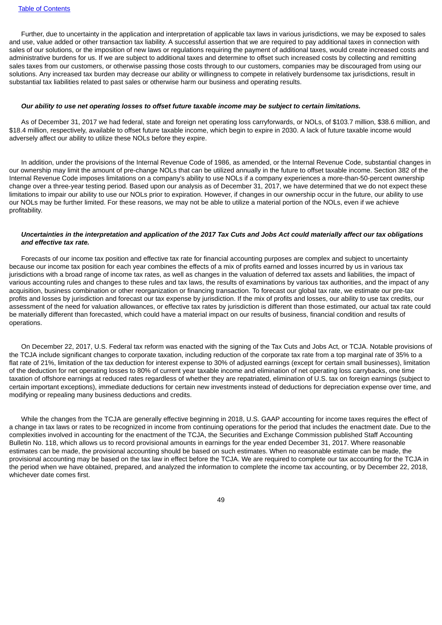Further, due to uncertainty in the application and interpretation of applicable tax laws in various jurisdictions, we may be exposed to sales and use, value added or other transaction tax liability. A successful assertion that we are required to pay additional taxes in connection with sales of our solutions, or the imposition of new laws or regulations requiring the payment of additional taxes, would create increased costs and administrative burdens for us. If we are subject to additional taxes and determine to offset such increased costs by collecting and remitting sales taxes from our customers, or otherwise passing those costs through to our customers, companies may be discouraged from using our solutions. Any increased tax burden may decrease our ability or willingness to compete in relatively burdensome tax jurisdictions, result in substantial tax liabilities related to past sales or otherwise harm our business and operating results.

#### Our ability to use net operating losses to offset future taxable income may be subject to certain limitations.

As of December 31, 2017 we had federal, state and foreign net operating loss carryforwards, or NOLs, of \$103.7 million, \$38.6 million, and \$18.4 million, respectively, available to offset future taxable income, which begin to expire in 2030. A lack of future taxable income would adversely affect our ability to utilize these NOLs before they expire.

In addition, under the provisions of the Internal Revenue Code of 1986, as amended, or the Internal Revenue Code, substantial changes in our ownership may limit the amount of pre-change NOLs that can be utilized annually in the future to offset taxable income. Section 382 of the Internal Revenue Code imposes limitations on a company's ability to use NOLs if a company experiences a more-than-50-percent ownership change over a three-year testing period. Based upon our analysis as of December 31, 2017, we have determined that we do not expect these limitations to impair our ability to use our NOLs prior to expiration. However, if changes in our ownership occur in the future, our ability to use our NOLs may be further limited. For these reasons, we may not be able to utilize a material portion of the NOLs, even if we achieve profitability.

#### Uncertainties in the interpretation and application of the 2017 Tax Cuts and Jobs Act could materially affect our tax obligations *and effective tax rate.*

Forecasts of our income tax position and effective tax rate for financial accounting purposes are complex and subject to uncertainty because our income tax position for each year combines the effects of a mix of profits earned and losses incurred by us in various tax jurisdictions with a broad range of income tax rates, as well as changes in the valuation of deferred tax assets and liabilities, the impact of various accounting rules and changes to these rules and tax laws, the results of examinations by various tax authorities, and the impact of any acquisition, business combination or other reorganization or financing transaction. To forecast our global tax rate, we estimate our pre-tax profits and losses by jurisdiction and forecast our tax expense by jurisdiction. If the mix of profits and losses, our ability to use tax credits, our assessment of the need for valuation allowances, or effective tax rates by jurisdiction is different than those estimated, our actual tax rate could be materially different than forecasted, which could have a material impact on our results of business, financial condition and results of operations.

On December 22, 2017, U.S. Federal tax reform was enacted with the signing of the Tax Cuts and Jobs Act, or TCJA. Notable provisions of the TCJA include significant changes to corporate taxation, including reduction of the corporate tax rate from a top marginal rate of 35% to a flat rate of 21%, limitation of the tax deduction for interest expense to 30% of adjusted earnings (except for certain small businesses), limitation of the deduction for net operating losses to 80% of current year taxable income and elimination of net operating loss carrybacks, one time taxation of offshore earnings at reduced rates regardless of whether they are repatriated, elimination of U.S. tax on foreign earnings (subject to certain important exceptions), immediate deductions for certain new investments instead of deductions for depreciation expense over time, and modifying or repealing many business deductions and credits.

While the changes from the TCJA are generally effective beginning in 2018, U.S. GAAP accounting for income taxes requires the effect of a change in tax laws or rates to be recognized in income from continuing operations for the period that includes the enactment date. Due to the complexities involved in accounting for the enactment of the TCJA, the Securities and Exchange Commission published Staff Accounting Bulletin No. 118, which allows us to record provisional amounts in earnings for the year ended December 31, 2017. Where reasonable estimates can be made, the provisional accounting should be based on such estimates. When no reasonable estimate can be made, the provisional accounting may be based on the tax law in effect before the TCJA. We are required to complete our tax accounting for the TCJA in the period when we have obtained, prepared, and analyzed the information to complete the income tax accounting, or by December 22, 2018, whichever date comes first.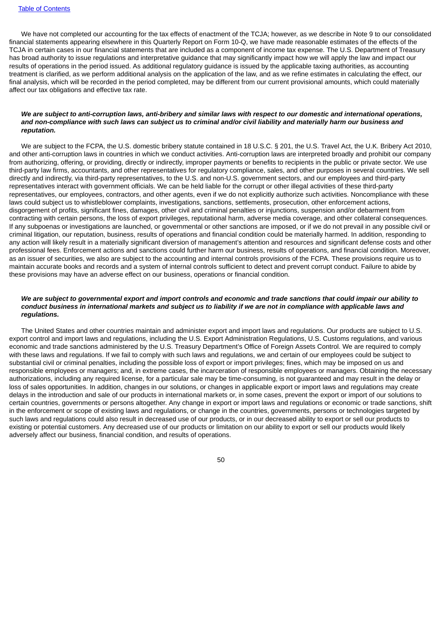We have not completed our accounting for the tax effects of enactment of the TCJA; however, as we describe in Note 9 to our consolidated financial statements appearing elsewhere in this Quarterly Report on Form 10-Q, we have made reasonable estimates of the effects of the TCJA in certain cases in our financial statements that are included as a component of income tax expense. The U.S. Department of Treasury has broad authority to issue regulations and interpretative guidance that may significantly impact how we will apply the law and impact our results of operations in the period issued. As additional regulatory guidance is issued by the applicable taxing authorities, as accounting treatment is clarified, as we perform additional analysis on the application of the law, and as we refine estimates in calculating the effect, our final analysis, which will be recorded in the period completed, may be different from our current provisional amounts, which could materially affect our tax obligations and effective tax rate.

#### We are subject to anti-corruption laws, anti-bribery and similar laws with respect to our domestic and international operations, and non-compliance with such laws can subject us to criminal and/or civil liability and materially harm our business and *reputation.*

We are subject to the FCPA, the U.S. domestic bribery statute contained in 18 U.S.C. § 201, the U.S. Travel Act, the U.K. Bribery Act 2010, and other anti-corruption laws in countries in which we conduct activities. Anti-corruption laws are interpreted broadly and prohibit our company from authorizing, offering, or providing, directly or indirectly, improper payments or benefits to recipients in the public or private sector. We use third-party law firms, accountants, and other representatives for regulatory compliance, sales, and other purposes in several countries. We sell directly and indirectly, via third-party representatives, to the U.S. and non-U.S. government sectors, and our employees and third-party representatives interact with government officials. We can be held liable for the corrupt or other illegal activities of these third-party representatives, our employees, contractors, and other agents, even if we do not explicitly authorize such activities. Noncompliance with these laws could subject us to whistleblower complaints, investigations, sanctions, settlements, prosecution, other enforcement actions, disgorgement of profits, significant fines, damages, other civil and criminal penalties or injunctions, suspension and/or debarment from contracting with certain persons, the loss of export privileges, reputational harm, adverse media coverage, and other collateral consequences. If any subpoenas or investigations are launched, or governmental or other sanctions are imposed, or if we do not prevail in any possible civil or criminal litigation, our reputation, business, results of operations and financial condition could be materially harmed. In addition, responding to any action will likely result in a materially significant diversion of management's attention and resources and significant defense costs and other professional fees. Enforcement actions and sanctions could further harm our business, results of operations, and financial condition. Moreover, as an issuer of securities, we also are subject to the accounting and internal controls provisions of the FCPA. These provisions require us to maintain accurate books and records and a system of internal controls sufficient to detect and prevent corrupt conduct. Failure to abide by these provisions may have an adverse effect on our business, operations or financial condition.

## We are subject to governmental export and import controls and economic and trade sanctions that could impair our ability to conduct business in international markets and subject us to liability if we are not in compliance with applicable laws and *regulations.*

The United States and other countries maintain and administer export and import laws and regulations. Our products are subject to U.S. export control and import laws and regulations, including the U.S. Export Administration Regulations, U.S. Customs regulations, and various economic and trade sanctions administered by the U.S. Treasury Department's Office of Foreign Assets Control. We are required to comply with these laws and regulations. If we fail to comply with such laws and regulations, we and certain of our employees could be subject to substantial civil or criminal penalties, including the possible loss of export or import privileges; fines, which may be imposed on us and responsible employees or managers; and, in extreme cases, the incarceration of responsible employees or managers. Obtaining the necessary authorizations, including any required license, for a particular sale may be time-consuming, is not guaranteed and may result in the delay or loss of sales opportunities. In addition, changes in our solutions, or changes in applicable export or import laws and regulations may create delays in the introduction and sale of our products in international markets or, in some cases, prevent the export or import of our solutions to certain countries, governments or persons altogether. Any change in export or import laws and regulations or economic or trade sanctions, shift in the enforcement or scope of existing laws and regulations, or change in the countries, governments, persons or technologies targeted by such laws and regulations could also result in decreased use of our products, or in our decreased ability to export or sell our products to existing or potential customers. Any decreased use of our products or limitation on our ability to export or sell our products would likely adversely affect our business, financial condition, and results of operations.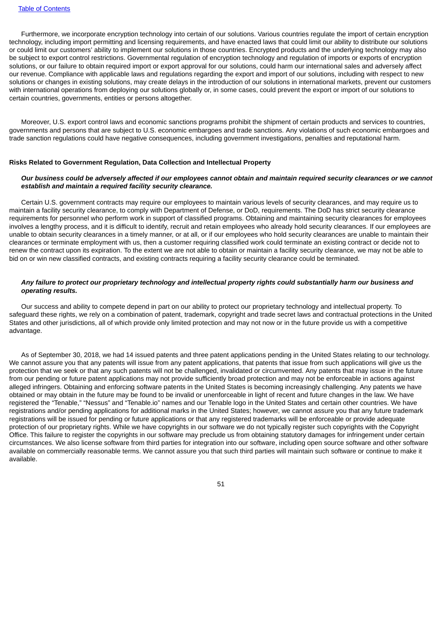Furthermore, we incorporate encryption technology into certain of our solutions. Various countries regulate the import of certain encryption technology, including import permitting and licensing requirements, and have enacted laws that could limit our ability to distribute our solutions or could limit our customers' ability to implement our solutions in those countries. Encrypted products and the underlying technology may also be subject to export control restrictions. Governmental regulation of encryption technology and regulation of imports or exports of encryption solutions, or our failure to obtain required import or export approval for our solutions, could harm our international sales and adversely affect our revenue. Compliance with applicable laws and regulations regarding the export and import of our solutions, including with respect to new solutions or changes in existing solutions, may create delays in the introduction of our solutions in international markets, prevent our customers with international operations from deploying our solutions globally or, in some cases, could prevent the export or import of our solutions to certain countries, governments, entities or persons altogether.

Moreover, U.S. export control laws and economic sanctions programs prohibit the shipment of certain products and services to countries, governments and persons that are subject to U.S. economic embargoes and trade sanctions. Any violations of such economic embargoes and trade sanction regulations could have negative consequences, including government investigations, penalties and reputational harm.

#### **Risks Related to Government Regulation, Data Collection and Intellectual Property**

#### Our business could be adversely affected if our employees cannot obtain and maintain required security clearances or we cannot *establish and maintain a required facility security clearance.*

Certain U.S. government contracts may require our employees to maintain various levels of security clearances, and may require us to maintain a facility security clearance, to comply with Department of Defense, or DoD, requirements. The DoD has strict security clearance requirements for personnel who perform work in support of classified programs. Obtaining and maintaining security clearances for employees involves a lengthy process, and it is difficult to identify, recruit and retain employees who already hold security clearances. If our employees are unable to obtain security clearances in a timely manner, or at all, or if our employees who hold security clearances are unable to maintain their clearances or terminate employment with us, then a customer requiring classified work could terminate an existing contract or decide not to renew the contract upon its expiration. To the extent we are not able to obtain or maintain a facility security clearance, we may not be able to bid on or win new classified contracts, and existing contracts requiring a facility security clearance could be terminated.

#### Any failure to protect our proprietary technology and intellectual property rights could substantially harm our business and *operating results.*

Our success and ability to compete depend in part on our ability to protect our proprietary technology and intellectual property. To safeguard these rights, we rely on a combination of patent, trademark, copyright and trade secret laws and contractual protections in the United States and other jurisdictions, all of which provide only limited protection and may not now or in the future provide us with a competitive advantage.

As of September 30, 2018, we had 14 issued patents and three patent applications pending in the United States relating to our technology. We cannot assure you that any patents will issue from any patent applications, that patents that issue from such applications will give us the protection that we seek or that any such patents will not be challenged, invalidated or circumvented. Any patents that may issue in the future from our pending or future patent applications may not provide sufficiently broad protection and may not be enforceable in actions against alleged infringers. Obtaining and enforcing software patents in the United States is becoming increasingly challenging. Any patents we have obtained or may obtain in the future may be found to be invalid or unenforceable in light of recent and future changes in the law. We have registered the "Tenable," "Nessus" and "Tenable.io" names and our Tenable logo in the United States and certain other countries. We have registrations and/or pending applications for additional marks in the United States; however, we cannot assure you that any future trademark registrations will be issued for pending or future applications or that any registered trademarks will be enforceable or provide adequate protection of our proprietary rights. While we have copyrights in our software we do not typically register such copyrights with the Copyright Office. This failure to register the copyrights in our software may preclude us from obtaining statutory damages for infringement under certain circumstances. We also license software from third parties for integration into our software, including open source software and other software available on commercially reasonable terms. We cannot assure you that such third parties will maintain such software or continue to make it available.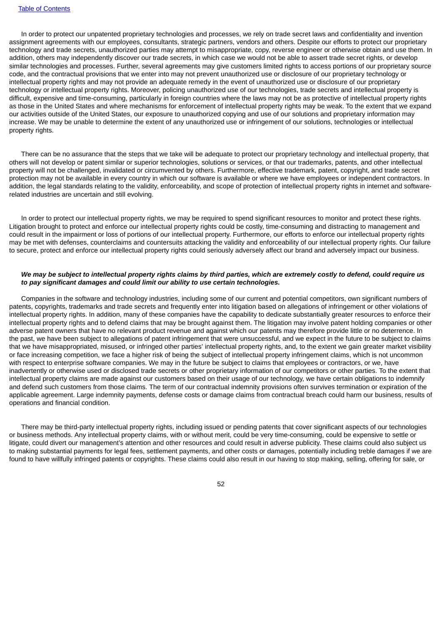In order to protect our unpatented proprietary technologies and processes, we rely on trade secret laws and confidentiality and invention assignment agreements with our employees, consultants, strategic partners, vendors and others. Despite our efforts to protect our proprietary technology and trade secrets, unauthorized parties may attempt to misappropriate, copy, reverse engineer or otherwise obtain and use them. In addition, others may independently discover our trade secrets, in which case we would not be able to assert trade secret rights, or develop similar technologies and processes. Further, several agreements may give customers limited rights to access portions of our proprietary source code, and the contractual provisions that we enter into may not prevent unauthorized use or disclosure of our proprietary technology or intellectual property rights and may not provide an adequate remedy in the event of unauthorized use or disclosure of our proprietary technology or intellectual property rights. Moreover, policing unauthorized use of our technologies, trade secrets and intellectual property is difficult, expensive and time-consuming, particularly in foreign countries where the laws may not be as protective of intellectual property rights as those in the United States and where mechanisms for enforcement of intellectual property rights may be weak. To the extent that we expand our activities outside of the United States, our exposure to unauthorized copying and use of our solutions and proprietary information may increase. We may be unable to determine the extent of any unauthorized use or infringement of our solutions, technologies or intellectual property rights.

There can be no assurance that the steps that we take will be adequate to protect our proprietary technology and intellectual property, that others will not develop or patent similar or superior technologies, solutions or services, or that our trademarks, patents, and other intellectual property will not be challenged, invalidated or circumvented by others. Furthermore, effective trademark, patent, copyright, and trade secret protection may not be available in every country in which our software is available or where we have employees or independent contractors. In addition, the legal standards relating to the validity, enforceability, and scope of protection of intellectual property rights in internet and softwarerelated industries are uncertain and still evolving.

In order to protect our intellectual property rights, we may be required to spend significant resources to monitor and protect these rights. Litigation brought to protect and enforce our intellectual property rights could be costly, time-consuming and distracting to management and could result in the impairment or loss of portions of our intellectual property. Furthermore, our efforts to enforce our intellectual property rights may be met with defenses, counterclaims and countersuits attacking the validity and enforceability of our intellectual property rights. Our failure to secure, protect and enforce our intellectual property rights could seriously adversely affect our brand and adversely impact our business.

#### We may be subject to intellectual property rights claims by third parties, which are extremely costly to defend, could require us *to pay significant damages and could limit our ability to use certain technologies.*

Companies in the software and technology industries, including some of our current and potential competitors, own significant numbers of patents, copyrights, trademarks and trade secrets and frequently enter into litigation based on allegations of infringement or other violations of intellectual property rights. In addition, many of these companies have the capability to dedicate substantially greater resources to enforce their intellectual property rights and to defend claims that may be brought against them. The litigation may involve patent holding companies or other adverse patent owners that have no relevant product revenue and against which our patents may therefore provide little or no deterrence. In the past, we have been subject to allegations of patent infringement that were unsuccessful, and we expect in the future to be subject to claims that we have misappropriated, misused, or infringed other parties' intellectual property rights, and, to the extent we gain greater market visibility or face increasing competition, we face a higher risk of being the subject of intellectual property infringement claims, which is not uncommon with respect to enterprise software companies. We may in the future be subject to claims that employees or contractors, or we, have inadvertently or otherwise used or disclosed trade secrets or other proprietary information of our competitors or other parties. To the extent that intellectual property claims are made against our customers based on their usage of our technology, we have certain obligations to indemnify and defend such customers from those claims. The term of our contractual indemnity provisions often survives termination or expiration of the applicable agreement. Large indemnity payments, defense costs or damage claims from contractual breach could harm our business, results of operations and financial condition.

There may be third-party intellectual property rights, including issued or pending patents that cover significant aspects of our technologies or business methods. Any intellectual property claims, with or without merit, could be very time-consuming, could be expensive to settle or litigate, could divert our management's attention and other resources and could result in adverse publicity. These claims could also subject us to making substantial payments for legal fees, settlement payments, and other costs or damages, potentially including treble damages if we are found to have willfully infringed patents or copyrights. These claims could also result in our having to stop making, selling, offering for sale, or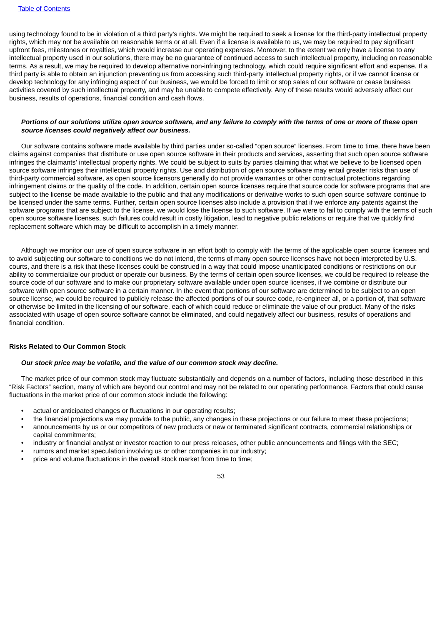using technology found to be in violation of a third party's rights. We might be required to seek a license for the third-party intellectual property rights, which may not be available on reasonable terms or at all. Even if a license is available to us, we may be required to pay significant upfront fees, milestones or royalties, which would increase our operating expenses. Moreover, to the extent we only have a license to any intellectual property used in our solutions, there may be no guarantee of continued access to such intellectual property, including on reasonable terms. As a result, we may be required to develop alternative non-infringing technology, which could require significant effort and expense. If a third party is able to obtain an injunction preventing us from accessing such third-party intellectual property rights, or if we cannot license or develop technology for any infringing aspect of our business, we would be forced to limit or stop sales of our software or cease business activities covered by such intellectual property, and may be unable to compete effectively. Any of these results would adversely affect our business, results of operations, financial condition and cash flows.

#### Portions of our solutions utilize open source software, and any failure to comply with the terms of one or more of these open *source licenses could negatively affect our business.*

Our software contains software made available by third parties under so-called "open source" licenses. From time to time, there have been claims against companies that distribute or use open source software in their products and services, asserting that such open source software infringes the claimants' intellectual property rights. We could be subject to suits by parties claiming that what we believe to be licensed open source software infringes their intellectual property rights. Use and distribution of open source software may entail greater risks than use of third-party commercial software, as open source licensors generally do not provide warranties or other contractual protections regarding infringement claims or the quality of the code. In addition, certain open source licenses require that source code for software programs that are subject to the license be made available to the public and that any modifications or derivative works to such open source software continue to be licensed under the same terms. Further, certain open source licenses also include a provision that if we enforce any patents against the software programs that are subject to the license, we would lose the license to such software. If we were to fail to comply with the terms of such open source software licenses, such failures could result in costly litigation, lead to negative public relations or require that we quickly find replacement software which may be difficult to accomplish in a timely manner.

Although we monitor our use of open source software in an effort both to comply with the terms of the applicable open source licenses and to avoid subjecting our software to conditions we do not intend, the terms of many open source licenses have not been interpreted by U.S. courts, and there is a risk that these licenses could be construed in a way that could impose unanticipated conditions or restrictions on our ability to commercialize our product or operate our business. By the terms of certain open source licenses, we could be required to release the source code of our software and to make our proprietary software available under open source licenses, if we combine or distribute our software with open source software in a certain manner. In the event that portions of our software are determined to be subject to an open source license, we could be required to publicly release the affected portions of our source code, re-engineer all, or a portion of, that software or otherwise be limited in the licensing of our software, each of which could reduce or eliminate the value of our product. Many of the risks associated with usage of open source software cannot be eliminated, and could negatively affect our business, results of operations and financial condition.

#### **Risks Related to Our Common Stock**

#### *Our stock price may be volatile, and the value of our common stock may decline.*

The market price of our common stock may fluctuate substantially and depends on a number of factors, including those described in this "Risk Factors" section, many of which are beyond our control and may not be related to our operating performance. Factors that could cause fluctuations in the market price of our common stock include the following:

- actual or anticipated changes or fluctuations in our operating results:
- the financial projections we may provide to the public, any changes in these projections or our failure to meet these projections;
- announcements by us or our competitors of new products or new or terminated significant contracts, commercial relationships or capital commitments;
- industry or financial analyst or investor reaction to our press releases, other public announcements and filings with the SEC;
- rumors and market speculation involving us or other companies in our industry;
- price and volume fluctuations in the overall stock market from time to time;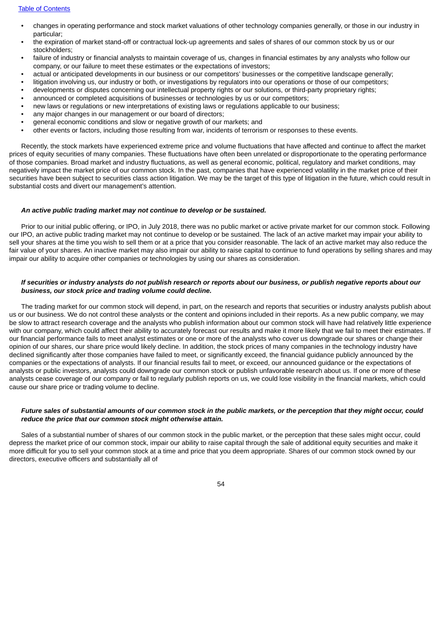- changes in operating performance and stock market valuations of other technology companies generally, or those in our industry in particular;
- the expiration of market stand-off or contractual lock-up agreements and sales of shares of our common stock by us or our stockholders;
- failure of industry or financial analysts to maintain coverage of us, changes in financial estimates by any analysts who follow our company, or our failure to meet these estimates or the expectations of investors;
- actual or anticipated developments in our business or our competitors' businesses or the competitive landscape generally;
- litigation involving us, our industry or both, or investigations by regulators into our operations or those of our competitors;
- developments or disputes concerning our intellectual property rights or our solutions, or third-party proprietary rights;
- announced or completed acquisitions of businesses or technologies by us or our competitors:
- new laws or regulations or new interpretations of existing laws or regulations applicable to our business;
- any major changes in our management or our board of directors;
- general economic conditions and slow or negative growth of our markets; and
- other events or factors, including those resulting from war, incidents of terrorism or responses to these events.

Recently, the stock markets have experienced extreme price and volume fluctuations that have affected and continue to affect the market prices of equity securities of many companies. These fluctuations have often been unrelated or disproportionate to the operating performance of those companies. Broad market and industry fluctuations, as well as general economic, political, regulatory and market conditions, may negatively impact the market price of our common stock. In the past, companies that have experienced volatility in the market price of their securities have been subject to securities class action litigation. We may be the target of this type of litigation in the future, which could result in substantial costs and divert our management's attention.

#### *An active public trading market may not continue to develop or be sustained.*

Prior to our initial public offering, or IPO, in July 2018, there was no public market or active private market for our common stock. Following our IPO, an active public trading market may not continue to develop or be sustained. The lack of an active market may impair your ability to sell your shares at the time you wish to sell them or at a price that you consider reasonable. The lack of an active market may also reduce the fair value of your shares. An inactive market may also impair our ability to raise capital to continue to fund operations by selling shares and may impair our ability to acquire other companies or technologies by using our shares as consideration.

#### If securities or industry analysts do not publish research or reports about our business, or publish negative reports about our *business, our stock price and trading volume could decline.*

The trading market for our common stock will depend, in part, on the research and reports that securities or industry analysts publish about us or our business. We do not control these analysts or the content and opinions included in their reports. As a new public company, we may be slow to attract research coverage and the analysts who publish information about our common stock will have had relatively little experience with our company, which could affect their ability to accurately forecast our results and make it more likely that we fail to meet their estimates. If our financial performance fails to meet analyst estimates or one or more of the analysts who cover us downgrade our shares or change their opinion of our shares, our share price would likely decline. In addition, the stock prices of many companies in the technology industry have declined significantly after those companies have failed to meet, or significantly exceed, the financial guidance publicly announced by the companies or the expectations of analysts. If our financial results fail to meet, or exceed, our announced guidance or the expectations of analysts or public investors, analysts could downgrade our common stock or publish unfavorable research about us. If one or more of these analysts cease coverage of our company or fail to regularly publish reports on us, we could lose visibility in the financial markets, which could cause our share price or trading volume to decline.

#### Future sales of substantial amounts of our common stock in the public markets, or the perception that they might occur, could *reduce the price that our common stock might otherwise attain.*

Sales of a substantial number of shares of our common stock in the public market, or the perception that these sales might occur, could depress the market price of our common stock, impair our ability to raise capital through the sale of additional equity securities and make it more difficult for you to sell your common stock at a time and price that you deem appropriate. Shares of our common stock owned by our directors, executive officers and substantially all of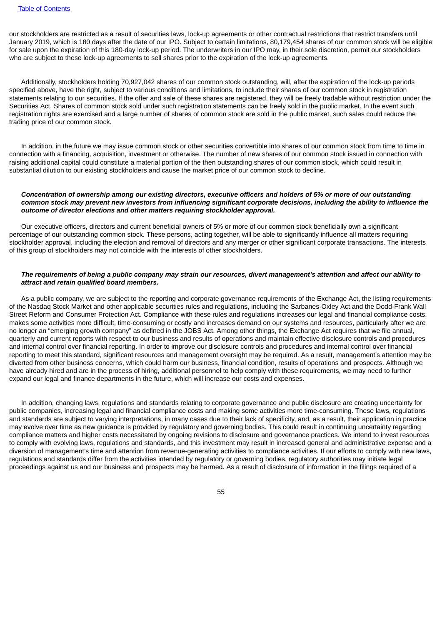our stockholders are restricted as a result of securities laws, lock-up agreements or other contractual restrictions that restrict transfers until January 2019, which is 180 days after the date of our IPO. Subject to certain limitations, 80,179,454 shares of our common stock will be eligible for sale upon the expiration of this 180-day lock-up period. The underwriters in our IPO may, in their sole discretion, permit our stockholders who are subject to these lock-up agreements to sell shares prior to the expiration of the lock-up agreements.

Additionally, stockholders holding 70,927,042 shares of our common stock outstanding, will, after the expiration of the lock-up periods specified above, have the right, subject to various conditions and limitations, to include their shares of our common stock in registration statements relating to our securities. If the offer and sale of these shares are registered, they will be freely tradable without restriction under the Securities Act. Shares of common stock sold under such registration statements can be freely sold in the public market. In the event such registration rights are exercised and a large number of shares of common stock are sold in the public market, such sales could reduce the trading price of our common stock.

In addition, in the future we may issue common stock or other securities convertible into shares of our common stock from time to time in connection with a financing, acquisition, investment or otherwise. The number of new shares of our common stock issued in connection with raising additional capital could constitute a material portion of the then outstanding shares of our common stock, which could result in substantial dilution to our existing stockholders and cause the market price of our common stock to decline.

#### Concentration of ownership among our existing directors, executive officers and holders of 5% or more of our outstanding common stock may prevent new investors from influencing significant corporate decisions, including the ability to influence the *outcome of director elections and other matters requiring stockholder approval.*

Our executive officers, directors and current beneficial owners of 5% or more of our common stock beneficially own a significant percentage of our outstanding common stock. These persons, acting together, will be able to significantly influence all matters requiring stockholder approval, including the election and removal of directors and any merger or other significant corporate transactions. The interests of this group of stockholders may not coincide with the interests of other stockholders.

#### The requirements of being a public company may strain our resources, divert management's attention and affect our ability to *attract and retain qualified board members.*

As a public company, we are subject to the reporting and corporate governance requirements of the Exchange Act, the listing requirements of the Nasdaq Stock Market and other applicable securities rules and regulations, including the Sarbanes-Oxley Act and the Dodd-Frank Wall Street Reform and Consumer Protection Act. Compliance with these rules and regulations increases our legal and financial compliance costs, makes some activities more difficult, time-consuming or costly and increases demand on our systems and resources, particularly after we are no longer an "emerging growth company" as defined in the JOBS Act. Among other things, the Exchange Act requires that we file annual, quarterly and current reports with respect to our business and results of operations and maintain effective disclosure controls and procedures and internal control over financial reporting. In order to improve our disclosure controls and procedures and internal control over financial reporting to meet this standard, significant resources and management oversight may be required. As a result, management's attention may be diverted from other business concerns, which could harm our business, financial condition, results of operations and prospects. Although we have already hired and are in the process of hiring, additional personnel to help comply with these requirements, we may need to further expand our legal and finance departments in the future, which will increase our costs and expenses.

In addition, changing laws, regulations and standards relating to corporate governance and public disclosure are creating uncertainty for public companies, increasing legal and financial compliance costs and making some activities more time-consuming. These laws, regulations and standards are subject to varying interpretations, in many cases due to their lack of specificity, and, as a result, their application in practice may evolve over time as new guidance is provided by regulatory and governing bodies. This could result in continuing uncertainty regarding compliance matters and higher costs necessitated by ongoing revisions to disclosure and governance practices. We intend to invest resources to comply with evolving laws, regulations and standards, and this investment may result in increased general and administrative expense and a diversion of management's time and attention from revenue-generating activities to compliance activities. If our efforts to comply with new laws, regulations and standards differ from the activities intended by regulatory or governing bodies, regulatory authorities may initiate legal proceedings against us and our business and prospects may be harmed. As a result of disclosure of information in the filings required of a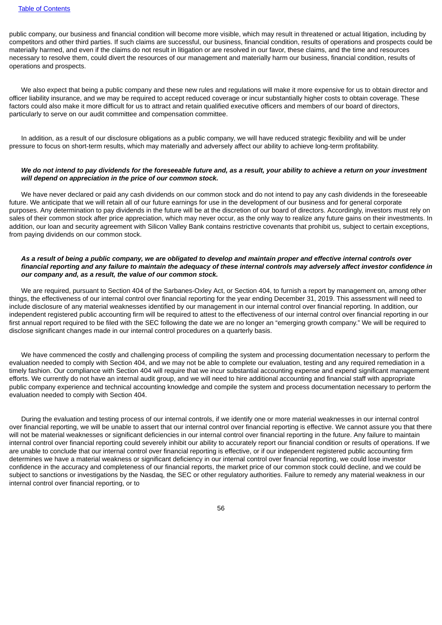public company, our business and financial condition will become more visible, which may result in threatened or actual litigation, including by competitors and other third parties. If such claims are successful, our business, financial condition, results of operations and prospects could be materially harmed, and even if the claims do not result in litigation or are resolved in our favor, these claims, and the time and resources necessary to resolve them, could divert the resources of our management and materially harm our business, financial condition, results of operations and prospects.

We also expect that being a public company and these new rules and regulations will make it more expensive for us to obtain director and officer liability insurance, and we may be required to accept reduced coverage or incur substantially higher costs to obtain coverage. These factors could also make it more difficult for us to attract and retain qualified executive officers and members of our board of directors, particularly to serve on our audit committee and compensation committee.

In addition, as a result of our disclosure obligations as a public company, we will have reduced strategic flexibility and will be under pressure to focus on short-term results, which may materially and adversely affect our ability to achieve long-term profitability.

#### We do not intend to pay dividends for the foreseeable future and, as a result, your ability to achieve a return on your investment *will depend on appreciation in the price of our common stock.*

We have never declared or paid any cash dividends on our common stock and do not intend to pay any cash dividends in the foreseeable future. We anticipate that we will retain all of our future earnings for use in the development of our business and for general corporate purposes. Any determination to pay dividends in the future will be at the discretion of our board of directors. Accordingly, investors must rely on sales of their common stock after price appreciation, which may never occur, as the only way to realize any future gains on their investments. In addition, our loan and security agreement with Silicon Valley Bank contains restrictive covenants that prohibit us, subject to certain exceptions, from paying dividends on our common stock.

## As a result of being a public company, we are obligated to develop and maintain proper and effective internal controls over financial reporting and any failure to maintain the adequacy of these internal controls may adversely affect investor confidence in *our company and, as a result, the value of our common stock.*

We are required, pursuant to Section 404 of the Sarbanes-Oxley Act, or Section 404, to furnish a report by management on, among other things, the effectiveness of our internal control over financial reporting for the year ending December 31, 2019. This assessment will need to include disclosure of any material weaknesses identified by our management in our internal control over financial reporting. In addition, our independent registered public accounting firm will be required to attest to the effectiveness of our internal control over financial reporting in our first annual report required to be filed with the SEC following the date we are no longer an "emerging growth company." We will be required to disclose significant changes made in our internal control procedures on a quarterly basis.

We have commenced the costly and challenging process of compiling the system and processing documentation necessary to perform the evaluation needed to comply with Section 404, and we may not be able to complete our evaluation, testing and any required remediation in a timely fashion. Our compliance with Section 404 will require that we incur substantial accounting expense and expend significant management efforts. We currently do not have an internal audit group, and we will need to hire additional accounting and financial staff with appropriate public company experience and technical accounting knowledge and compile the system and process documentation necessary to perform the evaluation needed to comply with Section 404.

During the evaluation and testing process of our internal controls, if we identify one or more material weaknesses in our internal control over financial reporting, we will be unable to assert that our internal control over financial reporting is effective. We cannot assure you that there will not be material weaknesses or significant deficiencies in our internal control over financial reporting in the future. Any failure to maintain internal control over financial reporting could severely inhibit our ability to accurately report our financial condition or results of operations. If we are unable to conclude that our internal control over financial reporting is effective, or if our independent registered public accounting firm determines we have a material weakness or significant deficiency in our internal control over financial reporting, we could lose investor confidence in the accuracy and completeness of our financial reports, the market price of our common stock could decline, and we could be subject to sanctions or investigations by the Nasdaq, the SEC or other regulatory authorities. Failure to remedy any material weakness in our internal control over financial reporting, or to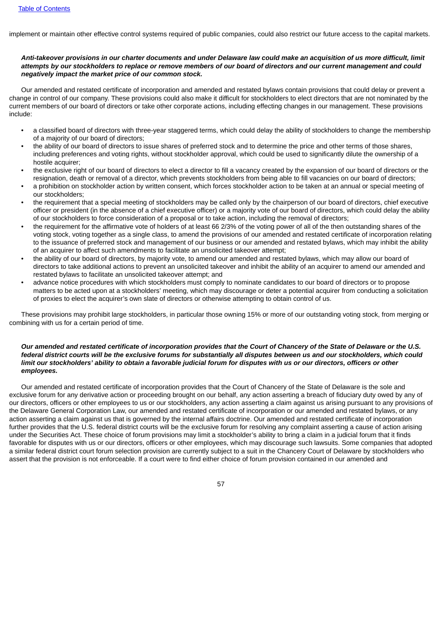implement or maintain other effective control systems required of public companies, could also restrict our future access to the capital markets.

### Anti-takeover provisions in our charter documents and under Delaware law could make an acquisition of us more difficult, limit attempts by our stockholders to replace or remove members of our board of directors and our current management and could *negatively impact the market price of our common stock.*

Our amended and restated certificate of incorporation and amended and restated bylaws contain provisions that could delay or prevent a change in control of our company. These provisions could also make it difficult for stockholders to elect directors that are not nominated by the current members of our board of directors or take other corporate actions, including effecting changes in our management. These provisions include:

- a classified board of directors with three-year staggered terms, which could delay the ability of stockholders to change the membership of a majority of our board of directors;
- the ability of our board of directors to issue shares of preferred stock and to determine the price and other terms of those shares, including preferences and voting rights, without stockholder approval, which could be used to significantly dilute the ownership of a hostile acquirer:
- the exclusive right of our board of directors to elect a director to fill a vacancy created by the expansion of our board of directors or the resignation, death or removal of a director, which prevents stockholders from being able to fill vacancies on our board of directors;
- a prohibition on stockholder action by written consent, which forces stockholder action to be taken at an annual or special meeting of our stockholders;
- the requirement that a special meeting of stockholders may be called only by the chairperson of our board of directors, chief executive officer or president (in the absence of a chief executive officer) or a majority vote of our board of directors, which could delay the ability of our stockholders to force consideration of a proposal or to take action, including the removal of directors;
- the requirement for the affirmative vote of holders of at least 66 2/3% of the voting power of all of the then outstanding shares of the voting stock, voting together as a single class, to amend the provisions of our amended and restated certificate of incorporation relating to the issuance of preferred stock and management of our business or our amended and restated bylaws, which may inhibit the ability of an acquirer to affect such amendments to facilitate an unsolicited takeover attempt;
- the ability of our board of directors, by majority vote, to amend our amended and restated bylaws, which may allow our board of directors to take additional actions to prevent an unsolicited takeover and inhibit the ability of an acquirer to amend our amended and restated bylaws to facilitate an unsolicited takeover attempt; and
- advance notice procedures with which stockholders must comply to nominate candidates to our board of directors or to propose matters to be acted upon at a stockholders' meeting, which may discourage or deter a potential acquirer from conducting a solicitation of proxies to elect the acquirer's own slate of directors or otherwise attempting to obtain control of us.

These provisions may prohibit large stockholders, in particular those owning 15% or more of our outstanding voting stock, from merging or combining with us for a certain period of time.

## Our amended and restated certificate of incorporation provides that the Court of Chancery of the State of Delaware or the U.S. federal district courts will be the exclusive forums for substantially all disputes between us and our stockholders, which could limit our stockholders' ability to obtain a favorable judicial forum for disputes with us or our directors, officers or other *employees.*

Our amended and restated certificate of incorporation provides that the Court of Chancery of the State of Delaware is the sole and exclusive forum for any derivative action or proceeding brought on our behalf, any action asserting a breach of fiduciary duty owed by any of our directors, officers or other employees to us or our stockholders, any action asserting a claim against us arising pursuant to any provisions of the Delaware General Corporation Law, our amended and restated certificate of incorporation or our amended and restated bylaws, or any action asserting a claim against us that is governed by the internal affairs doctrine. Our amended and restated certificate of incorporation further provides that the U.S. federal district courts will be the exclusive forum for resolving any complaint asserting a cause of action arising under the Securities Act. These choice of forum provisions may limit a stockholder's ability to bring a claim in a judicial forum that it finds favorable for disputes with us or our directors, officers or other employees, which may discourage such lawsuits. Some companies that adopted a similar federal district court forum selection provision are currently subject to a suit in the Chancery Court of Delaware by stockholders who assert that the provision is not enforceable. If a court were to find either choice of forum provision contained in our amended and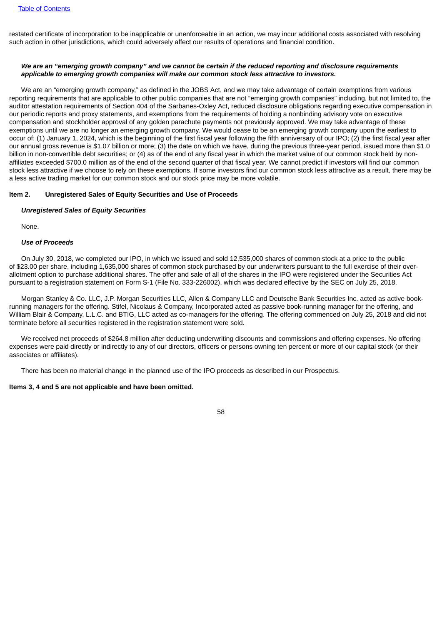restated certificate of incorporation to be inapplicable or unenforceable in an action, we may incur additional costs associated with resolving such action in other jurisdictions, which could adversely affect our results of operations and financial condition.

#### We are an "emerging growth company" and we cannot be certain if the reduced reporting and disclosure requirements *applicable to emerging growth companies will make our common stock less attractive to investors.*

We are an "emerging growth company," as defined in the JOBS Act, and we may take advantage of certain exemptions from various reporting requirements that are applicable to other public companies that are not "emerging growth companies" including, but not limited to, the auditor attestation requirements of Section 404 of the Sarbanes-Oxley Act, reduced disclosure obligations regarding executive compensation in our periodic reports and proxy statements, and exemptions from the requirements of holding a nonbinding advisory vote on executive compensation and stockholder approval of any golden parachute payments not previously approved. We may take advantage of these exemptions until we are no longer an emerging growth company. We would cease to be an emerging growth company upon the earliest to occur of: (1) January 1, 2024, which is the beginning of the first fiscal year following the fifth anniversary of our IPO; (2) the first fiscal year after our annual gross revenue is \$1.07 billion or more; (3) the date on which we have, during the previous three-year period, issued more than \$1.0 billion in non-convertible debt securities; or (4) as of the end of any fiscal year in which the market value of our common stock held by nonaffiliates exceeded \$700.0 million as of the end of the second quarter of that fiscal year. We cannot predict if investors will find our common stock less attractive if we choose to rely on these exemptions. If some investors find our common stock less attractive as a result, there may be a less active trading market for our common stock and our stock price may be more volatile.

#### <span id="page-57-0"></span>**Item 2. Unregistered Sales of Equity Securities and Use of Proceeds**

#### *Unregistered Sales of Equity Securities*

None.

#### *Use of Proceeds*

On July 30, 2018, we completed our IPO, in which we issued and sold 12,535,000 shares of common stock at a price to the public of \$23.00 per share, including 1,635,000 shares of common stock purchased by our underwriters pursuant to the full exercise of their overallotment option to purchase additional shares. The offer and sale of all of the shares in the IPO were registered under the Securities Act pursuant to a registration statement on Form S-1 (File No. 333-226002), which was declared effective by the SEC on July 25, 2018.

Morgan Stanley & Co. LLC, J.P. Morgan Securities LLC, Allen & Company LLC and Deutsche Bank Securities Inc. acted as active bookrunning managers for the offering. Stifel, Nicolaus & Company, Incorporated acted as passive book-running manager for the offering, and William Blair & Company, L.L.C. and BTIG, LLC acted as co-managers for the offering. The offering commenced on July 25, 2018 and did not terminate before all securities registered in the registration statement were sold.

We received net proceeds of \$264.8 million after deducting underwriting discounts and commissions and offering expenses. No offering expenses were paid directly or indirectly to any of our directors, officers or persons owning ten percent or more of our capital stock (or their associates or affiliates).

There has been no material change in the planned use of the IPO proceeds as described in our Prospectus.

#### **Items 3, 4 and 5 are not applicable and have been omitted.**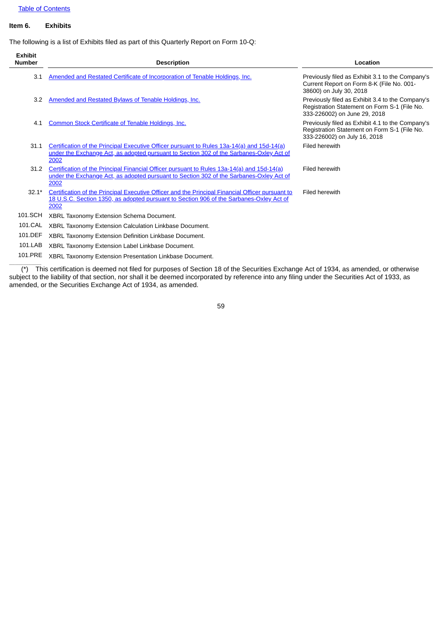## <span id="page-58-0"></span>**Item 6. Exhibits**

L,

 $\mathcal{L}=\mathcal{L}^{\mathcal{L}}$ 

The following is a list of Exhibits filed as part of this Quarterly Report on Form 10-Q:

| <b>Exhibit</b><br><b>Number</b> | <b>Description</b>                                                                                                                                                                                  | Location                                                                                                                         |
|---------------------------------|-----------------------------------------------------------------------------------------------------------------------------------------------------------------------------------------------------|----------------------------------------------------------------------------------------------------------------------------------|
| 3.1                             | Amended and Restated Certificate of Incorporation of Tenable Holdings, Inc.                                                                                                                         | Previously filed as Exhibit 3.1 to the Company's<br>Current Report on Form 8-K (File No. 001-<br>38600) on July 30, 2018         |
| 3.2                             | Amended and Restated Bylaws of Tenable Holdings, Inc.                                                                                                                                               | Previously filed as Exhibit 3.4 to the Company's<br>Registration Statement on Form S-1 (File No.<br>333-226002) on June 29, 2018 |
| 4.1                             | <b>Common Stock Certificate of Tenable Holdings, Inc.</b>                                                                                                                                           | Previously filed as Exhibit 4.1 to the Company's<br>Registration Statement on Form S-1 (File No.<br>333-226002) on July 16, 2018 |
| 31.1                            | Certification of the Principal Executive Officer pursuant to Rules 13a-14(a) and 15d-14(a)<br>under the Exchange Act, as adopted pursuant to Section 302 of the Sarbanes-Oxley Act of<br>2002       | Filed herewith                                                                                                                   |
| 31.2                            | Certification of the Principal Financial Officer pursuant to Rules 13a-14(a) and 15d-14(a)<br>under the Exchange Act, as adopted pursuant to Section 302 of the Sarbanes-Oxley Act of<br>2002       | Filed herewith                                                                                                                   |
| $32.1*$                         | Certification of the Principal Executive Officer and the Principal Financial Officer pursuant to<br>18 U.S.C. Section 1350, as adopted pursuant to Section 906 of the Sarbanes-Oxley Act of<br>2002 | Filed herewith                                                                                                                   |
| 101.SCH                         | XBRL Taxonomy Extension Schema Document.                                                                                                                                                            |                                                                                                                                  |
| 101.CAL                         | XBRL Taxonomy Extension Calculation Linkbase Document.                                                                                                                                              |                                                                                                                                  |
| 101.DEF                         | XBRL Taxonomy Extension Definition Linkbase Document.                                                                                                                                               |                                                                                                                                  |
| .                               |                                                                                                                                                                                                     |                                                                                                                                  |

101.LAB XBRL Taxonomy Extension Label Linkbase Document.

101.PRE XBRL Taxonomy Extension Presentation Linkbase Document.

(\*) This certification is deemed not filed for purposes of Section 18 of the Securities Exchange Act of 1934, as amended, or otherwise subject to the liability of that section, nor shall it be deemed incorporated by reference into any filing under the Securities Act of 1933, as amended, or the Securities Exchange Act of 1934, as amended.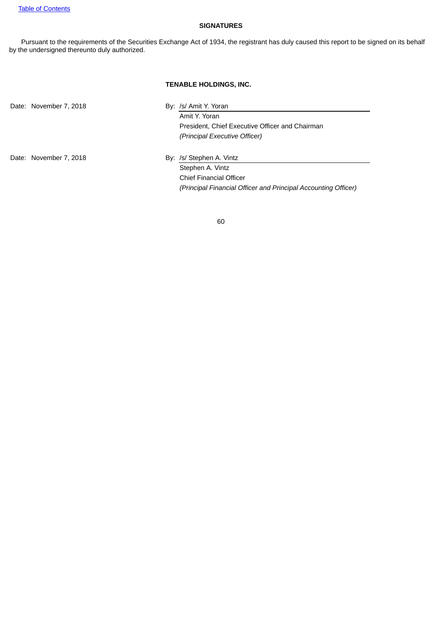## **SIGNATURES**

<span id="page-59-0"></span>Pursuant to the requirements of the Securities Exchange Act of 1934, the registrant has duly caused this report to be signed on its behalf by the undersigned thereunto duly authorized.

## **TENABLE HOLDINGS, INC.**

Date: November 7, 2018 By: /s/ Amit Y. Yoran

Amit Y. Yoran President, Chief Executive Officer and Chairman *(Principal Executive Officer)*

Date: November 7, 2018 By: /s/ Stephen A. Vintz

## Stephen A. Vintz Chief Financial Officer

*(Principal Financial Officer and Principal Accounting Officer)*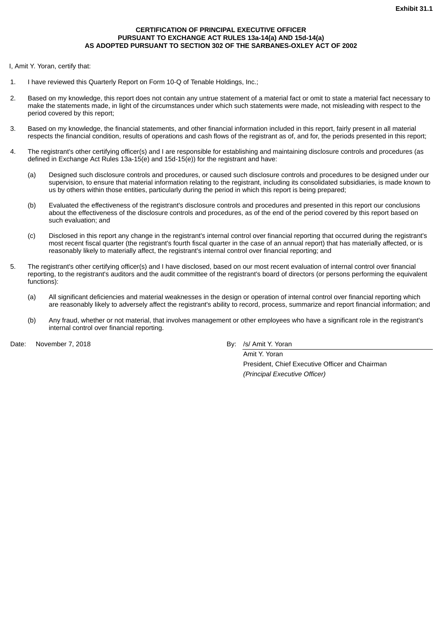## **CERTIFICATION OF PRINCIPAL EXECUTIVE OFFICER PURSUANT TO EXCHANGE ACT RULES 13a-14(a) AND 15d-14(a) AS ADOPTED PURSUANT TO SECTION 302 OF THE SARBANES-OXLEY ACT OF 2002**

<span id="page-60-0"></span>I, Amit Y. Yoran, certify that:

- 1. I have reviewed this Quarterly Report on Form 10-Q of Tenable Holdings, Inc.;
- 2. Based on my knowledge, this report does not contain any untrue statement of a material fact or omit to state a material fact necessary to make the statements made, in light of the circumstances under which such statements were made, not misleading with respect to the period covered by this report;
- 3. Based on my knowledge, the financial statements, and other financial information included in this report, fairly present in all material respects the financial condition, results of operations and cash flows of the registrant as of, and for, the periods presented in this report;
- 4. The registrant's other certifying officer(s) and I are responsible for establishing and maintaining disclosure controls and procedures (as defined in Exchange Act Rules 13a-15(e) and 15d-15(e)) for the registrant and have:
	- (a) Designed such disclosure controls and procedures, or caused such disclosure controls and procedures to be designed under our supervision, to ensure that material information relating to the registrant, including its consolidated subsidiaries, is made known to us by others within those entities, particularly during the period in which this report is being prepared;
	- (b) Evaluated the effectiveness of the registrant's disclosure controls and procedures and presented in this report our conclusions about the effectiveness of the disclosure controls and procedures, as of the end of the period covered by this report based on such evaluation; and
	- (c) Disclosed in this report any change in the registrant's internal control over financial reporting that occurred during the registrant's most recent fiscal quarter (the registrant's fourth fiscal quarter in the case of an annual report) that has materially affected, or is reasonably likely to materially affect, the registrant's internal control over financial reporting; and
- 5. The registrant's other certifying officer(s) and I have disclosed, based on our most recent evaluation of internal control over financial reporting, to the registrant's auditors and the audit committee of the registrant's board of directors (or persons performing the equivalent functions):
	- (a) All significant deficiencies and material weaknesses in the design or operation of internal control over financial reporting which are reasonably likely to adversely affect the registrant's ability to record, process, summarize and report financial information; and
	- (b) Any fraud, whether or not material, that involves management or other employees who have a significant role in the registrant's internal control over financial reporting.

Date: November 7, 2018 **By: /s/ Amit Y. Yoran** 

Amit Y. Yoran President, Chief Executive Officer and Chairman *(Principal Executive Officer)*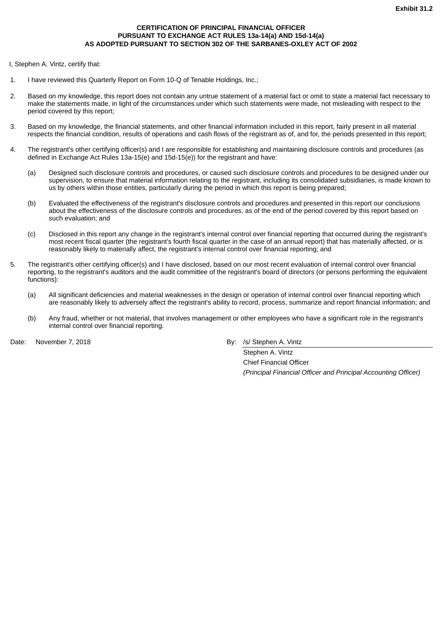## **CERTIFICATION OF PRINCIPAL FINANCIAL OFFICER PURSUANT TO EXCHANGE ACT RULES 13a-14(a) AND 15d-14(a) AS ADOPTED PURSUANT TO SECTION 302 OF THE SARBANES-OXLEY ACT OF 2002**

<span id="page-61-0"></span>I, Stephen A. Vintz, certify that:

- 1. I have reviewed this Quarterly Report on Form 10-Q of Tenable Holdings, Inc.;
- 2. Based on my knowledge, this report does not contain any untrue statement of a material fact or omit to state a material fact necessary to make the statements made, in light of the circumstances under which such statements were made, not misleading with respect to the period covered by this report;
- 3. Based on my knowledge, the financial statements, and other financial information included in this report, fairly present in all material respects the financial condition, results of operations and cash flows of the registrant as of, and for, the periods presented in this report;
- 4. The registrant's other certifying officer(s) and I are responsible for establishing and maintaining disclosure controls and procedures (as defined in Exchange Act Rules 13a-15(e) and 15d-15(e)) for the registrant and have:
	- (a) Designed such disclosure controls and procedures, or caused such disclosure controls and procedures to be designed under our supervision, to ensure that material information relating to the registrant, including its consolidated subsidiaries, is made known to us by others within those entities, particularly during the period in which this report is being prepared;
	- (b) Evaluated the effectiveness of the registrant's disclosure controls and procedures and presented in this report our conclusions about the effectiveness of the disclosure controls and procedures, as of the end of the period covered by this report based on such evaluation; and
	- (c) Disclosed in this report any change in the registrant's internal control over financial reporting that occurred during the registrant's most recent fiscal quarter (the registrant's fourth fiscal quarter in the case of an annual report) that has materially affected, or is reasonably likely to materially affect, the registrant's internal control over financial reporting; and
- 5. The registrant's other certifying officer(s) and I have disclosed, based on our most recent evaluation of internal control over financial reporting, to the registrant's auditors and the audit committee of the registrant's board of directors (or persons performing the equivalent functions):
	- (a) All significant deficiencies and material weaknesses in the design or operation of internal control over financial reporting which are reasonably likely to adversely affect the registrant's ability to record, process, summarize and report financial information; and
	- (b) Any fraud, whether or not material, that involves management or other employees who have a significant role in the registrant's internal control over financial reporting.

Date: November 7, 2018 By: /s/ Stephen A. Vintz

Stephen A. Vintz Chief Financial Officer *(Principal Financial Officer and Principal Accounting Officer)*